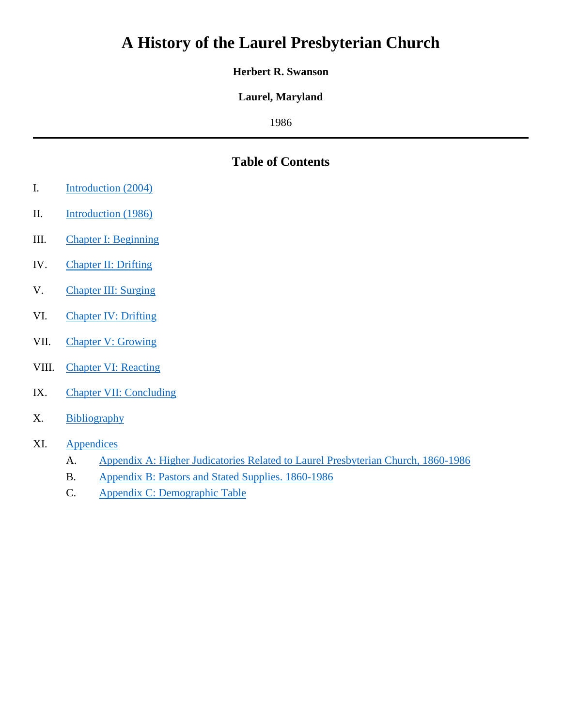# **A History of the Laurel Presbyterian Church**

#### **Herbert R. Swanson**

## **Laurel, Maryland**

1986

## **Table of Contents**

- I. [Introduction](#page-1-0) (2004)
- II. [Introduction](#page-2-0) (1986)
- III. [Chapter I: Beginning](#page-4-0)
- IV. [Chapter II: Drifting](#page-10-0)
- V. [Chapter III: Surging](#page-16-0)
- VI. [Chapter IV: Drifting](#page-23-0)
- VII. [Chapter V: Growing](#page-30-0)
- VIII. [Chapter VI: Reacting](#page-38-0)
- IX. [Chapter VII: Concluding](#page-48-0)
- X. [Bibliography](#page-53-0)
- XI. [Appendices](#page-56-0)
	- A. [Appendix A: Higher Judicatories Related to Laurel Presbyterian Church, 1860-1986](#page-56-1)
	- B. [Appendix B: Pastors and Stated Supplies. 1860-1986](#page-57-0)
	- C. [Appendix C: Demographic](#page-58-0) Table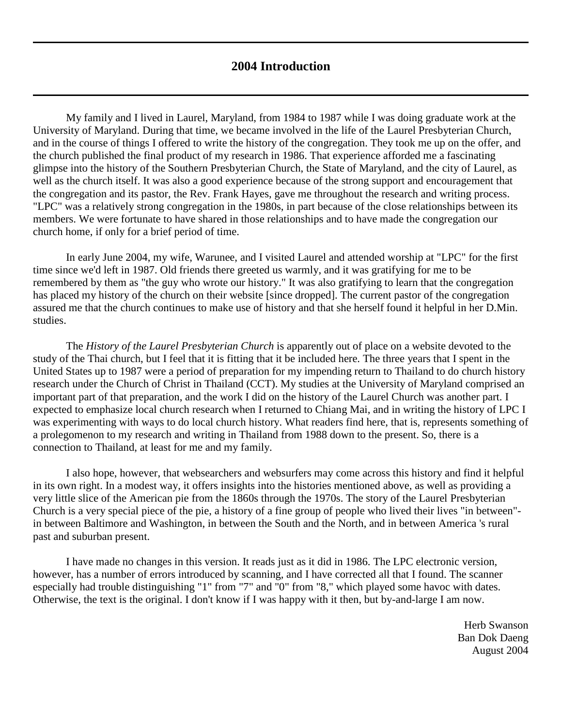#### **2004 Introduction**

<span id="page-1-0"></span>My family and I lived in Laurel, Maryland, from 1984 to 1987 while I was doing graduate work at the University of Maryland. During that time, we became involved in the life of the [Laurel Presbyterian Church,](http://www.laurelpresbyterian.org/) and in the course of things I offered to write the history of the congregation. They took me up on the offer, and the church published the final product of my research in 1986. That experience afforded me a fascinating glimpse into the history of the Southern Presbyterian Church, the State of Maryland, and the city of Laurel, as well as the church itself. It was also a good experience because of the strong support and encouragement that the congregation and its pastor, the Rev. Frank Hayes, gave me throughout the research and writing process. "LPC" was a relatively strong congregation in the 1980s, in part because of the close relationships between its members. We were fortunate to have shared in those relationships and to have made the congregation our church home, if only for a brief period of time.

In early June 2004, my wife, Warunee, and I visited Laurel and attended worship at "LPC" for the first time since we'd left in 1987. Old friends there greeted us warmly, and it was gratifying for me to be remembered by them as "the guy who wrote our history." It was also gratifying to learn that the congregation has placed my history of the church on their website [since dropped]. The current pastor of the congregation assured me that the church continues to make use of history and that she herself found it helpful in her D.Min. studies.

The *History of the Laurel Presbyterian Church* is apparently out of place on a website devoted to the study of the Thai church, but I feel that it is fitting that it be included here. The three years that I spent in the United States up to 1987 were a period of preparation for my impending return to Thailand to do church history research under the Church of Christ in Thailand (CCT). My studies at the University of Maryland comprised an important part of that preparation, and the work I did on the history of the Laurel Church was another part. I expected to emphasize local church research when I returned to Chiang Mai, and in writing the history of LPC I was experimenting with ways to do local church history. What readers find here, that is, represents something of a prolegomenon to my research and writing in Thailand from 1988 down to the present. So, there is a connection to Thailand, at least for me and my family.

I also hope, however, that websearchers and websurfers may come across this history and find it helpful in its own right. In a modest way, it offers insights into the histories mentioned above, as well as providing a very little slice of the American pie from the 1860s through the 1970s. The story of the Laurel Presbyterian Church is a very special piece of the pie, a history of a fine group of people who lived their lives "in between" in between Baltimore and Washington, in between the South and the North, and in between America 's rural past and suburban present.

I have made no changes in this version. It reads just as it did in 1986. The LPC electronic version, however, has a number of errors introduced by scanning, and I have corrected all that I found. The scanner especially had trouble distinguishing "1" from "7" and "0" from "8," which played some havoc with dates. Otherwise, the text is the original. I don't know if I was happy with it then, but by-and-large I am now.

> Herb Swanson Ban Dok Daeng August 2004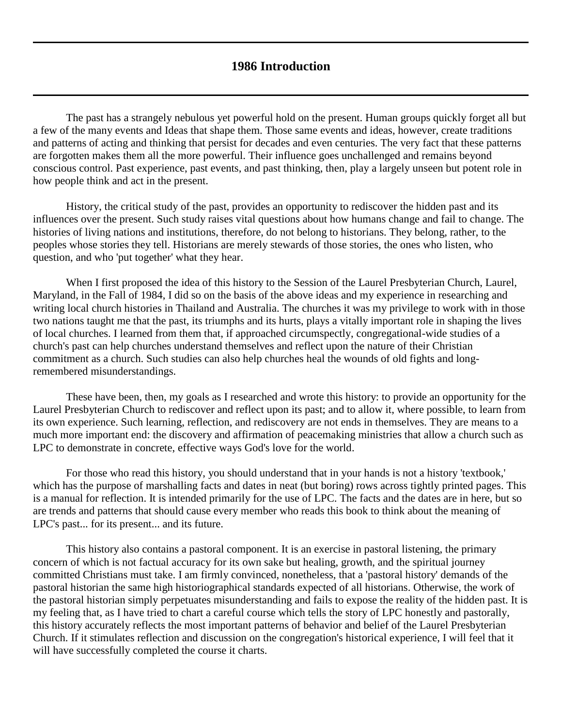#### **1986 Introduction**

<span id="page-2-0"></span>The past has a strangely nebulous yet powerful hold on the present. Human groups quickly forget all but a few of the many events and Ideas that shape them. Those same events and ideas, however, create traditions and patterns of acting and thinking that persist for decades and even centuries. The very fact that these patterns are forgotten makes them all the more powerful. Their influence goes unchallenged and remains beyond conscious control. Past experience, past events, and past thinking, then, play a largely unseen but potent role in how people think and act in the present.

History, the critical study of the past, provides an opportunity to rediscover the hidden past and its influences over the present. Such study raises vital questions about how humans change and fail to change. The histories of living nations and institutions, therefore, do not belong to historians. They belong, rather, to the peoples whose stories they tell. Historians are merely stewards of those stories, the ones who listen, who question, and who 'put together' what they hear.

When I first proposed the idea of this history to the Session of the Laurel Presbyterian Church, Laurel, Maryland, in the Fall of 1984, I did so on the basis of the above ideas and my experience in researching and writing local church histories in Thailand and Australia. The churches it was my privilege to work with in those two nations taught me that the past, its triumphs and its hurts, plays a vitally important role in shaping the lives of local churches. I learned from them that, if approached circumspectly, congregational-wide studies of a church's past can help churches understand themselves and reflect upon the nature of their Christian commitment as a church. Such studies can also help churches heal the wounds of old fights and longremembered misunderstandings.

These have been, then, my goals as I researched and wrote this history: to provide an opportunity for the Laurel Presbyterian Church to rediscover and reflect upon its past; and to allow it, where possible, to learn from its own experience. Such learning, reflection, and rediscovery are not ends in themselves. They are means to a much more important end: the discovery and affirmation of peacemaking ministries that allow a church such as LPC to demonstrate in concrete, effective ways God's love for the world.

For those who read this history, you should understand that in your hands is not a history 'textbook,' which has the purpose of marshalling facts and dates in neat (but boring) rows across tightly printed pages. This is a manual for reflection. It is intended primarily for the use of LPC. The facts and the dates are in here, but so are trends and patterns that should cause every member who reads this book to think about the meaning of LPC's past... for its present... and its future.

This history also contains a pastoral component. It is an exercise in pastoral listening, the primary concern of which is not factual accuracy for its own sake but healing, growth, and the spiritual journey committed Christians must take. I am firmly convinced, nonetheless, that a 'pastoral history' demands of the pastoral historian the same high historiographical standards expected of all historians. Otherwise, the work of the pastoral historian simply perpetuates misunderstanding and fails to expose the reality of the hidden past. It is my feeling that, as I have tried to chart a careful course which tells the story of LPC honestly and pastorally, this history accurately reflects the most important patterns of behavior and belief of the Laurel Presbyterian Church. If it stimulates reflection and discussion on the congregation's historical experience, I will feel that it will have successfully completed the course it charts.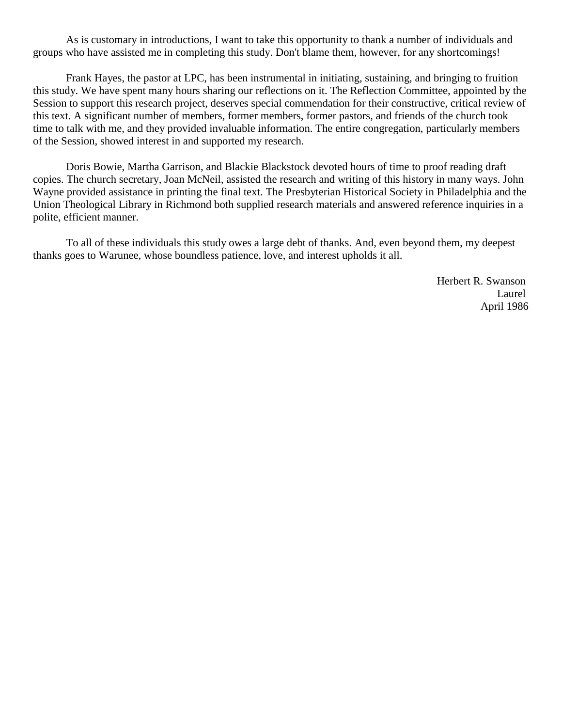As is customary in introductions, I want to take this opportunity to thank a number of individuals and groups who have assisted me in completing this study. Don't blame them, however, for any shortcomings!

Frank Hayes, the pastor at LPC, has been instrumental in initiating, sustaining, and bringing to fruition this study. We have spent many hours sharing our reflections on it. The Reflection Committee, appointed by the Session to support this research project, deserves special commendation for their constructive, critical review of this text. A significant number of members, former members, former pastors, and friends of the church took time to talk with me, and they provided invaluable information. The entire congregation, particularly members of the Session, showed interest in and supported my research.

Doris Bowie, Martha Garrison, and Blackie Blackstock devoted hours of time to proof reading draft copies. The church secretary, Joan McNeil, assisted the research and writing of this history in many ways. John Wayne provided assistance in printing the final text. The Presbyterian Historical Society in Philadelphia and the Union Theological Library in Richmond both supplied research materials and answered reference inquiries in a polite, efficient manner.

To all of these individuals this study owes a large debt of thanks. And, even beyond them, my deepest thanks goes to Warunee, whose boundless patience, love, and interest upholds it all.

> Herbert R. Swanson Laurel April 1986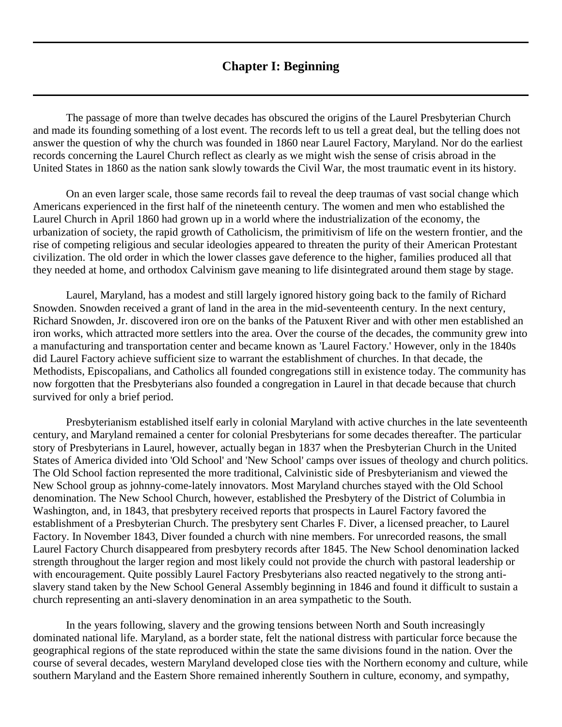#### **Chapter I: Beginning**

<span id="page-4-0"></span>The passage of more than twelve decades has obscured the origins of the Laurel Presbyterian Church and made its founding something of a lost event. The records left to us tell a great deal, but the telling does not answer the question of why the church was founded in 1860 near Laurel Factory, Maryland. Nor do the earliest records concerning the Laurel Church reflect as clearly as we might wish the sense of crisis abroad in the United States in 1860 as the nation sank slowly towards the Civil War, the most traumatic event in its history.

On an even larger scale, those same records fail to reveal the deep traumas of vast social change which Americans experienced in the first half of the nineteenth century. The women and men who established the Laurel Church in April 1860 had grown up in a world where the industrialization of the economy, the urbanization of society, the rapid growth of Catholicism, the primitivism of life on the western frontier, and the rise of competing religious and secular ideologies appeared to threaten the purity of their American Protestant civilization. The old order in which the lower classes gave deference to the higher, families produced all that they needed at home, and orthodox Calvinism gave meaning to life disintegrated around them stage by stage.

Laurel, Maryland, has a modest and still largely ignored history going back to the family of Richard Snowden. Snowden received a grant of land in the area in the mid-seventeenth century. In the next century, Richard Snowden, Jr. discovered iron ore on the banks of the Patuxent River and with other men established an iron works, which attracted more settlers into the area. Over the course of the decades, the community grew into a manufacturing and transportation center and became known as 'Laurel Factory.' However, only in the 1840s did Laurel Factory achieve sufficient size to warrant the establishment of churches. In that decade, the Methodists, Episcopalians, and Catholics all founded congregations still in existence today. The community has now forgotten that the Presbyterians also founded a congregation in Laurel in that decade because that church survived for only a brief period.

Presbyterianism established itself early in colonial Maryland with active churches in the late seventeenth century, and Maryland remained a center for colonial Presbyterians for some decades thereafter. The particular story of Presbyterians in Laurel, however, actually began in 1837 when the Presbyterian Church in the United States of America divided into 'Old School' and 'New School' camps over issues of theology and church politics. The Old School faction represented the more traditional, Calvinistic side of Presbyterianism and viewed the New School group as johnny-come-lately innovators. Most Maryland churches stayed with the Old School denomination. The New School Church, however, established the Presbytery of the District of Columbia in Washington, and, in 1843, that presbytery received reports that prospects in Laurel Factory favored the establishment of a Presbyterian Church. The presbytery sent Charles F. Diver, a licensed preacher, to Laurel Factory. In November 1843, Diver founded a church with nine members. For unrecorded reasons, the small Laurel Factory Church disappeared from presbytery records after 1845. The New School denomination lacked strength throughout the larger region and most likely could not provide the church with pastoral leadership or with encouragement. Quite possibly Laurel Factory Presbyterians also reacted negatively to the strong antislavery stand taken by the New School General Assembly beginning in 1846 and found it difficult to sustain a church representing an anti-slavery denomination in an area sympathetic to the South.

In the years following, slavery and the growing tensions between North and South increasingly dominated national life. Maryland, as a border state, felt the national distress with particular force because the geographical regions of the state reproduced within the state the same divisions found in the nation. Over the course of several decades, western Maryland developed close ties with the Northern economy and culture, while southern Maryland and the Eastern Shore remained inherently Southern in culture, economy, and sympathy,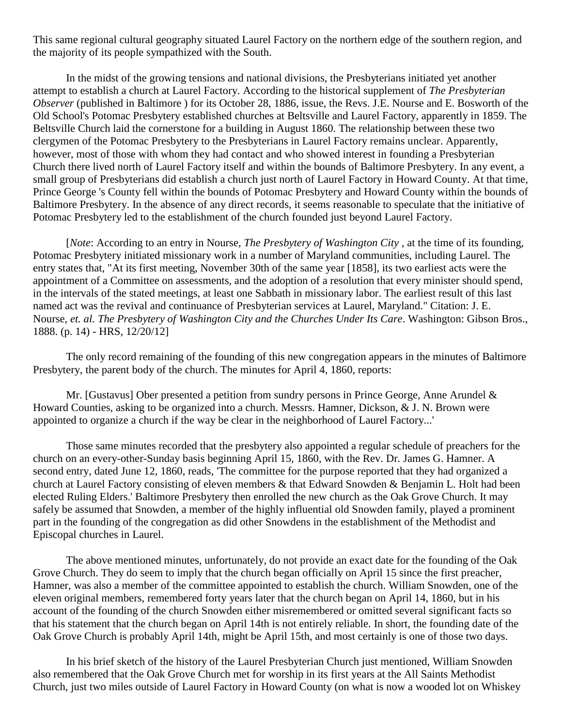This same regional cultural geography situated Laurel Factory on the northern edge of the southern region, and the majority of its people sympathized with the South.

In the midst of the growing tensions and national divisions, the Presbyterians initiated yet another attempt to establish a church at Laurel Factory. According to the historical supplement of *The Presbyterian Observer* (published in Baltimore ) for its October 28, 1886, issue, the Revs. J.E. Nourse and E. Bosworth of the Old School's Potomac Presbytery established churches at Beltsville and Laurel Factory, apparently in 1859. The Beltsville Church laid the cornerstone for a building in August 1860. The relationship between these two clergymen of the Potomac Presbytery to the Presbyterians in Laurel Factory remains unclear. Apparently, however, most of those with whom they had contact and who showed interest in founding a Presbyterian Church there lived north of Laurel Factory itself and within the bounds of Baltimore Presbytery. In any event, a small group of Presbyterians did establish a church just north of Laurel Factory in Howard County. At that time, Prince George 's County fell within the bounds of Potomac Presbytery and Howard County within the bounds of Baltimore Presbytery. In the absence of any direct records, it seems reasonable to speculate that the initiative of Potomac Presbytery led to the establishment of the church founded just beyond Laurel Factory.

[*Note*: According to an entry in Nourse, *[The Presbytery of Washington City](http://ia700204.us.archive.org/2/items/presbyteryofwash00nour/presbyteryofwash00nour.pdf)* , at the time of its founding, Potomac Presbytery initiated missionary work in a number of Maryland communities, including Laurel. The entry states that, "At its first meeting, November 30th of the same year [1858], its two earliest acts were the appointment of a Committee on assessments, and the adoption of a resolution that every minister should spend, in the intervals of the stated meetings, at least one Sabbath in missionary labor. The earliest result of this last named act was the revival and continuance of Presbyterian services at Laurel, Maryland." Citation: J. E. Nourse, *et. al. The Presbytery of Washington City and the Churches Under Its Care*. Washington: Gibson Bros., 1888. (p. 14) - HRS, 12/20/12]

The only record remaining of the founding of this new congregation appears in the minutes of Baltimore Presbytery, the parent body of the church. The minutes for April 4, 1860, reports:

Mr. [Gustavus] Ober presented a petition from sundry persons in Prince George, Anne Arundel & Howard Counties, asking to be organized into a church. Messrs. Hamner, Dickson, & J. N. Brown were appointed to organize a church if the way be clear in the neighborhood of Laurel Factory...'

Those same minutes recorded that the presbytery also appointed a regular schedule of preachers for the church on an every-other-Sunday basis beginning April 15, 1860, with the Rev. Dr. James G. Hamner. A second entry, dated June 12, 1860, reads, 'The committee for the purpose reported that they had organized a church at Laurel Factory consisting of eleven members & that Edward Snowden & Benjamin L. Holt had been elected Ruling Elders.' Baltimore Presbytery then enrolled the new church as the Oak Grove Church. It may safely be assumed that Snowden, a member of the highly influential old Snowden family, played a prominent part in the founding of the congregation as did other Snowdens in the establishment of the Methodist and Episcopal churches in Laurel.

The above mentioned minutes, unfortunately, do not provide an exact date for the founding of the Oak Grove Church. They do seem to imply that the church began officially on April 15 since the first preacher, Hamner, was also a member of the committee appointed to establish the church. William Snowden, one of the eleven original members, remembered forty years later that the church began on April 14, 1860, but in his account of the founding of the church Snowden either misremembered or omitted several significant facts so that his statement that the church began on April 14th is not entirely reliable. In short, the founding date of the Oak Grove Church is probably April 14th, might be April 15th, and most certainly is one of those two days.

In his brief sketch of the history of the Laurel Presbyterian Church just mentioned, William Snowden also remembered that the Oak Grove Church met for worship in its first years at the All Saints Methodist Church, just two miles outside of Laurel Factory in Howard County (on what is now a wooded lot on Whiskey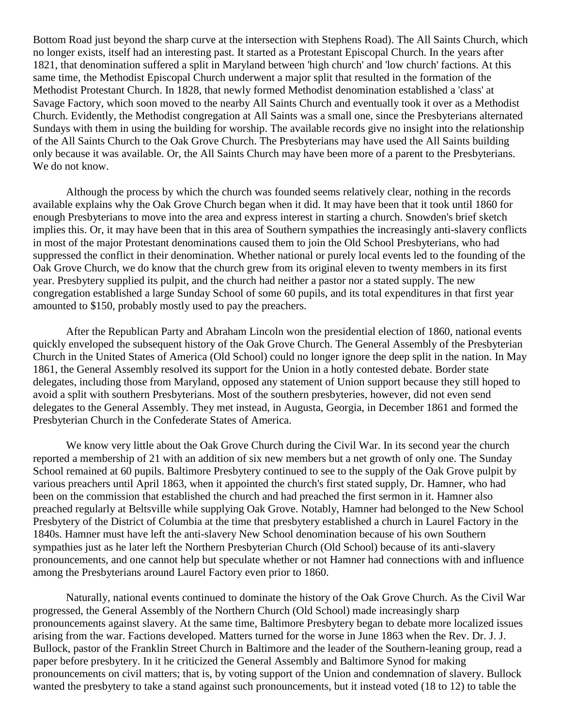Bottom Road just beyond the sharp curve at the intersection with Stephens Road). The All Saints Church, which no longer exists, itself had an interesting past. It started as a Protestant Episcopal Church. In the years after 1821, that denomination suffered a split in Maryland between 'high church' and 'low church' factions. At this same time, the Methodist Episcopal Church underwent a major split that resulted in the formation of the Methodist Protestant Church. In 1828, that newly formed Methodist denomination established a 'class' at Savage Factory, which soon moved to the nearby All Saints Church and eventually took it over as a Methodist Church. Evidently, the Methodist congregation at All Saints was a small one, since the Presbyterians alternated Sundays with them in using the building for worship. The available records give no insight into the relationship of the All Saints Church to the Oak Grove Church. The Presbyterians may have used the All Saints building only because it was available. Or, the All Saints Church may have been more of a parent to the Presbyterians. We do not know.

Although the process by which the church was founded seems relatively clear, nothing in the records available explains why the Oak Grove Church began when it did. It may have been that it took until 1860 for enough Presbyterians to move into the area and express interest in starting a church. Snowden's brief sketch implies this. Or, it may have been that in this area of Southern sympathies the increasingly anti-slavery conflicts in most of the major Protestant denominations caused them to join the Old School Presbyterians, who had suppressed the conflict in their denomination. Whether national or purely local events led to the founding of the Oak Grove Church, we do know that the church grew from its original eleven to twenty members in its first year. Presbytery supplied its pulpit, and the church had neither a pastor nor a stated supply. The new congregation established a large Sunday School of some 60 pupils, and its total expenditures in that first year amounted to \$150, probably mostly used to pay the preachers.

After the Republican Party and Abraham Lincoln won the presidential election of 1860, national events quickly enveloped the subsequent history of the Oak Grove Church. The General Assembly of the Presbyterian Church in the United States of America (Old School) could no longer ignore the deep split in the nation. In May 1861, the General Assembly resolved its support for the Union in a hotly contested debate. Border state delegates, including those from Maryland, opposed any statement of Union support because they still hoped to avoid a split with southern Presbyterians. Most of the southern presbyteries, however, did not even send delegates to the General Assembly. They met instead, in Augusta, Georgia, in December 1861 and formed the Presbyterian Church in the Confederate States of America.

We know very little about the Oak Grove Church during the Civil War. In its second year the church reported a membership of 21 with an addition of six new members but a net growth of only one. The Sunday School remained at 60 pupils. Baltimore Presbytery continued to see to the supply of the Oak Grove pulpit by various preachers until April 1863, when it appointed the church's first stated supply, Dr. Hamner, who had been on the commission that established the church and had preached the first sermon in it. Hamner also preached regularly at Beltsville while supplying Oak Grove. Notably, Hamner had belonged to the New School Presbytery of the District of Columbia at the time that presbytery established a church in Laurel Factory in the 1840s. Hamner must have left the anti-slavery New School denomination because of his own Southern sympathies just as he later left the Northern Presbyterian Church (Old School) because of its anti-slavery pronouncements, and one cannot help but speculate whether or not Hamner had connections with and influence among the Presbyterians around Laurel Factory even prior to 1860.

Naturally, national events continued to dominate the history of the Oak Grove Church. As the Civil War progressed, the General Assembly of the Northern Church (Old School) made increasingly sharp pronouncements against slavery. At the same time, Baltimore Presbytery began to debate more localized issues arising from the war. Factions developed. Matters turned for the worse in June 1863 when the Rev. Dr. J. J. Bullock, pastor of the Franklin Street Church in Baltimore and the leader of the Southern-leaning group, read a paper before presbytery. In it he criticized the General Assembly and Baltimore Synod for making pronouncements on civil matters; that is, by voting support of the Union and condemnation of slavery. Bullock wanted the presbytery to take a stand against such pronouncements, but it instead voted (18 to 12) to table the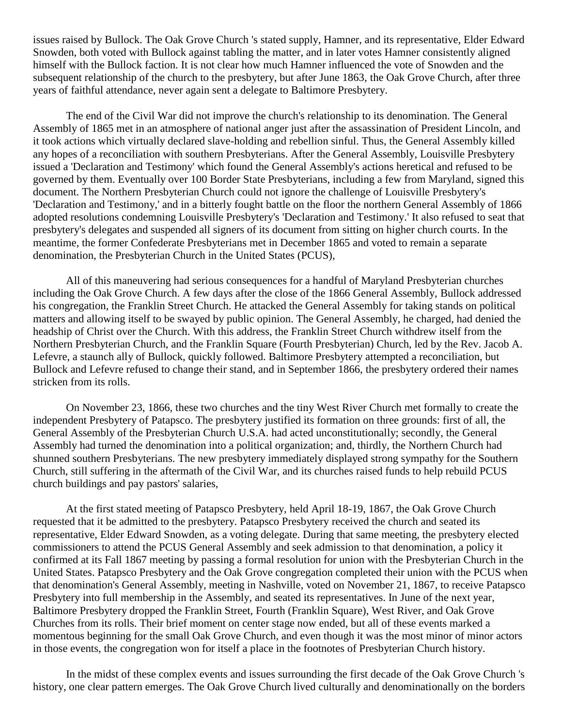issues raised by Bullock. The Oak Grove Church 's stated supply, Hamner, and its representative, Elder Edward Snowden, both voted with Bullock against tabling the matter, and in later votes Hamner consistently aligned himself with the Bullock faction. It is not clear how much Hamner influenced the vote of Snowden and the subsequent relationship of the church to the presbytery, but after June 1863, the Oak Grove Church, after three years of faithful attendance, never again sent a delegate to Baltimore Presbytery.

The end of the Civil War did not improve the church's relationship to its denomination. The General Assembly of 1865 met in an atmosphere of national anger just after the assassination of President Lincoln, and it took actions which virtually declared slave-holding and rebellion sinful. Thus, the General Assembly killed any hopes of a reconciliation with southern Presbyterians. After the General Assembly, Louisville Presbytery issued a 'Declaration and Testimony' which found the General Assembly's actions heretical and refused to be governed by them. Eventually over 100 Border State Presbyterians, including a few from Maryland, signed this document. The Northern Presbyterian Church could not ignore the challenge of Louisville Presbytery's 'Declaration and Testimony,' and in a bitterly fought battle on the floor the northern General Assembly of 1866 adopted resolutions condemning Louisville Presbytery's 'Declaration and Testimony.' It also refused to seat that presbytery's delegates and suspended all signers of its document from sitting on higher church courts. In the meantime, the former Confederate Presbyterians met in December 1865 and voted to remain a separate denomination, the Presbyterian Church in the United States (PCUS),

All of this maneuvering had serious consequences for a handful of Maryland Presbyterian churches including the Oak Grove Church. A few days after the close of the 1866 General Assembly, Bullock addressed his congregation, the Franklin Street Church. He attacked the General Assembly for taking stands on political matters and allowing itself to be swayed by public opinion. The General Assembly, he charged, had denied the headship of Christ over the Church. With this address, the Franklin Street Church withdrew itself from the Northern Presbyterian Church, and the Franklin Square (Fourth Presbyterian) Church, led by the Rev. Jacob A. Lefevre, a staunch ally of Bullock, quickly followed. Baltimore Presbytery attempted a reconciliation, but Bullock and Lefevre refused to change their stand, and in September 1866, the presbytery ordered their names stricken from its rolls.

On November 23, 1866, these two churches and the tiny West River Church met formally to create the independent Presbytery of Patapsco. The presbytery justified its formation on three grounds: first of all, the General Assembly of the Presbyterian Church U.S.A. had acted unconstitutionally; secondly, the General Assembly had turned the denomination into a political organization; and, thirdly, the Northern Church had shunned southern Presbyterians. The new presbytery immediately displayed strong sympathy for the Southern Church, still suffering in the aftermath of the Civil War, and its churches raised funds to help rebuild PCUS church buildings and pay pastors' salaries,

At the first stated meeting of Patapsco Presbytery, held April 18-19, 1867, the Oak Grove Church requested that it be admitted to the presbytery. Patapsco Presbytery received the church and seated its representative, Elder Edward Snowden, as a voting delegate. During that same meeting, the presbytery elected commissioners to attend the PCUS General Assembly and seek admission to that denomination, a policy it confirmed at its Fall 1867 meeting by passing a formal resolution for union with the Presbyterian Church in the United States. Patapsco Presbytery and the Oak Grove congregation completed their union with the PCUS when that denomination's General Assembly, meeting in Nashville, voted on November 21, 1867, to receive Patapsco Presbytery into full membership in the Assembly, and seated its representatives. In June of the next year, Baltimore Presbytery dropped the Franklin Street, Fourth (Franklin Square), West River, and Oak Grove Churches from its rolls. Their brief moment on center stage now ended, but all of these events marked a momentous beginning for the small Oak Grove Church, and even though it was the most minor of minor actors in those events, the congregation won for itself a place in the footnotes of Presbyterian Church history.

In the midst of these complex events and issues surrounding the first decade of the Oak Grove Church 's history, one clear pattern emerges. The Oak Grove Church lived culturally and denominationally on the borders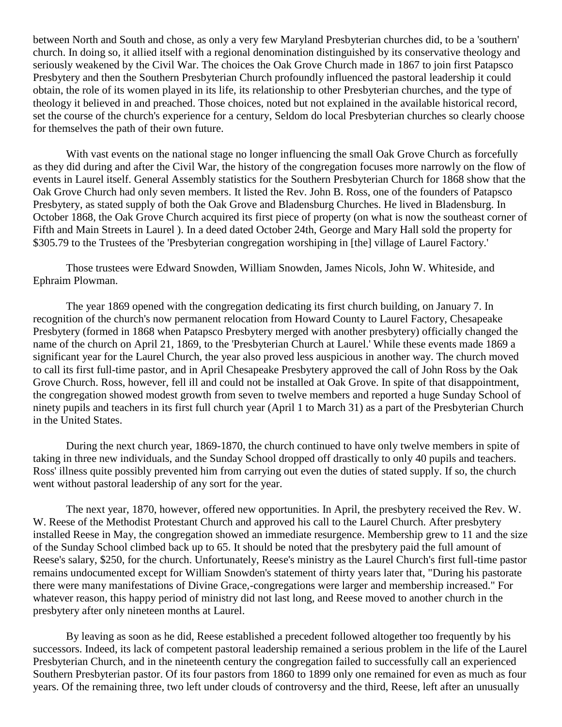between North and South and chose, as only a very few Maryland Presbyterian churches did, to be a 'southern' church. In doing so, it allied itself with a regional denomination distinguished by its conservative theology and seriously weakened by the Civil War. The choices the Oak Grove Church made in 1867 to join first Patapsco Presbytery and then the Southern Presbyterian Church profoundly influenced the pastoral leadership it could obtain, the role of its women played in its life, its relationship to other Presbyterian churches, and the type of theology it believed in and preached. Those choices, noted but not explained in the available historical record, set the course of the church's experience for a century, Seldom do local Presbyterian churches so clearly choose for themselves the path of their own future.

With vast events on the national stage no longer influencing the small Oak Grove Church as forcefully as they did during and after the Civil War, the history of the congregation focuses more narrowly on the flow of events in Laurel itself. General Assembly statistics for the Southern Presbyterian Church for 1868 show that the Oak Grove Church had only seven members. It listed the Rev. John B. Ross, one of the founders of Patapsco Presbytery, as stated supply of both the Oak Grove and Bladensburg Churches. He lived in Bladensburg. In October 1868, the Oak Grove Church acquired its first piece of property (on what is now the southeast corner of Fifth and Main Streets in Laurel ). In a deed dated October 24th, George and Mary Hall sold the property for \$305.79 to the Trustees of the 'Presbyterian congregation worshiping in [the] village of Laurel Factory.'

Those trustees were Edward Snowden, William Snowden, James Nicols, John W. Whiteside, and Ephraim Plowman.

The year 1869 opened with the congregation dedicating its first church building, on January 7. In recognition of the church's now permanent relocation from Howard County to Laurel Factory, Chesapeake Presbytery (formed in 1868 when Patapsco Presbytery merged with another presbytery) officially changed the name of the church on April 21, 1869, to the 'Presbyterian Church at Laurel.' While these events made 1869 a significant year for the Laurel Church, the year also proved less auspicious in another way. The church moved to call its first full-time pastor, and in April Chesapeake Presbytery approved the call of John Ross by the Oak Grove Church. Ross, however, fell ill and could not be installed at Oak Grove. In spite of that disappointment, the congregation showed modest growth from seven to twelve members and reported a huge Sunday School of ninety pupils and teachers in its first full church year (April 1 to March 31) as a part of the Presbyterian Church in the United States.

During the next church year, 1869-1870, the church continued to have only twelve members in spite of taking in three new individuals, and the Sunday School dropped off drastically to only 40 pupils and teachers. Ross' illness quite possibly prevented him from carrying out even the duties of stated supply. If so, the church went without pastoral leadership of any sort for the year.

The next year, 1870, however, offered new opportunities. In April, the presbytery received the Rev. W. W. Reese of the Methodist Protestant Church and approved his call to the Laurel Church. After presbytery installed Reese in May, the congregation showed an immediate resurgence. Membership grew to 11 and the size of the Sunday School climbed back up to 65. It should be noted that the presbytery paid the full amount of Reese's salary, \$250, for the church. Unfortunately, Reese's ministry as the Laurel Church's first full-time pastor remains undocumented except for William Snowden's statement of thirty years later that, "During his pastorate there were many manifestations of Divine Grace,-congregations were larger and membership increased." For whatever reason, this happy period of ministry did not last long, and Reese moved to another church in the presbytery after only nineteen months at Laurel.

By leaving as soon as he did, Reese established a precedent followed altogether too frequently by his successors. Indeed, its lack of competent pastoral leadership remained a serious problem in the life of the Laurel Presbyterian Church, and in the nineteenth century the congregation failed to successfully call an experienced Southern Presbyterian pastor. Of its four pastors from 1860 to 1899 only one remained for even as much as four years. Of the remaining three, two left under clouds of controversy and the third, Reese, left after an unusually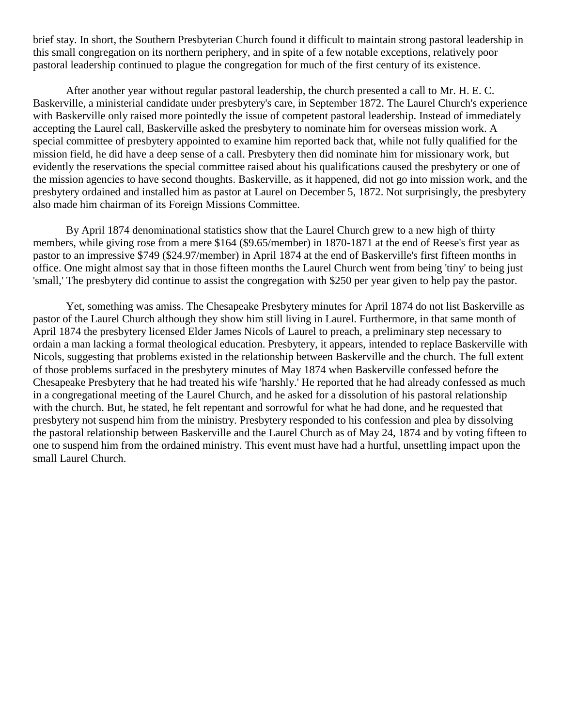brief stay. In short, the Southern Presbyterian Church found it difficult to maintain strong pastoral leadership in this small congregation on its northern periphery, and in spite of a few notable exceptions, relatively poor pastoral leadership continued to plague the congregation for much of the first century of its existence.

After another year without regular pastoral leadership, the church presented a call to Mr. H. E. C. Baskerville, a ministerial candidate under presbytery's care, in September 1872. The Laurel Church's experience with Baskerville only raised more pointedly the issue of competent pastoral leadership. Instead of immediately accepting the Laurel call, Baskerville asked the presbytery to nominate him for overseas mission work. A special committee of presbytery appointed to examine him reported back that, while not fully qualified for the mission field, he did have a deep sense of a call. Presbytery then did nominate him for missionary work, but evidently the reservations the special committee raised about his qualifications caused the presbytery or one of the mission agencies to have second thoughts. Baskerville, as it happened, did not go into mission work, and the presbytery ordained and installed him as pastor at Laurel on December 5, 1872. Not surprisingly, the presbytery also made him chairman of its Foreign Missions Committee.

By April 1874 denominational statistics show that the Laurel Church grew to a new high of thirty members, while giving rose from a mere \$164 (\$9.65/member) in 1870-1871 at the end of Reese's first year as pastor to an impressive \$749 (\$24.97/member) in April 1874 at the end of Baskerville's first fifteen months in office. One might almost say that in those fifteen months the Laurel Church went from being 'tiny' to being just 'small,' The presbytery did continue to assist the congregation with \$250 per year given to help pay the pastor.

Yet, something was amiss. The Chesapeake Presbytery minutes for April 1874 do not list Baskerville as pastor of the Laurel Church although they show him still living in Laurel. Furthermore, in that same month of April 1874 the presbytery licensed Elder James Nicols of Laurel to preach, a preliminary step necessary to ordain a man lacking a formal theological education. Presbytery, it appears, intended to replace Baskerville with Nicols, suggesting that problems existed in the relationship between Baskerville and the church. The full extent of those problems surfaced in the presbytery minutes of May 1874 when Baskerville confessed before the Chesapeake Presbytery that he had treated his wife 'harshly.' He reported that he had already confessed as much in a congregational meeting of the Laurel Church, and he asked for a dissolution of his pastoral relationship with the church. But, he stated, he felt repentant and sorrowful for what he had done, and he requested that presbytery not suspend him from the ministry. Presbytery responded to his confession and plea by dissolving the pastoral relationship between Baskerville and the Laurel Church as of May 24, 1874 and by voting fifteen to one to suspend him from the ordained ministry. This event must have had a hurtful, unsettling impact upon the small Laurel Church.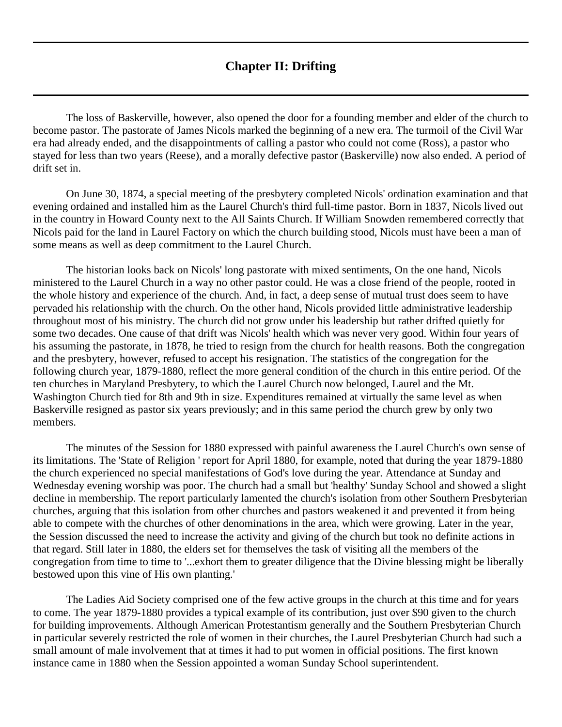## **Chapter II: Drifting**

<span id="page-10-0"></span>The loss of Baskerville, however, also opened the door for a founding member and elder of the church to become pastor. The pastorate of James Nicols marked the beginning of a new era. The turmoil of the Civil War era had already ended, and the disappointments of calling a pastor who could not come (Ross), a pastor who stayed for less than two years (Reese), and a morally defective pastor (Baskerville) now also ended. A period of drift set in.

On June 30, 1874, a special meeting of the presbytery completed Nicols' ordination examination and that evening ordained and installed him as the Laurel Church's third full-time pastor. Born in 1837, Nicols lived out in the country in Howard County next to the All Saints Church. If William Snowden remembered correctly that Nicols paid for the land in Laurel Factory on which the church building stood, Nicols must have been a man of some means as well as deep commitment to the Laurel Church.

The historian looks back on Nicols' long pastorate with mixed sentiments, On the one hand, Nicols ministered to the Laurel Church in a way no other pastor could. He was a close friend of the people, rooted in the whole history and experience of the church. And, in fact, a deep sense of mutual trust does seem to have pervaded his relationship with the church. On the other hand, Nicols provided little administrative leadership throughout most of his ministry. The church did not grow under his leadership but rather drifted quietly for some two decades. One cause of that drift was Nicols' health which was never very good. Within four years of his assuming the pastorate, in 1878, he tried to resign from the church for health reasons. Both the congregation and the presbytery, however, refused to accept his resignation. The statistics of the congregation for the following church year, 1879-1880, reflect the more general condition of the church in this entire period. Of the ten churches in Maryland Presbytery, to which the Laurel Church now belonged, Laurel and the Mt. Washington Church tied for 8th and 9th in size. Expenditures remained at virtually the same level as when Baskerville resigned as pastor six years previously; and in this same period the church grew by only two members.

The minutes of the Session for 1880 expressed with painful awareness the Laurel Church's own sense of its limitations. The 'State of Religion ' report for April 1880, for example, noted that during the year 1879-1880 the church experienced no special manifestations of God's love during the year. Attendance at Sunday and Wednesday evening worship was poor. The church had a small but 'healthy' Sunday School and showed a slight decline in membership. The report particularly lamented the church's isolation from other Southern Presbyterian churches, arguing that this isolation from other churches and pastors weakened it and prevented it from being able to compete with the churches of other denominations in the area, which were growing. Later in the year, the Session discussed the need to increase the activity and giving of the church but took no definite actions in that regard. Still later in 1880, the elders set for themselves the task of visiting all the members of the congregation from time to time to '...exhort them to greater diligence that the Divine blessing might be liberally bestowed upon this vine of His own planting.'

The Ladies Aid Society comprised one of the few active groups in the church at this time and for years to come. The year 1879-1880 provides a typical example of its contribution, just over \$90 given to the church for building improvements. Although American Protestantism generally and the Southern Presbyterian Church in particular severely restricted the role of women in their churches, the Laurel Presbyterian Church had such a small amount of male involvement that at times it had to put women in official positions. The first known instance came in 1880 when the Session appointed a woman Sunday School superintendent.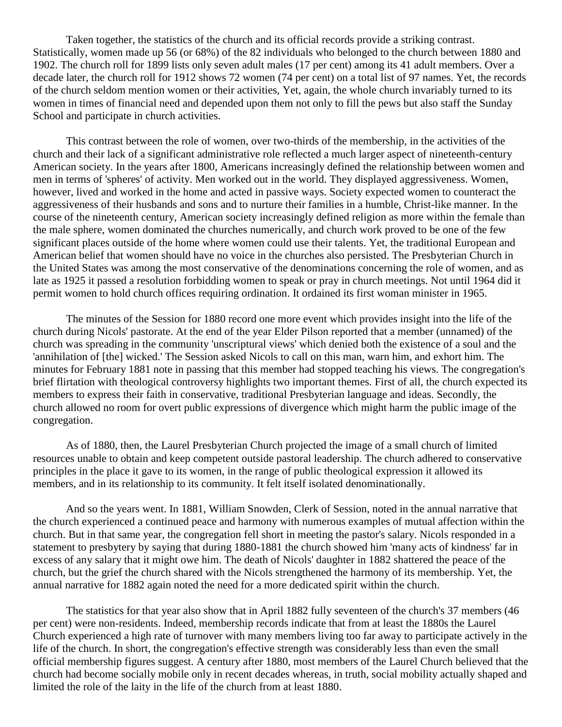Taken together, the statistics of the church and its official records provide a striking contrast. Statistically, women made up 56 (or 68%) of the 82 individuals who belonged to the church between 1880 and 1902. The church roll for 1899 lists only seven adult males (17 per cent) among its 41 adult members. Over a decade later, the church roll for 1912 shows 72 women (74 per cent) on a total list of 97 names. Yet, the records of the church seldom mention women or their activities, Yet, again, the whole church invariably turned to its women in times of financial need and depended upon them not only to fill the pews but also staff the Sunday School and participate in church activities.

This contrast between the role of women, over two-thirds of the membership, in the activities of the church and their lack of a significant administrative role reflected a much larger aspect of nineteenth-century American society. In the years after 1800, Americans increasingly defined the relationship between women and men in terms of 'spheres' of activity. Men worked out in the world. They displayed aggressiveness. Women, however, lived and worked in the home and acted in passive ways. Society expected women to counteract the aggressiveness of their husbands and sons and to nurture their families in a humble, Christ-like manner. In the course of the nineteenth century, American society increasingly defined religion as more within the female than the male sphere, women dominated the churches numerically, and church work proved to be one of the few significant places outside of the home where women could use their talents. Yet, the traditional European and American belief that women should have no voice in the churches also persisted. The Presbyterian Church in the United States was among the most conservative of the denominations concerning the role of women, and as late as 1925 it passed a resolution forbidding women to speak or pray in church meetings. Not until 1964 did it permit women to hold church offices requiring ordination. It ordained its first woman minister in 1965.

The minutes of the Session for 1880 record one more event which provides insight into the life of the church during Nicols' pastorate. At the end of the year Elder Pilson reported that a member (unnamed) of the church was spreading in the community 'unscriptural views' which denied both the existence of a soul and the 'annihilation of [the] wicked.' The Session asked Nicols to call on this man, warn him, and exhort him. The minutes for February 1881 note in passing that this member had stopped teaching his views. The congregation's brief flirtation with theological controversy highlights two important themes. First of all, the church expected its members to express their faith in conservative, traditional Presbyterian language and ideas. Secondly, the church allowed no room for overt public expressions of divergence which might harm the public image of the congregation.

As of 1880, then, the Laurel Presbyterian Church projected the image of a small church of limited resources unable to obtain and keep competent outside pastoral leadership. The church adhered to conservative principles in the place it gave to its women, in the range of public theological expression it allowed its members, and in its relationship to its community. It felt itself isolated denominationally.

And so the years went. In 1881, William Snowden, Clerk of Session, noted in the annual narrative that the church experienced a continued peace and harmony with numerous examples of mutual affection within the church. But in that same year, the congregation fell short in meeting the pastor's salary. Nicols responded in a statement to presbytery by saying that during 1880-1881 the church showed him 'many acts of kindness' far in excess of any salary that it might owe him. The death of Nicols' daughter in 1882 shattered the peace of the church, but the grief the church shared with the Nicols strengthened the harmony of its membership. Yet, the annual narrative for 1882 again noted the need for a more dedicated spirit within the church.

The statistics for that year also show that in April 1882 fully seventeen of the church's 37 members (46 per cent) were non-residents. Indeed, membership records indicate that from at least the 1880s the Laurel Church experienced a high rate of turnover with many members living too far away to participate actively in the life of the church. In short, the congregation's effective strength was considerably less than even the small official membership figures suggest. A century after 1880, most members of the Laurel Church believed that the church had become socially mobile only in recent decades whereas, in truth, social mobility actually shaped and limited the role of the laity in the life of the church from at least 1880.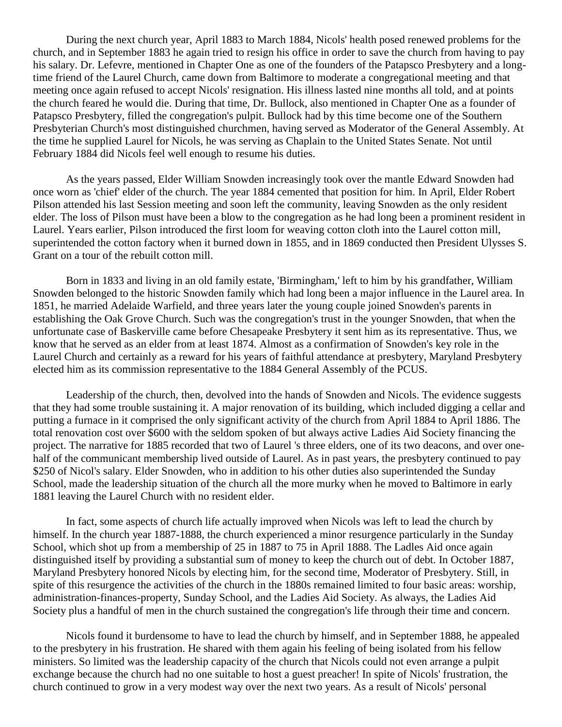During the next church year, April 1883 to March 1884, Nicols' health posed renewed problems for the church, and in September 1883 he again tried to resign his office in order to save the church from having to pay his salary. Dr. Lefevre, mentioned in Chapter One as one of the founders of the Patapsco Presbytery and a longtime friend of the Laurel Church, came down from Baltimore to moderate a congregational meeting and that meeting once again refused to accept Nicols' resignation. His illness lasted nine months all told, and at points the church feared he would die. During that time, Dr. Bullock, also mentioned in Chapter One as a founder of Patapsco Presbytery, filled the congregation's pulpit. Bullock had by this time become one of the Southern Presbyterian Church's most distinguished churchmen, having served as Moderator of the General Assembly. At the time he supplied Laurel for Nicols, he was serving as Chaplain to the United States Senate. Not until February 1884 did Nicols feel well enough to resume his duties.

As the years passed, Elder William Snowden increasingly took over the mantle Edward Snowden had once worn as 'chief' elder of the church. The year 1884 cemented that position for him. In April, Elder Robert Pilson attended his last Session meeting and soon left the community, leaving Snowden as the only resident elder. The loss of Pilson must have been a blow to the congregation as he had long been a prominent resident in Laurel. Years earlier, Pilson introduced the first loom for weaving cotton cloth into the Laurel cotton mill, superintended the cotton factory when it burned down in 1855, and in 1869 conducted then President Ulysses S. Grant on a tour of the rebuilt cotton mill.

Born in 1833 and living in an old family estate, 'Birmingham,' left to him by his grandfather, William Snowden belonged to the historic Snowden family which had long been a major influence in the Laurel area. In 1851, he married Adelaide Warfield, and three years later the young couple joined Snowden's parents in establishing the Oak Grove Church. Such was the congregation's trust in the younger Snowden, that when the unfortunate case of Baskerville came before Chesapeake Presbytery it sent him as its representative. Thus, we know that he served as an elder from at least 1874. Almost as a confirmation of Snowden's key role in the Laurel Church and certainly as a reward for his years of faithful attendance at presbytery, Maryland Presbytery elected him as its commission representative to the 1884 General Assembly of the PCUS.

Leadership of the church, then, devolved into the hands of Snowden and Nicols. The evidence suggests that they had some trouble sustaining it. A major renovation of its building, which included digging a cellar and putting a furnace in it comprised the only significant activity of the church from April 1884 to April 1886. The total renovation cost over \$600 with the seldom spoken of but always active Ladies Aid Society financing the project. The narrative for 1885 recorded that two of Laurel 's three elders, one of its two deacons, and over onehalf of the communicant membership lived outside of Laurel. As in past years, the presbytery continued to pay \$250 of Nicol's salary. Elder Snowden, who in addition to his other duties also superintended the Sunday School, made the leadership situation of the church all the more murky when he moved to Baltimore in early 1881 leaving the Laurel Church with no resident elder.

In fact, some aspects of church life actually improved when Nicols was left to lead the church by himself. In the church year 1887-1888, the church experienced a minor resurgence particularly in the Sunday School, which shot up from a membership of 25 in 1887 to 75 in April 1888. The Ladles Aid once again distinguished itself by providing a substantial sum of money to keep the church out of debt. In October 1887, Maryland Presbytery honored Nicols by electing him, for the second time, Moderator of Presbytery. Still, in spite of this resurgence the activities of the church in the 1880s remained limited to four basic areas: worship, administration-finances-property, Sunday School, and the Ladies Aid Society. As always, the Ladies Aid Society plus a handful of men in the church sustained the congregation's life through their time and concern.

Nicols found it burdensome to have to lead the church by himself, and in September 1888, he appealed to the presbytery in his frustration. He shared with them again his feeling of being isolated from his fellow ministers. So limited was the leadership capacity of the church that Nicols could not even arrange a pulpit exchange because the church had no one suitable to host a guest preacher! In spite of Nicols' frustration, the church continued to grow in a very modest way over the next two years. As a result of Nicols' personal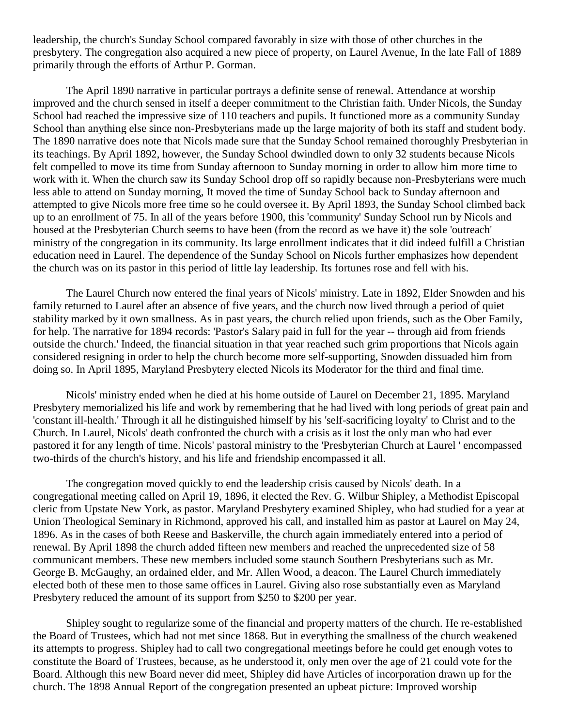leadership, the church's Sunday School compared favorably in size with those of other churches in the presbytery. The congregation also acquired a new piece of property, on Laurel Avenue, In the late Fall of 1889 primarily through the efforts of Arthur P. Gorman.

The April 1890 narrative in particular portrays a definite sense of renewal. Attendance at worship improved and the church sensed in itself a deeper commitment to the Christian faith. Under Nicols, the Sunday School had reached the impressive size of 110 teachers and pupils. It functioned more as a community Sunday School than anything else since non-Presbyterians made up the large majority of both its staff and student body. The 1890 narrative does note that Nicols made sure that the Sunday School remained thoroughly Presbyterian in its teachings. By April 1892, however, the Sunday School dwindled down to only 32 students because Nicols felt compelled to move its time from Sunday afternoon to Sunday morning in order to allow him more time to work with it. When the church saw its Sunday School drop off so rapidly because non-Presbyterians were much less able to attend on Sunday morning, It moved the time of Sunday School back to Sunday afternoon and attempted to give Nicols more free time so he could oversee it. By April 1893, the Sunday School climbed back up to an enrollment of 75. In all of the years before 1900, this 'community' Sunday School run by Nicols and housed at the Presbyterian Church seems to have been (from the record as we have it) the sole 'outreach' ministry of the congregation in its community. Its large enrollment indicates that it did indeed fulfill a Christian education need in Laurel. The dependence of the Sunday School on Nicols further emphasizes how dependent the church was on its pastor in this period of little lay leadership. Its fortunes rose and fell with his.

The Laurel Church now entered the final years of Nicols' ministry. Late in 1892, Elder Snowden and his family returned to Laurel after an absence of five years, and the church now lived through a period of quiet stability marked by it own smallness. As in past years, the church relied upon friends, such as the Ober Family, for help. The narrative for 1894 records: 'Pastor's Salary paid in full for the year -- through aid from friends outside the church.' Indeed, the financial situation in that year reached such grim proportions that Nicols again considered resigning in order to help the church become more self-supporting, Snowden dissuaded him from doing so. In April 1895, Maryland Presbytery elected Nicols its Moderator for the third and final time.

Nicols' ministry ended when he died at his home outside of Laurel on December 21, 1895. Maryland Presbytery memorialized his life and work by remembering that he had lived with long periods of great pain and 'constant ill-health.' Through it all he distinguished himself by his 'self-sacrificing loyalty' to Christ and to the Church. In Laurel, Nicols' death confronted the church with a crisis as it lost the only man who had ever pastored it for any length of time. Nicols' pastoral ministry to the 'Presbyterian Church at Laurel ' encompassed two-thirds of the church's history, and his life and friendship encompassed it all.

The congregation moved quickly to end the leadership crisis caused by Nicols' death. In a congregational meeting called on April 19, 1896, it elected the Rev. G. Wilbur Shipley, a Methodist Episcopal cleric from Upstate New York, as pastor. Maryland Presbytery examined Shipley, who had studied for a year at Union Theological Seminary in Richmond, approved his call, and installed him as pastor at Laurel on May 24, 1896. As in the cases of both Reese and Baskerville, the church again immediately entered into a period of renewal. By April 1898 the church added fifteen new members and reached the unprecedented size of 58 communicant members. These new members included some staunch Southern Presbyterians such as Mr. George B. McGaughy, an ordained elder, and Mr. Allen Wood, a deacon. The Laurel Church immediately elected both of these men to those same offices in Laurel. Giving also rose substantially even as Maryland Presbytery reduced the amount of its support from \$250 to \$200 per year.

Shipley sought to regularize some of the financial and property matters of the church. He re-established the Board of Trustees, which had not met since 1868. But in everything the smallness of the church weakened its attempts to progress. Shipley had to call two congregational meetings before he could get enough votes to constitute the Board of Trustees, because, as he understood it, only men over the age of 21 could vote for the Board. Although this new Board never did meet, Shipley did have Articles of incorporation drawn up for the church. The 1898 Annual Report of the congregation presented an upbeat picture: Improved worship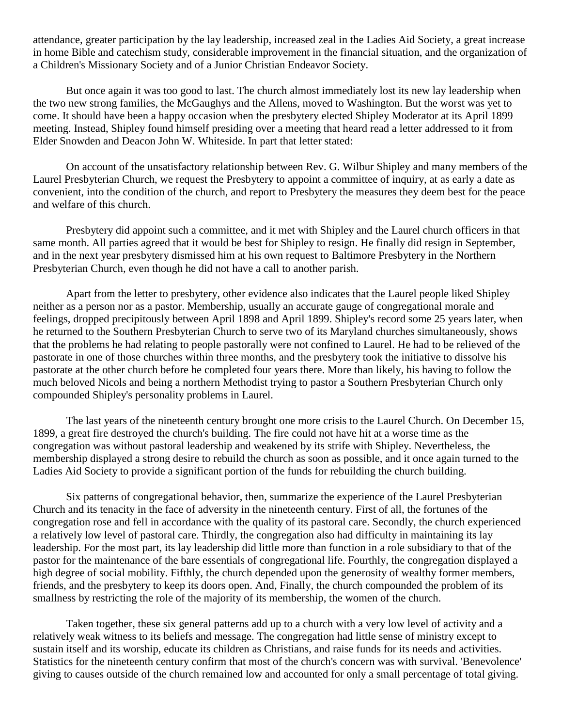attendance, greater participation by the lay leadership, increased zeal in the Ladies Aid Society, a great increase in home Bible and catechism study, considerable improvement in the financial situation, and the organization of a Children's Missionary Society and of a Junior Christian Endeavor Society.

But once again it was too good to last. The church almost immediately lost its new lay leadership when the two new strong families, the McGaughys and the Allens, moved to Washington. But the worst was yet to come. It should have been a happy occasion when the presbytery elected Shipley Moderator at its April 1899 meeting. Instead, Shipley found himself presiding over a meeting that heard read a letter addressed to it from Elder Snowden and Deacon John W. Whiteside. In part that letter stated:

On account of the unsatisfactory relationship between Rev. G. Wilbur Shipley and many members of the Laurel Presbyterian Church, we request the Presbytery to appoint a committee of inquiry, at as early a date as convenient, into the condition of the church, and report to Presbytery the measures they deem best for the peace and welfare of this church.

Presbytery did appoint such a committee, and it met with Shipley and the Laurel church officers in that same month. All parties agreed that it would be best for Shipley to resign. He finally did resign in September, and in the next year presbytery dismissed him at his own request to Baltimore Presbytery in the Northern Presbyterian Church, even though he did not have a call to another parish.

Apart from the letter to presbytery, other evidence also indicates that the Laurel people liked Shipley neither as a person nor as a pastor. Membership, usually an accurate gauge of congregational morale and feelings, dropped precipitously between April 1898 and April 1899. Shipley's record some 25 years later, when he returned to the Southern Presbyterian Church to serve two of its Maryland churches simultaneously, shows that the problems he had relating to people pastorally were not confined to Laurel. He had to be relieved of the pastorate in one of those churches within three months, and the presbytery took the initiative to dissolve his pastorate at the other church before he completed four years there. More than likely, his having to follow the much beloved Nicols and being a northern Methodist trying to pastor a Southern Presbyterian Church only compounded Shipley's personality problems in Laurel.

The last years of the nineteenth century brought one more crisis to the Laurel Church. On December 15, 1899, a great fire destroyed the church's building. The fire could not have hit at a worse time as the congregation was without pastoral leadership and weakened by its strife with Shipley. Nevertheless, the membership displayed a strong desire to rebuild the church as soon as possible, and it once again turned to the Ladies Aid Society to provide a significant portion of the funds for rebuilding the church building.

Six patterns of congregational behavior, then, summarize the experience of the Laurel Presbyterian Church and its tenacity in the face of adversity in the nineteenth century. First of all, the fortunes of the congregation rose and fell in accordance with the quality of its pastoral care. Secondly, the church experienced a relatively low level of pastoral care. Thirdly, the congregation also had difficulty in maintaining its lay leadership. For the most part, its lay leadership did little more than function in a role subsidiary to that of the pastor for the maintenance of the bare essentials of congregational life. Fourthly, the congregation displayed a high degree of social mobility. Fifthly, the church depended upon the generosity of wealthy former members, friends, and the presbytery to keep its doors open. And, Finally, the church compounded the problem of its smallness by restricting the role of the majority of its membership, the women of the church.

Taken together, these six general patterns add up to a church with a very low level of activity and a relatively weak witness to its beliefs and message. The congregation had little sense of ministry except to sustain itself and its worship, educate its children as Christians, and raise funds for its needs and activities. Statistics for the nineteenth century confirm that most of the church's concern was with survival. 'Benevolence' giving to causes outside of the church remained low and accounted for only a small percentage of total giving.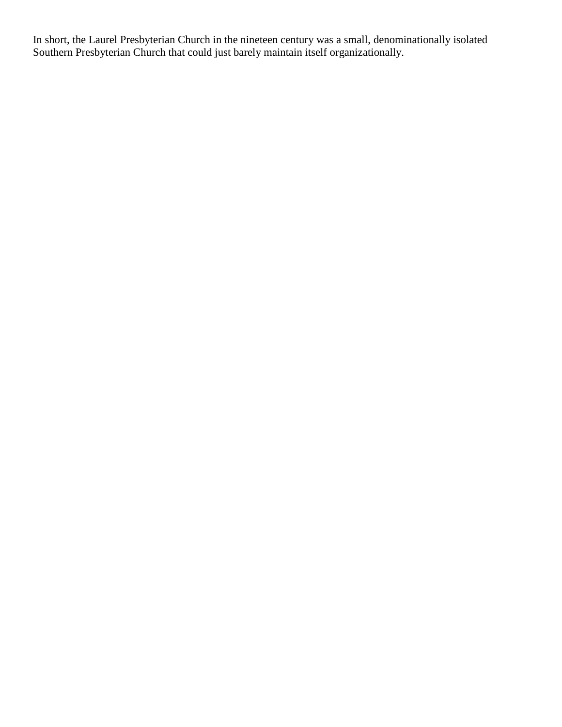In short, the Laurel Presbyterian Church in the nineteen century was a small, denominationally isolated Southern Presbyterian Church that could just barely maintain itself organizationally.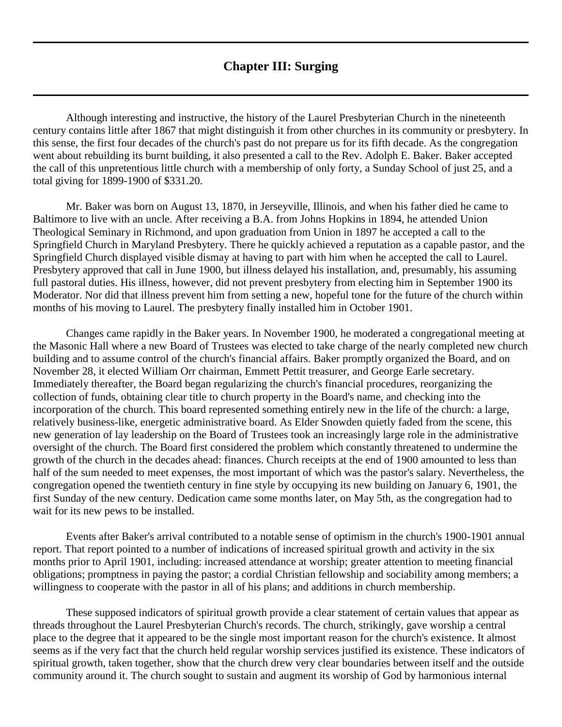## **Chapter III: Surging**

<span id="page-16-0"></span>Although interesting and instructive, the history of the Laurel Presbyterian Church in the nineteenth century contains little after 1867 that might distinguish it from other churches in its community or presbytery. In this sense, the first four decades of the church's past do not prepare us for its fifth decade. As the congregation went about rebuilding its burnt building, it also presented a call to the Rev. Adolph E. Baker. Baker accepted the call of this unpretentious little church with a membership of only forty, a Sunday School of just 25, and a total giving for 1899-1900 of \$331.20.

Mr. Baker was born on August 13, 1870, in Jerseyville, Illinois, and when his father died he came to Baltimore to live with an uncle. After receiving a B.A. from Johns Hopkins in 1894, he attended Union Theological Seminary in Richmond, and upon graduation from Union in 1897 he accepted a call to the Springfield Church in Maryland Presbytery. There he quickly achieved a reputation as a capable pastor, and the Springfield Church displayed visible dismay at having to part with him when he accepted the call to Laurel. Presbytery approved that call in June 1900, but illness delayed his installation, and, presumably, his assuming full pastoral duties. His illness, however, did not prevent presbytery from electing him in September 1900 its Moderator. Nor did that illness prevent him from setting a new, hopeful tone for the future of the church within months of his moving to Laurel. The presbytery finally installed him in October 1901.

Changes came rapidly in the Baker years. In November 1900, he moderated a congregational meeting at the Masonic Hall where a new Board of Trustees was elected to take charge of the nearly completed new church building and to assume control of the church's financial affairs. Baker promptly organized the Board, and on November 28, it elected William Orr chairman, Emmett Pettit treasurer, and George Earle secretary. Immediately thereafter, the Board began regularizing the church's financial procedures, reorganizing the collection of funds, obtaining clear title to church property in the Board's name, and checking into the incorporation of the church. This board represented something entirely new in the life of the church: a large, relatively business-like, energetic administrative board. As Elder Snowden quietly faded from the scene, this new generation of lay leadership on the Board of Trustees took an increasingly large role in the administrative oversight of the church. The Board first considered the problem which constantly threatened to undermine the growth of the church in the decades ahead: finances. Church receipts at the end of 1900 amounted to less than half of the sum needed to meet expenses, the most important of which was the pastor's salary. Nevertheless, the congregation opened the twentieth century in fine style by occupying its new building on January 6, 1901, the first Sunday of the new century. Dedication came some months later, on May 5th, as the congregation had to wait for its new pews to be installed.

Events after Baker's arrival contributed to a notable sense of optimism in the church's 1900-1901 annual report. That report pointed to a number of indications of increased spiritual growth and activity in the six months prior to April 1901, including: increased attendance at worship; greater attention to meeting financial obligations; promptness in paying the pastor; a cordial Christian fellowship and sociability among members; a willingness to cooperate with the pastor in all of his plans; and additions in church membership.

These supposed indicators of spiritual growth provide a clear statement of certain values that appear as threads throughout the Laurel Presbyterian Church's records. The church, strikingly, gave worship a central place to the degree that it appeared to be the single most important reason for the church's existence. It almost seems as if the very fact that the church held regular worship services justified its existence. These indicators of spiritual growth, taken together, show that the church drew very clear boundaries between itself and the outside community around it. The church sought to sustain and augment its worship of God by harmonious internal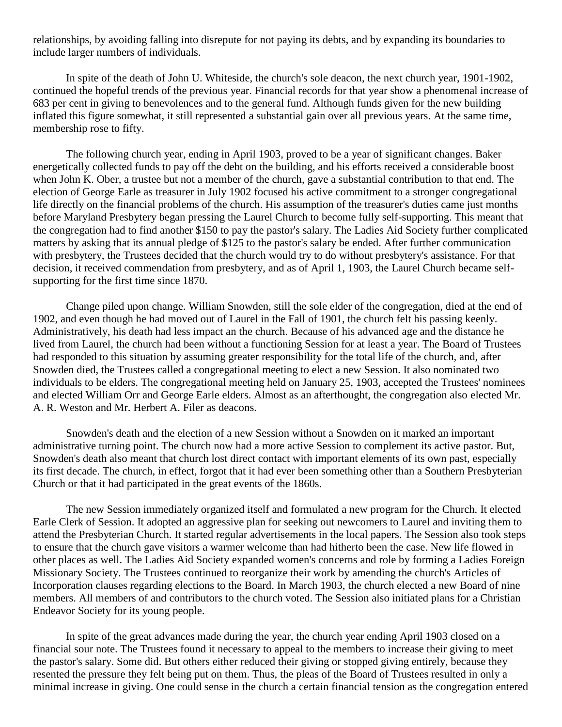relationships, by avoiding falling into disrepute for not paying its debts, and by expanding its boundaries to include larger numbers of individuals.

In spite of the death of John U. Whiteside, the church's sole deacon, the next church year, 1901-1902, continued the hopeful trends of the previous year. Financial records for that year show a phenomenal increase of 683 per cent in giving to benevolences and to the general fund. Although funds given for the new building inflated this figure somewhat, it still represented a substantial gain over all previous years. At the same time, membership rose to fifty.

The following church year, ending in April 1903, proved to be a year of significant changes. Baker energetically collected funds to pay off the debt on the building, and his efforts received a considerable boost when John K. Ober, a trustee but not a member of the church, gave a substantial contribution to that end. The election of George Earle as treasurer in July 1902 focused his active commitment to a stronger congregational life directly on the financial problems of the church. His assumption of the treasurer's duties came just months before Maryland Presbytery began pressing the Laurel Church to become fully self-supporting. This meant that the congregation had to find another \$150 to pay the pastor's salary. The Ladies Aid Society further complicated matters by asking that its annual pledge of \$125 to the pastor's salary be ended. After further communication with presbytery, the Trustees decided that the church would try to do without presbytery's assistance. For that decision, it received commendation from presbytery, and as of April 1, 1903, the Laurel Church became selfsupporting for the first time since 1870.

Change piled upon change. William Snowden, still the sole elder of the congregation, died at the end of 1902, and even though he had moved out of Laurel in the Fall of 1901, the church felt his passing keenly. Administratively, his death had less impact an the church. Because of his advanced age and the distance he lived from Laurel, the church had been without a functioning Session for at least a year. The Board of Trustees had responded to this situation by assuming greater responsibility for the total life of the church, and, after Snowden died, the Trustees called a congregational meeting to elect a new Session. It also nominated two individuals to be elders. The congregational meeting held on January 25, 1903, accepted the Trustees' nominees and elected William Orr and George Earle elders. Almost as an afterthought, the congregation also elected Mr. A. R. Weston and Mr. Herbert A. Filer as deacons.

Snowden's death and the election of a new Session without a Snowden on it marked an important administrative turning point. The church now had a more active Session to complement its active pastor. But, Snowden's death also meant that church lost direct contact with important elements of its own past, especially its first decade. The church, in effect, forgot that it had ever been something other than a Southern Presbyterian Church or that it had participated in the great events of the 1860s.

The new Session immediately organized itself and formulated a new program for the Church. It elected Earle Clerk of Session. It adopted an aggressive plan for seeking out newcomers to Laurel and inviting them to attend the Presbyterian Church. It started regular advertisements in the local papers. The Session also took steps to ensure that the church gave visitors a warmer welcome than had hitherto been the case. New life flowed in other places as well. The Ladies Aid Society expanded women's concerns and role by forming a Ladies Foreign Missionary Society. The Trustees continued to reorganize their work by amending the church's Articles of Incorporation clauses regarding elections to the Board. In March 1903, the church elected a new Board of nine members. All members of and contributors to the church voted. The Session also initiated plans for a Christian Endeavor Society for its young people.

In spite of the great advances made during the year, the church year ending April 1903 closed on a financial sour note. The Trustees found it necessary to appeal to the members to increase their giving to meet the pastor's salary. Some did. But others either reduced their giving or stopped giving entirely, because they resented the pressure they felt being put on them. Thus, the pleas of the Board of Trustees resulted in only a minimal increase in giving. One could sense in the church a certain financial tension as the congregation entered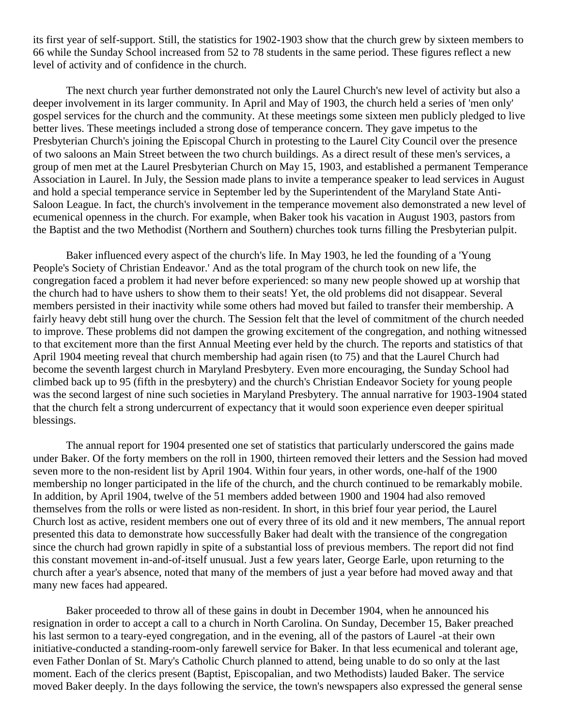its first year of self-support. Still, the statistics for 1902-1903 show that the church grew by sixteen members to 66 while the Sunday School increased from 52 to 78 students in the same period. These figures reflect a new level of activity and of confidence in the church.

The next church year further demonstrated not only the Laurel Church's new level of activity but also a deeper involvement in its larger community. In April and May of 1903, the church held a series of 'men only' gospel services for the church and the community. At these meetings some sixteen men publicly pledged to live better lives. These meetings included a strong dose of temperance concern. They gave impetus to the Presbyterian Church's joining the Episcopal Church in protesting to the Laurel City Council over the presence of two saloons an Main Street between the two church buildings. As a direct result of these men's services, a group of men met at the Laurel Presbyterian Church on May 15, 1903, and established a permanent Temperance Association in Laurel. In July, the Session made plans to invite a temperance speaker to lead services in August and hold a special temperance service in September led by the Superintendent of the Maryland State Anti-Saloon League. In fact, the church's involvement in the temperance movement also demonstrated a new level of ecumenical openness in the church. For example, when Baker took his vacation in August 1903, pastors from the Baptist and the two Methodist (Northern and Southern) churches took turns filling the Presbyterian pulpit.

Baker influenced every aspect of the church's life. In May 1903, he led the founding of a 'Young People's Society of Christian Endeavor.' And as the total program of the church took on new life, the congregation faced a problem it had never before experienced: so many new people showed up at worship that the church had to have ushers to show them to their seats! Yet, the old problems did not disappear. Several members persisted in their inactivity while some others had moved but failed to transfer their membership. A fairly heavy debt still hung over the church. The Session felt that the level of commitment of the church needed to improve. These problems did not dampen the growing excitement of the congregation, and nothing witnessed to that excitement more than the first Annual Meeting ever held by the church. The reports and statistics of that April 1904 meeting reveal that church membership had again risen (to 75) and that the Laurel Church had become the seventh largest church in Maryland Presbytery. Even more encouraging, the Sunday School had climbed back up to 95 (fifth in the presbytery) and the church's Christian Endeavor Society for young people was the second largest of nine such societies in Maryland Presbytery. The annual narrative for 1903-1904 stated that the church felt a strong undercurrent of expectancy that it would soon experience even deeper spiritual blessings.

The annual report for 1904 presented one set of statistics that particularly underscored the gains made under Baker. Of the forty members on the roll in 1900, thirteen removed their letters and the Session had moved seven more to the non-resident list by April 1904. Within four years, in other words, one-half of the 1900 membership no longer participated in the life of the church, and the church continued to be remarkably mobile. In addition, by April 1904, twelve of the 51 members added between 1900 and 1904 had also removed themselves from the rolls or were listed as non-resident. In short, in this brief four year period, the Laurel Church lost as active, resident members one out of every three of its old and it new members, The annual report presented this data to demonstrate how successfully Baker had dealt with the transience of the congregation since the church had grown rapidly in spite of a substantial loss of previous members. The report did not find this constant movement in-and-of-itself unusual. Just a few years later, George Earle, upon returning to the church after a year's absence, noted that many of the members of just a year before had moved away and that many new faces had appeared.

Baker proceeded to throw all of these gains in doubt in December 1904, when he announced his resignation in order to accept a call to a church in North Carolina. On Sunday, December 15, Baker preached his last sermon to a teary-eyed congregation, and in the evening, all of the pastors of Laurel -at their own initiative-conducted a standing-room-only farewell service for Baker. In that less ecumenical and tolerant age, even Father Donlan of St. Mary's Catholic Church planned to attend, being unable to do so only at the last moment. Each of the clerics present (Baptist, Episcopalian, and two Methodists) lauded Baker. The service moved Baker deeply. In the days following the service, the town's newspapers also expressed the general sense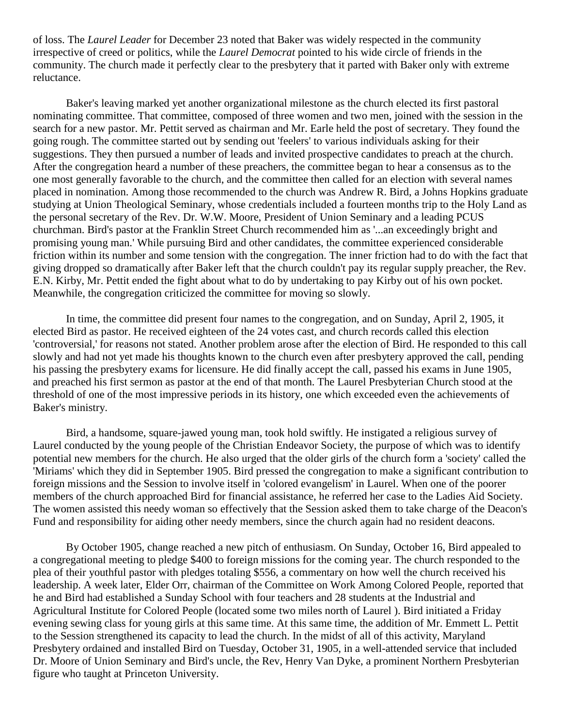of loss. The *Laurel Leader* for December 23 noted that Baker was widely respected in the community irrespective of creed or politics, while the *Laurel Democrat* pointed to his wide circle of friends in the community. The church made it perfectly clear to the presbytery that it parted with Baker only with extreme reluctance.

Baker's leaving marked yet another organizational milestone as the church elected its first pastoral nominating committee. That committee, composed of three women and two men, joined with the session in the search for a new pastor. Mr. Pettit served as chairman and Mr. Earle held the post of secretary. They found the going rough. The committee started out by sending out 'feelers' to various individuals asking for their suggestions. They then pursued a number of leads and invited prospective candidates to preach at the church. After the congregation heard a number of these preachers, the committee began to hear a consensus as to the one most generally favorable to the church, and the committee then called for an election with several names placed in nomination. Among those recommended to the church was Andrew R. Bird, a Johns Hopkins graduate studying at Union Theological Seminary, whose credentials included a fourteen months trip to the Holy Land as the personal secretary of the Rev. Dr. W.W. Moore, President of Union Seminary and a leading PCUS churchman. Bird's pastor at the Franklin Street Church recommended him as '...an exceedingly bright and promising young man.' While pursuing Bird and other candidates, the committee experienced considerable friction within its number and some tension with the congregation. The inner friction had to do with the fact that giving dropped so dramatically after Baker left that the church couldn't pay its regular supply preacher, the Rev. E.N. Kirby, Mr. Pettit ended the fight about what to do by undertaking to pay Kirby out of his own pocket. Meanwhile, the congregation criticized the committee for moving so slowly.

In time, the committee did present four names to the congregation, and on Sunday, April 2, 1905, it elected Bird as pastor. He received eighteen of the 24 votes cast, and church records called this election 'controversial,' for reasons not stated. Another problem arose after the election of Bird. He responded to this call slowly and had not yet made his thoughts known to the church even after presbytery approved the call, pending his passing the presbytery exams for licensure. He did finally accept the call, passed his exams in June 1905, and preached his first sermon as pastor at the end of that month. The Laurel Presbyterian Church stood at the threshold of one of the most impressive periods in its history, one which exceeded even the achievements of Baker's ministry.

Bird, a handsome, square-jawed young man, took hold swiftly. He instigated a religious survey of Laurel conducted by the young people of the Christian Endeavor Society, the purpose of which was to identify potential new members for the church. He also urged that the older girls of the church form a 'society' called the 'Miriams' which they did in September 1905. Bird pressed the congregation to make a significant contribution to foreign missions and the Session to involve itself in 'colored evangelism' in Laurel. When one of the poorer members of the church approached Bird for financial assistance, he referred her case to the Ladies Aid Society. The women assisted this needy woman so effectively that the Session asked them to take charge of the Deacon's Fund and responsibility for aiding other needy members, since the church again had no resident deacons.

By October 1905, change reached a new pitch of enthusiasm. On Sunday, October 16, Bird appealed to a congregational meeting to pledge \$400 to foreign missions for the coming year. The church responded to the plea of their youthful pastor with pledges totaling \$556, a commentary on how well the church received his leadership. A week later, Elder Orr, chairman of the Committee on Work Among Colored People, reported that he and Bird had established a Sunday School with four teachers and 28 students at the Industrial and Agricultural Institute for Colored People (located some two miles north of Laurel ). Bird initiated a Friday evening sewing class for young girls at this same time. At this same time, the addition of Mr. Emmett L. Pettit to the Session strengthened its capacity to lead the church. In the midst of all of this activity, Maryland Presbytery ordained and installed Bird on Tuesday, October 31, 1905, in a well-attended service that included Dr. Moore of Union Seminary and Bird's uncle, the Rev, Henry Van Dyke, a prominent Northern Presbyterian figure who taught at Princeton University.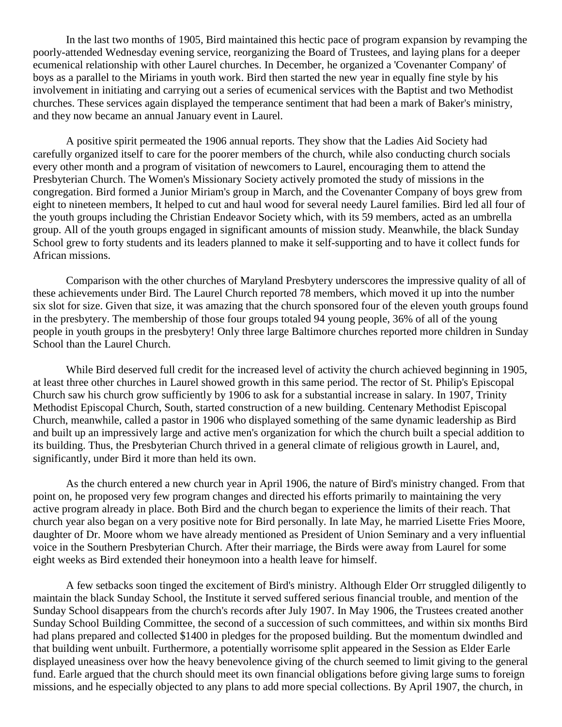In the last two months of 1905, Bird maintained this hectic pace of program expansion by revamping the poorly-attended Wednesday evening service, reorganizing the Board of Trustees, and laying plans for a deeper ecumenical relationship with other Laurel churches. In December, he organized a 'Covenanter Company' of boys as a parallel to the Miriams in youth work. Bird then started the new year in equally fine style by his involvement in initiating and carrying out a series of ecumenical services with the Baptist and two Methodist churches. These services again displayed the temperance sentiment that had been a mark of Baker's ministry, and they now became an annual January event in Laurel.

A positive spirit permeated the 1906 annual reports. They show that the Ladies Aid Society had carefully organized itself to care for the poorer members of the church, while also conducting church socials every other month and a program of visitation of newcomers to Laurel, encouraging them to attend the Presbyterian Church. The Women's Missionary Society actively promoted the study of missions in the congregation. Bird formed a Junior Miriam's group in March, and the Covenanter Company of boys grew from eight to nineteen members, It helped to cut and haul wood for several needy Laurel families. Bird led all four of the youth groups including the Christian Endeavor Society which, with its 59 members, acted as an umbrella group. All of the youth groups engaged in significant amounts of mission study. Meanwhile, the black Sunday School grew to forty students and its leaders planned to make it self-supporting and to have it collect funds for African missions.

Comparison with the other churches of Maryland Presbytery underscores the impressive quality of all of these achievements under Bird. The Laurel Church reported 78 members, which moved it up into the number six slot for size. Given that size, it was amazing that the church sponsored four of the eleven youth groups found in the presbytery. The membership of those four groups totaled 94 young people, 36% of all of the young people in youth groups in the presbytery! Only three large Baltimore churches reported more children in Sunday School than the Laurel Church.

While Bird deserved full credit for the increased level of activity the church achieved beginning in 1905, at least three other churches in Laurel showed growth in this same period. The rector of St. Philip's Episcopal Church saw his church grow sufficiently by 1906 to ask for a substantial increase in salary. In 1907, Trinity Methodist Episcopal Church, South, started construction of a new building. Centenary Methodist Episcopal Church, meanwhile, called a pastor in 1906 who displayed something of the same dynamic leadership as Bird and built up an impressively large and active men's organization for which the church built a special addition to its building. Thus, the Presbyterian Church thrived in a general climate of religious growth in Laurel, and, significantly, under Bird it more than held its own.

As the church entered a new church year in April 1906, the nature of Bird's ministry changed. From that point on, he proposed very few program changes and directed his efforts primarily to maintaining the very active program already in place. Both Bird and the church began to experience the limits of their reach. That church year also began on a very positive note for Bird personally. In late May, he married Lisette Fries Moore, daughter of Dr. Moore whom we have already mentioned as President of Union Seminary and a very influential voice in the Southern Presbyterian Church. After their marriage, the Birds were away from Laurel for some eight weeks as Bird extended their honeymoon into a health leave for himself.

A few setbacks soon tinged the excitement of Bird's ministry. Although Elder Orr struggled diligently to maintain the black Sunday School, the Institute it served suffered serious financial trouble, and mention of the Sunday School disappears from the church's records after July 1907. In May 1906, the Trustees created another Sunday School Building Committee, the second of a succession of such committees, and within six months Bird had plans prepared and collected \$1400 in pledges for the proposed building. But the momentum dwindled and that building went unbuilt. Furthermore, a potentially worrisome split appeared in the Session as Elder Earle displayed uneasiness over how the heavy benevolence giving of the church seemed to limit giving to the general fund. Earle argued that the church should meet its own financial obligations before giving large sums to foreign missions, and he especially objected to any plans to add more special collections. By April 1907, the church, in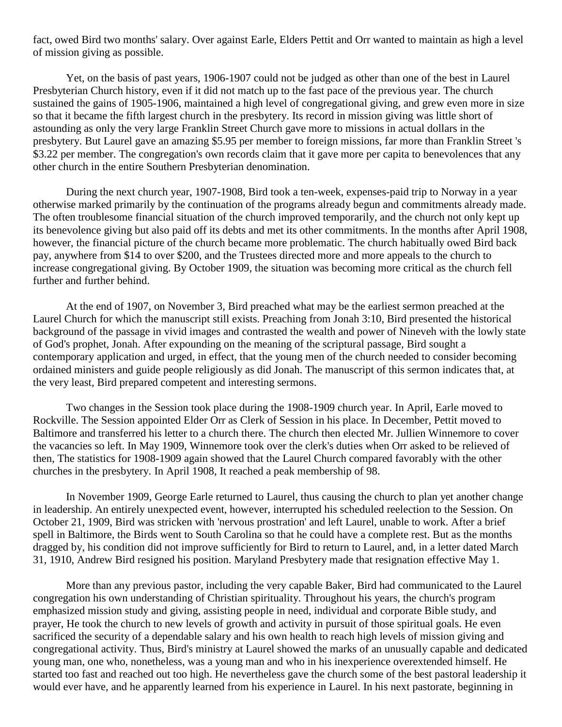fact, owed Bird two months' salary. Over against Earle, Elders Pettit and Orr wanted to maintain as high a level of mission giving as possible.

Yet, on the basis of past years, 1906-1907 could not be judged as other than one of the best in Laurel Presbyterian Church history, even if it did not match up to the fast pace of the previous year. The church sustained the gains of 1905-1906, maintained a high level of congregational giving, and grew even more in size so that it became the fifth largest church in the presbytery. Its record in mission giving was little short of astounding as only the very large Franklin Street Church gave more to missions in actual dollars in the presbytery. But Laurel gave an amazing \$5.95 per member to foreign missions, far more than Franklin Street 's \$3.22 per member. The congregation's own records claim that it gave more per capita to benevolences that any other church in the entire Southern Presbyterian denomination.

During the next church year, 1907-1908, Bird took a ten-week, expenses-paid trip to Norway in a year otherwise marked primarily by the continuation of the programs already begun and commitments already made. The often troublesome financial situation of the church improved temporarily, and the church not only kept up its benevolence giving but also paid off its debts and met its other commitments. In the months after April 1908, however, the financial picture of the church became more problematic. The church habitually owed Bird back pay, anywhere from \$14 to over \$200, and the Trustees directed more and more appeals to the church to increase congregational giving. By October 1909, the situation was becoming more critical as the church fell further and further behind.

At the end of 1907, on November 3, Bird preached what may be the earliest sermon preached at the Laurel Church for which the manuscript still exists. Preaching from Jonah 3:10, Bird presented the historical background of the passage in vivid images and contrasted the wealth and power of Nineveh with the lowly state of God's prophet, Jonah. After expounding on the meaning of the scriptural passage, Bird sought a contemporary application and urged, in effect, that the young men of the church needed to consider becoming ordained ministers and guide people religiously as did Jonah. The manuscript of this sermon indicates that, at the very least, Bird prepared competent and interesting sermons.

Two changes in the Session took place during the 1908-1909 church year. In April, Earle moved to Rockville. The Session appointed Elder Orr as Clerk of Session in his place. In December, Pettit moved to Baltimore and transferred his letter to a church there. The church then elected Mr. Jullien Winnemore to cover the vacancies so left. In May 1909, Winnemore took over the clerk's duties when Orr asked to be relieved of then, The statistics for 1908-1909 again showed that the Laurel Church compared favorably with the other churches in the presbytery. In April 1908, It reached a peak membership of 98.

In November 1909, George Earle returned to Laurel, thus causing the church to plan yet another change in leadership. An entirely unexpected event, however, interrupted his scheduled reelection to the Session. On October 21, 1909, Bird was stricken with 'nervous prostration' and left Laurel, unable to work. After a brief spell in Baltimore, the Birds went to South Carolina so that he could have a complete rest. But as the months dragged by, his condition did not improve sufficiently for Bird to return to Laurel, and, in a letter dated March 31, 1910, Andrew Bird resigned his position. Maryland Presbytery made that resignation effective May 1.

More than any previous pastor, including the very capable Baker, Bird had communicated to the Laurel congregation his own understanding of Christian spirituality. Throughout his years, the church's program emphasized mission study and giving, assisting people in need, individual and corporate Bible study, and prayer, He took the church to new levels of growth and activity in pursuit of those spiritual goals. He even sacrificed the security of a dependable salary and his own health to reach high levels of mission giving and congregational activity. Thus, Bird's ministry at Laurel showed the marks of an unusually capable and dedicated young man, one who, nonetheless, was a young man and who in his inexperience overextended himself. He started too fast and reached out too high. He nevertheless gave the church some of the best pastoral leadership it would ever have, and he apparently learned from his experience in Laurel. In his next pastorate, beginning in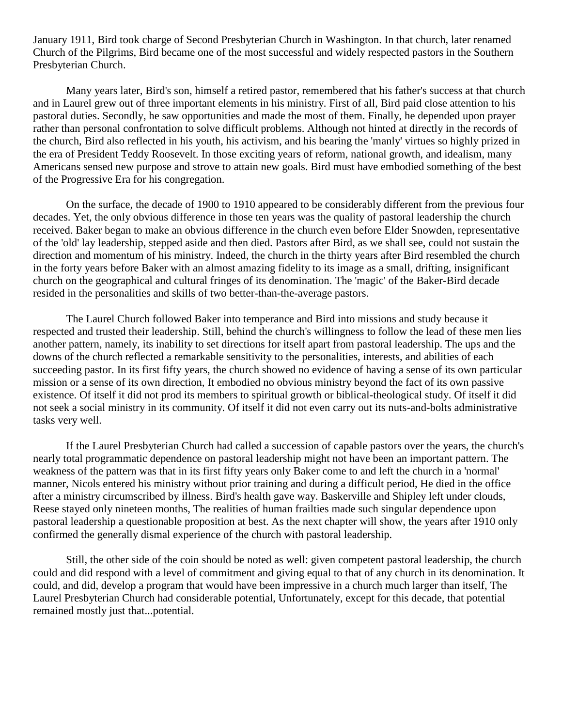January 1911, Bird took charge of Second Presbyterian Church in Washington. In that church, later renamed Church of the Pilgrims, Bird became one of the most successful and widely respected pastors in the Southern Presbyterian Church.

Many years later, Bird's son, himself a retired pastor, remembered that his father's success at that church and in Laurel grew out of three important elements in his ministry. First of all, Bird paid close attention to his pastoral duties. Secondly, he saw opportunities and made the most of them. Finally, he depended upon prayer rather than personal confrontation to solve difficult problems. Although not hinted at directly in the records of the church, Bird also reflected in his youth, his activism, and his bearing the 'manly' virtues so highly prized in the era of President Teddy Roosevelt. In those exciting years of reform, national growth, and idealism, many Americans sensed new purpose and strove to attain new goals. Bird must have embodied something of the best of the Progressive Era for his congregation.

On the surface, the decade of 1900 to 1910 appeared to be considerably different from the previous four decades. Yet, the only obvious difference in those ten years was the quality of pastoral leadership the church received. Baker began to make an obvious difference in the church even before Elder Snowden, representative of the 'old' lay leadership, stepped aside and then died. Pastors after Bird, as we shall see, could not sustain the direction and momentum of his ministry. Indeed, the church in the thirty years after Bird resembled the church in the forty years before Baker with an almost amazing fidelity to its image as a small, drifting, insignificant church on the geographical and cultural fringes of its denomination. The 'magic' of the Baker-Bird decade resided in the personalities and skills of two better-than-the-average pastors.

The Laurel Church followed Baker into temperance and Bird into missions and study because it respected and trusted their leadership. Still, behind the church's willingness to follow the lead of these men lies another pattern, namely, its inability to set directions for itself apart from pastoral leadership. The ups and the downs of the church reflected a remarkable sensitivity to the personalities, interests, and abilities of each succeeding pastor. In its first fifty years, the church showed no evidence of having a sense of its own particular mission or a sense of its own direction, It embodied no obvious ministry beyond the fact of its own passive existence. Of itself it did not prod its members to spiritual growth or biblical-theological study. Of itself it did not seek a social ministry in its community. Of itself it did not even carry out its nuts-and-bolts administrative tasks very well.

If the Laurel Presbyterian Church had called a succession of capable pastors over the years, the church's nearly total programmatic dependence on pastoral leadership might not have been an important pattern. The weakness of the pattern was that in its first fifty years only Baker come to and left the church in a 'normal' manner, Nicols entered his ministry without prior training and during a difficult period, He died in the office after a ministry circumscribed by illness. Bird's health gave way. Baskerville and Shipley left under clouds, Reese stayed only nineteen months, The realities of human frailties made such singular dependence upon pastoral leadership a questionable proposition at best. As the next chapter will show, the years after 1910 only confirmed the generally dismal experience of the church with pastoral leadership.

Still, the other side of the coin should be noted as well: given competent pastoral leadership, the church could and did respond with a level of commitment and giving equal to that of any church in its denomination. It could, and did, develop a program that would have been impressive in a church much larger than itself, The Laurel Presbyterian Church had considerable potential, Unfortunately, except for this decade, that potential remained mostly just that...potential.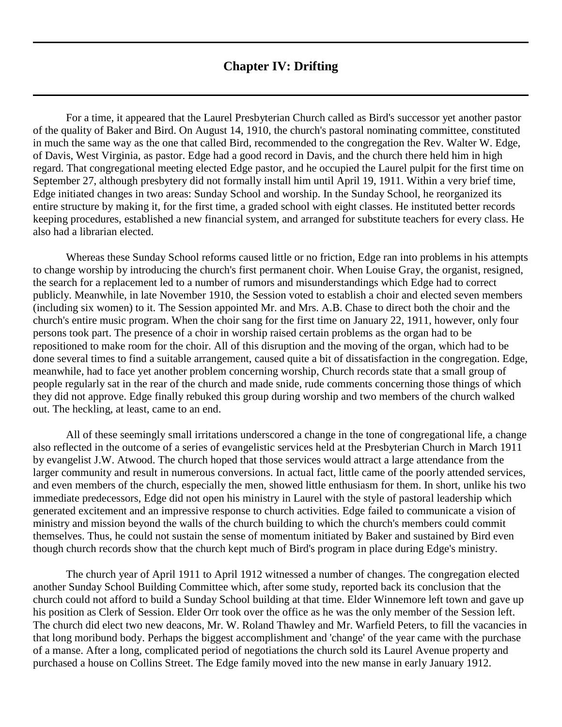## **Chapter IV: Drifting**

<span id="page-23-0"></span>For a time, it appeared that the Laurel Presbyterian Church called as Bird's successor yet another pastor of the quality of Baker and Bird. On August 14, 1910, the church's pastoral nominating committee, constituted in much the same way as the one that called Bird, recommended to the congregation the Rev. Walter W. Edge, of Davis, West Virginia, as pastor. Edge had a good record in Davis, and the church there held him in high regard. That congregational meeting elected Edge pastor, and he occupied the Laurel pulpit for the first time on September 27, although presbytery did not formally install him until April 19, 1911. Within a very brief time, Edge initiated changes in two areas: Sunday School and worship. In the Sunday School, he reorganized its entire structure by making it, for the first time, a graded school with eight classes. He instituted better records keeping procedures, established a new financial system, and arranged for substitute teachers for every class. He also had a librarian elected.

Whereas these Sunday School reforms caused little or no friction, Edge ran into problems in his attempts to change worship by introducing the church's first permanent choir. When Louise Gray, the organist, resigned, the search for a replacement led to a number of rumors and misunderstandings which Edge had to correct publicly. Meanwhile, in late November 1910, the Session voted to establish a choir and elected seven members (including six women) to it. The Session appointed Mr. and Mrs. A.B. Chase to direct both the choir and the church's entire music program. When the choir sang for the first time on January 22, 1911, however, only four persons took part. The presence of a choir in worship raised certain problems as the organ had to be repositioned to make room for the choir. All of this disruption and the moving of the organ, which had to be done several times to find a suitable arrangement, caused quite a bit of dissatisfaction in the congregation. Edge, meanwhile, had to face yet another problem concerning worship, Church records state that a small group of people regularly sat in the rear of the church and made snide, rude comments concerning those things of which they did not approve. Edge finally rebuked this group during worship and two members of the church walked out. The heckling, at least, came to an end.

All of these seemingly small irritations underscored a change in the tone of congregational life, a change also reflected in the outcome of a series of evangelistic services held at the Presbyterian Church in March 1911 by evangelist J.W. Atwood. The church hoped that those services would attract a large attendance from the larger community and result in numerous conversions. In actual fact, little came of the poorly attended services, and even members of the church, especially the men, showed little enthusiasm for them. In short, unlike his two immediate predecessors, Edge did not open his ministry in Laurel with the style of pastoral leadership which generated excitement and an impressive response to church activities. Edge failed to communicate a vision of ministry and mission beyond the walls of the church building to which the church's members could commit themselves. Thus, he could not sustain the sense of momentum initiated by Baker and sustained by Bird even though church records show that the church kept much of Bird's program in place during Edge's ministry.

The church year of April 1911 to April 1912 witnessed a number of changes. The congregation elected another Sunday School Building Committee which, after some study, reported back its conclusion that the church could not afford to build a Sunday School building at that time. Elder Winnemore left town and gave up his position as Clerk of Session. Elder Orr took over the office as he was the only member of the Session left. The church did elect two new deacons, Mr. W. Roland Thawley and Mr. Warfield Peters, to fill the vacancies in that long moribund body. Perhaps the biggest accomplishment and 'change' of the year came with the purchase of a manse. After a long, complicated period of negotiations the church sold its Laurel Avenue property and purchased a house on Collins Street. The Edge family moved into the new manse in early January 1912.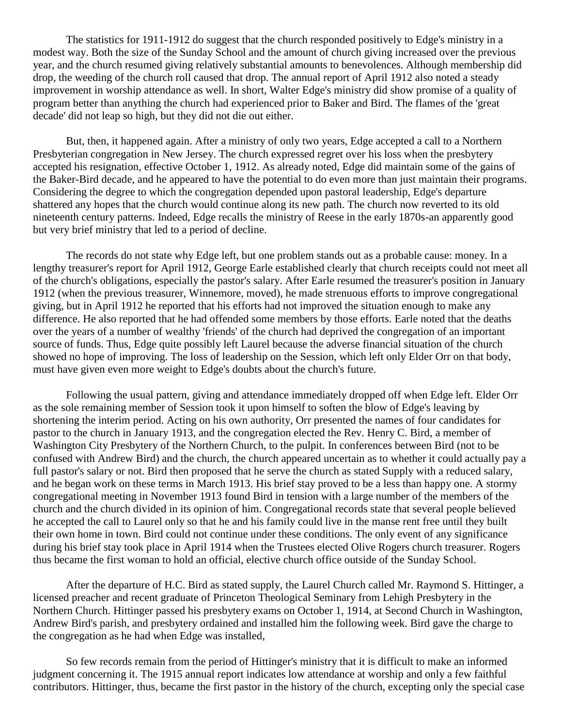The statistics for 1911-1912 do suggest that the church responded positively to Edge's ministry in a modest way. Both the size of the Sunday School and the amount of church giving increased over the previous year, and the church resumed giving relatively substantial amounts to benevolences. Although membership did drop, the weeding of the church roll caused that drop. The annual report of April 1912 also noted a steady improvement in worship attendance as well. In short, Walter Edge's ministry did show promise of a quality of program better than anything the church had experienced prior to Baker and Bird. The flames of the 'great decade' did not leap so high, but they did not die out either.

But, then, it happened again. After a ministry of only two years, Edge accepted a call to a Northern Presbyterian congregation in New Jersey. The church expressed regret over his loss when the presbytery accepted his resignation, effective October 1, 1912. As already noted, Edge did maintain some of the gains of the Baker-Bird decade, and he appeared to have the potential to do even more than just maintain their programs. Considering the degree to which the congregation depended upon pastoral leadership, Edge's departure shattered any hopes that the church would continue along its new path. The church now reverted to its old nineteenth century patterns. Indeed, Edge recalls the ministry of Reese in the early 1870s-an apparently good but very brief ministry that led to a period of decline.

The records do not state why Edge left, but one problem stands out as a probable cause: money. In a lengthy treasurer's report for April 1912, George Earle established clearly that church receipts could not meet all of the church's obligations, especially the pastor's salary. After Earle resumed the treasurer's position in January 1912 (when the previous treasurer, Winnemore, moved), he made strenuous efforts to improve congregational giving, but in April 1912 he reported that his efforts had not improved the situation enough to make any difference. He also reported that he had offended some members by those efforts. Earle noted that the deaths over the years of a number of wealthy 'friends' of the church had deprived the congregation of an important source of funds. Thus, Edge quite possibly left Laurel because the adverse financial situation of the church showed no hope of improving. The loss of leadership on the Session, which left only Elder Orr on that body, must have given even more weight to Edge's doubts about the church's future.

Following the usual pattern, giving and attendance immediately dropped off when Edge left. Elder Orr as the sole remaining member of Session took it upon himself to soften the blow of Edge's leaving by shortening the interim period. Acting on his own authority, Orr presented the names of four candidates for pastor to the church in January 1913, and the congregation elected the Rev. Henry C. Bird, a member of Washington City Presbytery of the Northern Church, to the pulpit. In conferences between Bird (not to be confused with Andrew Bird) and the church, the church appeared uncertain as to whether it could actually pay a full pastor's salary or not. Bird then proposed that he serve the church as stated Supply with a reduced salary, and he began work on these terms in March 1913. His brief stay proved to be a less than happy one. A stormy congregational meeting in November 1913 found Bird in tension with a large number of the members of the church and the church divided in its opinion of him. Congregational records state that several people believed he accepted the call to Laurel only so that he and his family could live in the manse rent free until they built their own home in town. Bird could not continue under these conditions. The only event of any significance during his brief stay took place in April 1914 when the Trustees elected Olive Rogers church treasurer. Rogers thus became the first woman to hold an official, elective church office outside of the Sunday School.

After the departure of H.C. Bird as stated supply, the Laurel Church called Mr. Raymond S. Hittinger, a licensed preacher and recent graduate of Princeton Theological Seminary from Lehigh Presbytery in the Northern Church. Hittinger passed his presbytery exams on October 1, 1914, at Second Church in Washington, Andrew Bird's parish, and presbytery ordained and installed him the following week. Bird gave the charge to the congregation as he had when Edge was installed,

So few records remain from the period of Hittinger's ministry that it is difficult to make an informed judgment concerning it. The 1915 annual report indicates low attendance at worship and only a few faithful contributors. Hittinger, thus, became the first pastor in the history of the church, excepting only the special case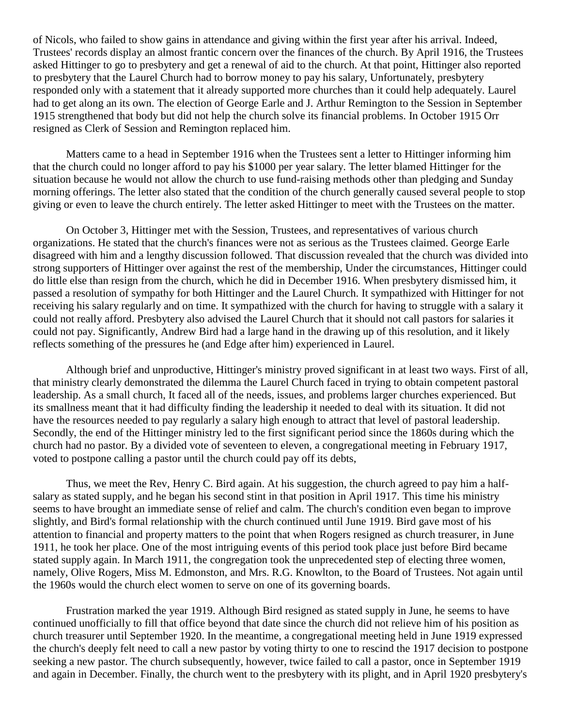of Nicols, who failed to show gains in attendance and giving within the first year after his arrival. Indeed, Trustees' records display an almost frantic concern over the finances of the church. By April 1916, the Trustees asked Hittinger to go to presbytery and get a renewal of aid to the church. At that point, Hittinger also reported to presbytery that the Laurel Church had to borrow money to pay his salary, Unfortunately, presbytery responded only with a statement that it already supported more churches than it could help adequately. Laurel had to get along an its own. The election of George Earle and J. Arthur Remington to the Session in September 1915 strengthened that body but did not help the church solve its financial problems. In October 1915 Orr resigned as Clerk of Session and Remington replaced him.

Matters came to a head in September 1916 when the Trustees sent a letter to Hittinger informing him that the church could no longer afford to pay his \$1000 per year salary. The letter blamed Hittinger for the situation because he would not allow the church to use fund-raising methods other than pledging and Sunday morning offerings. The letter also stated that the condition of the church generally caused several people to stop giving or even to leave the church entirely. The letter asked Hittinger to meet with the Trustees on the matter.

On October 3, Hittinger met with the Session, Trustees, and representatives of various church organizations. He stated that the church's finances were not as serious as the Trustees claimed. George Earle disagreed with him and a lengthy discussion followed. That discussion revealed that the church was divided into strong supporters of Hittinger over against the rest of the membership, Under the circumstances, Hittinger could do little else than resign from the church, which he did in December 1916. When presbytery dismissed him, it passed a resolution of sympathy for both Hittinger and the Laurel Church. It sympathized with Hittinger for not receiving his salary regularly and on time. It sympathized with the church for having to struggle with a salary it could not really afford. Presbytery also advised the Laurel Church that it should not call pastors for salaries it could not pay. Significantly, Andrew Bird had a large hand in the drawing up of this resolution, and it likely reflects something of the pressures he (and Edge after him) experienced in Laurel.

Although brief and unproductive, Hittinger's ministry proved significant in at least two ways. First of all, that ministry clearly demonstrated the dilemma the Laurel Church faced in trying to obtain competent pastoral leadership. As a small church, It faced all of the needs, issues, and problems larger churches experienced. But its smallness meant that it had difficulty finding the leadership it needed to deal with its situation. It did not have the resources needed to pay regularly a salary high enough to attract that level of pastoral leadership. Secondly, the end of the Hittinger ministry led to the first significant period since the 1860s during which the church had no pastor. By a divided vote of seventeen to eleven, a congregational meeting in February 1917, voted to postpone calling a pastor until the church could pay off its debts,

Thus, we meet the Rev, Henry C. Bird again. At his suggestion, the church agreed to pay him a halfsalary as stated supply, and he began his second stint in that position in April 1917. This time his ministry seems to have brought an immediate sense of relief and calm. The church's condition even began to improve slightly, and Bird's formal relationship with the church continued until June 1919. Bird gave most of his attention to financial and property matters to the point that when Rogers resigned as church treasurer, in June 1911, he took her place. One of the most intriguing events of this period took place just before Bird became stated supply again. In March 1911, the congregation took the unprecedented step of electing three women, namely, Olive Rogers, Miss M. Edmonston, and Mrs. R.G. Knowlton, to the Board of Trustees. Not again until the 1960s would the church elect women to serve on one of its governing boards.

Frustration marked the year 1919. Although Bird resigned as stated supply in June, he seems to have continued unofficially to fill that office beyond that date since the church did not relieve him of his position as church treasurer until September 1920. In the meantime, a congregational meeting held in June 1919 expressed the church's deeply felt need to call a new pastor by voting thirty to one to rescind the 1917 decision to postpone seeking a new pastor. The church subsequently, however, twice failed to call a pastor, once in September 1919 and again in December. Finally, the church went to the presbytery with its plight, and in April 1920 presbytery's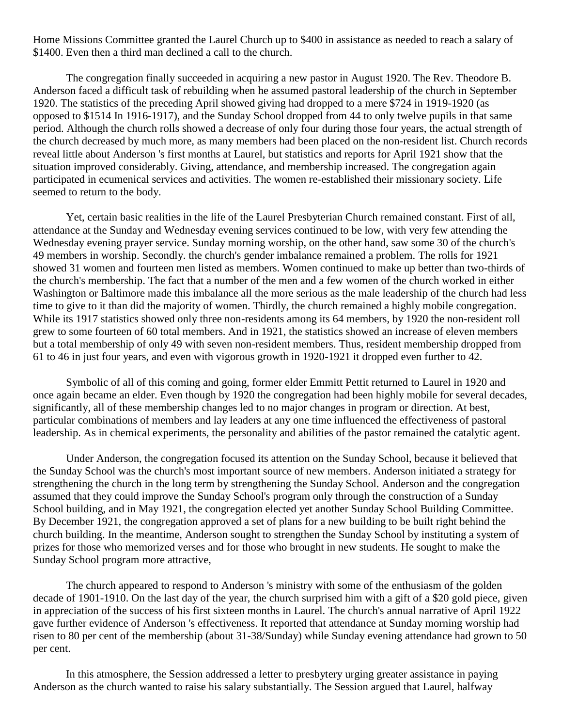Home Missions Committee granted the Laurel Church up to \$400 in assistance as needed to reach a salary of \$1400. Even then a third man declined a call to the church.

The congregation finally succeeded in acquiring a new pastor in August 1920. The Rev. Theodore B. Anderson faced a difficult task of rebuilding when he assumed pastoral leadership of the church in September 1920. The statistics of the preceding April showed giving had dropped to a mere \$724 in 1919-1920 (as opposed to \$1514 In 1916-1917), and the Sunday School dropped from 44 to only twelve pupils in that same period. Although the church rolls showed a decrease of only four during those four years, the actual strength of the church decreased by much more, as many members had been placed on the non-resident list. Church records reveal little about Anderson 's first months at Laurel, but statistics and reports for April 1921 show that the situation improved considerably. Giving, attendance, and membership increased. The congregation again participated in ecumenical services and activities. The women re-established their missionary society. Life seemed to return to the body.

Yet, certain basic realities in the life of the Laurel Presbyterian Church remained constant. First of all, attendance at the Sunday and Wednesday evening services continued to be low, with very few attending the Wednesday evening prayer service. Sunday morning worship, on the other hand, saw some 30 of the church's 49 members in worship. Secondly. the church's gender imbalance remained a problem. The rolls for 1921 showed 31 women and fourteen men listed as members. Women continued to make up better than two-thirds of the church's membership. The fact that a number of the men and a few women of the church worked in either Washington or Baltimore made this imbalance all the more serious as the male leadership of the church had less time to give to it than did the majority of women. Thirdly, the church remained a highly mobile congregation. While its 1917 statistics showed only three non-residents among its 64 members, by 1920 the non-resident roll grew to some fourteen of 60 total members. And in 1921, the statistics showed an increase of eleven members but a total membership of only 49 with seven non-resident members. Thus, resident membership dropped from 61 to 46 in just four years, and even with vigorous growth in 1920-1921 it dropped even further to 42.

Symbolic of all of this coming and going, former elder Emmitt Pettit returned to Laurel in 1920 and once again became an elder. Even though by 1920 the congregation had been highly mobile for several decades, significantly, all of these membership changes led to no major changes in program or direction. At best, particular combinations of members and lay leaders at any one time influenced the effectiveness of pastoral leadership. As in chemical experiments, the personality and abilities of the pastor remained the catalytic agent.

Under Anderson, the congregation focused its attention on the Sunday School, because it believed that the Sunday School was the church's most important source of new members. Anderson initiated a strategy for strengthening the church in the long term by strengthening the Sunday School. Anderson and the congregation assumed that they could improve the Sunday School's program only through the construction of a Sunday School building, and in May 1921, the congregation elected yet another Sunday School Building Committee. By December 1921, the congregation approved a set of plans for a new building to be built right behind the church building. In the meantime, Anderson sought to strengthen the Sunday School by instituting a system of prizes for those who memorized verses and for those who brought in new students. He sought to make the Sunday School program more attractive,

The church appeared to respond to Anderson 's ministry with some of the enthusiasm of the golden decade of 1901-1910. On the last day of the year, the church surprised him with a gift of a \$20 gold piece, given in appreciation of the success of his first sixteen months in Laurel. The church's annual narrative of April 1922 gave further evidence of Anderson 's effectiveness. It reported that attendance at Sunday morning worship had risen to 80 per cent of the membership (about 31-38/Sunday) while Sunday evening attendance had grown to 50 per cent.

In this atmosphere, the Session addressed a letter to presbytery urging greater assistance in paying Anderson as the church wanted to raise his salary substantially. The Session argued that Laurel, halfway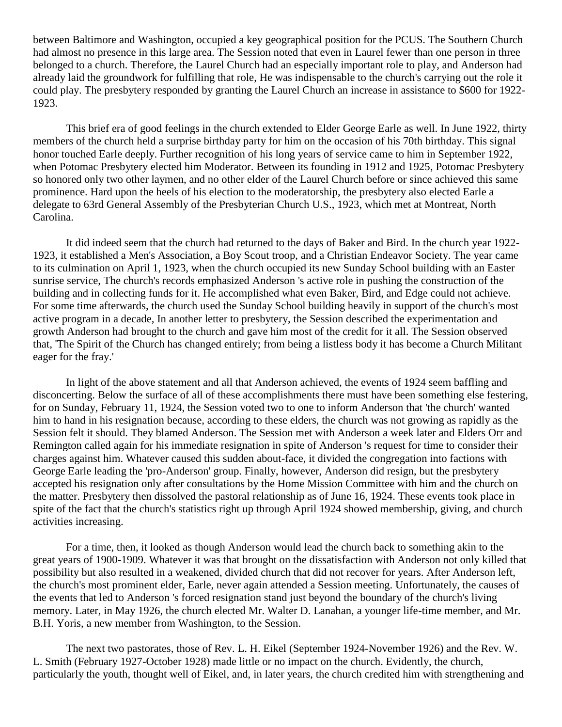between Baltimore and Washington, occupied a key geographical position for the PCUS. The Southern Church had almost no presence in this large area. The Session noted that even in Laurel fewer than one person in three belonged to a church. Therefore, the Laurel Church had an especially important role to play, and Anderson had already laid the groundwork for fulfilling that role, He was indispensable to the church's carrying out the role it could play. The presbytery responded by granting the Laurel Church an increase in assistance to \$600 for 1922- 1923.

This brief era of good feelings in the church extended to Elder George Earle as well. In June 1922, thirty members of the church held a surprise birthday party for him on the occasion of his 70th birthday. This signal honor touched Earle deeply. Further recognition of his long years of service came to him in September 1922, when Potomac Presbytery elected him Moderator. Between its founding in 1912 and 1925, Potomac Presbytery so honored only two other laymen, and no other elder of the Laurel Church before or since achieved this same prominence. Hard upon the heels of his election to the moderatorship, the presbytery also elected Earle a delegate to 63rd General Assembly of the Presbyterian Church U.S., 1923, which met at Montreat, North Carolina.

It did indeed seem that the church had returned to the days of Baker and Bird. In the church year 1922- 1923, it established a Men's Association, a Boy Scout troop, and a Christian Endeavor Society. The year came to its culmination on April 1, 1923, when the church occupied its new Sunday School building with an Easter sunrise service, The church's records emphasized Anderson 's active role in pushing the construction of the building and in collecting funds for it. He accomplished what even Baker, Bird, and Edge could not achieve. For some time afterwards, the church used the Sunday School building heavily in support of the church's most active program in a decade, In another letter to presbytery, the Session described the experimentation and growth Anderson had brought to the church and gave him most of the credit for it all. The Session observed that, 'The Spirit of the Church has changed entirely; from being a listless body it has become a Church Militant eager for the fray.'

In light of the above statement and all that Anderson achieved, the events of 1924 seem baffling and disconcerting. Below the surface of all of these accomplishments there must have been something else festering, for on Sunday, February 11, 1924, the Session voted two to one to inform Anderson that 'the church' wanted him to hand in his resignation because, according to these elders, the church was not growing as rapidly as the Session felt it should. They blamed Anderson. The Session met with Anderson a week later and Elders Orr and Remington called again for his immediate resignation in spite of Anderson 's request for time to consider their charges against him. Whatever caused this sudden about-face, it divided the congregation into factions with George Earle leading the 'pro-Anderson' group. Finally, however, Anderson did resign, but the presbytery accepted his resignation only after consultations by the Home Mission Committee with him and the church on the matter. Presbytery then dissolved the pastoral relationship as of June 16, 1924. These events took place in spite of the fact that the church's statistics right up through April 1924 showed membership, giving, and church activities increasing.

For a time, then, it looked as though Anderson would lead the church back to something akin to the great years of 1900-1909. Whatever it was that brought on the dissatisfaction with Anderson not only killed that possibility but also resulted in a weakened, divided church that did not recover for years. After Anderson left, the church's most prominent elder, Earle, never again attended a Session meeting. Unfortunately, the causes of the events that led to Anderson 's forced resignation stand just beyond the boundary of the church's living memory. Later, in May 1926, the church elected Mr. Walter D. Lanahan, a younger life-time member, and Mr. B.H. Yoris, a new member from Washington, to the Session.

The next two pastorates, those of Rev. L. H. Eikel (September 1924-November 1926) and the Rev. W. L. Smith (February 1927-October 1928) made little or no impact on the church. Evidently, the church, particularly the youth, thought well of Eikel, and, in later years, the church credited him with strengthening and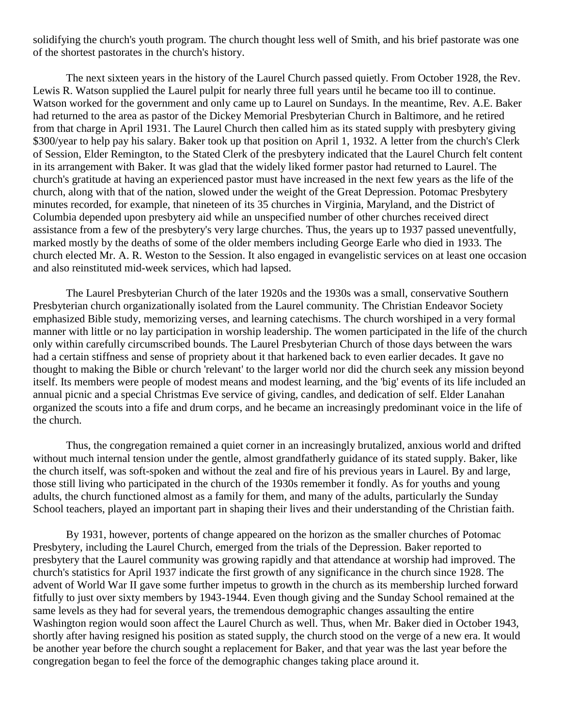solidifying the church's youth program. The church thought less well of Smith, and his brief pastorate was one of the shortest pastorates in the church's history.

The next sixteen years in the history of the Laurel Church passed quietly. From October 1928, the Rev. Lewis R. Watson supplied the Laurel pulpit for nearly three full years until he became too ill to continue. Watson worked for the government and only came up to Laurel on Sundays. In the meantime, Rev. A.E. Baker had returned to the area as pastor of the Dickey Memorial Presbyterian Church in Baltimore, and he retired from that charge in April 1931. The Laurel Church then called him as its stated supply with presbytery giving \$300/year to help pay his salary. Baker took up that position on April 1, 1932. A letter from the church's Clerk of Session, Elder Remington, to the Stated Clerk of the presbytery indicated that the Laurel Church felt content in its arrangement with Baker. It was glad that the widely liked former pastor had returned to Laurel. The church's gratitude at having an experienced pastor must have increased in the next few years as the life of the church, along with that of the nation, slowed under the weight of the Great Depression. Potomac Presbytery minutes recorded, for example, that nineteen of its 35 churches in Virginia, Maryland, and the District of Columbia depended upon presbytery aid while an unspecified number of other churches received direct assistance from a few of the presbytery's very large churches. Thus, the years up to 1937 passed uneventfully, marked mostly by the deaths of some of the older members including George Earle who died in 1933. The church elected Mr. A. R. Weston to the Session. It also engaged in evangelistic services on at least one occasion and also reinstituted mid-week services, which had lapsed.

The Laurel Presbyterian Church of the later 1920s and the 1930s was a small, conservative Southern Presbyterian church organizationally isolated from the Laurel community. The Christian Endeavor Society emphasized Bible study, memorizing verses, and learning catechisms. The church worshiped in a very formal manner with little or no lay participation in worship leadership. The women participated in the life of the church only within carefully circumscribed bounds. The Laurel Presbyterian Church of those days between the wars had a certain stiffness and sense of propriety about it that harkened back to even earlier decades. It gave no thought to making the Bible or church 'relevant' to the larger world nor did the church seek any mission beyond itself. Its members were people of modest means and modest learning, and the 'big' events of its life included an annual picnic and a special Christmas Eve service of giving, candles, and dedication of self. Elder Lanahan organized the scouts into a fife and drum corps, and he became an increasingly predominant voice in the life of the church.

Thus, the congregation remained a quiet corner in an increasingly brutalized, anxious world and drifted without much internal tension under the gentle, almost grandfatherly guidance of its stated supply. Baker, like the church itself, was soft-spoken and without the zeal and fire of his previous years in Laurel. By and large, those still living who participated in the church of the 1930s remember it fondly. As for youths and young adults, the church functioned almost as a family for them, and many of the adults, particularly the Sunday School teachers, played an important part in shaping their lives and their understanding of the Christian faith.

By 1931, however, portents of change appeared on the horizon as the smaller churches of Potomac Presbytery, including the Laurel Church, emerged from the trials of the Depression. Baker reported to presbytery that the Laurel community was growing rapidly and that attendance at worship had improved. The church's statistics for April 1937 indicate the first growth of any significance in the church since 1928. The advent of World War II gave some further impetus to growth in the church as its membership lurched forward fitfully to just over sixty members by 1943-1944. Even though giving and the Sunday School remained at the same levels as they had for several years, the tremendous demographic changes assaulting the entire Washington region would soon affect the Laurel Church as well. Thus, when Mr. Baker died in October 1943, shortly after having resigned his position as stated supply, the church stood on the verge of a new era. It would be another year before the church sought a replacement for Baker, and that year was the last year before the congregation began to feel the force of the demographic changes taking place around it.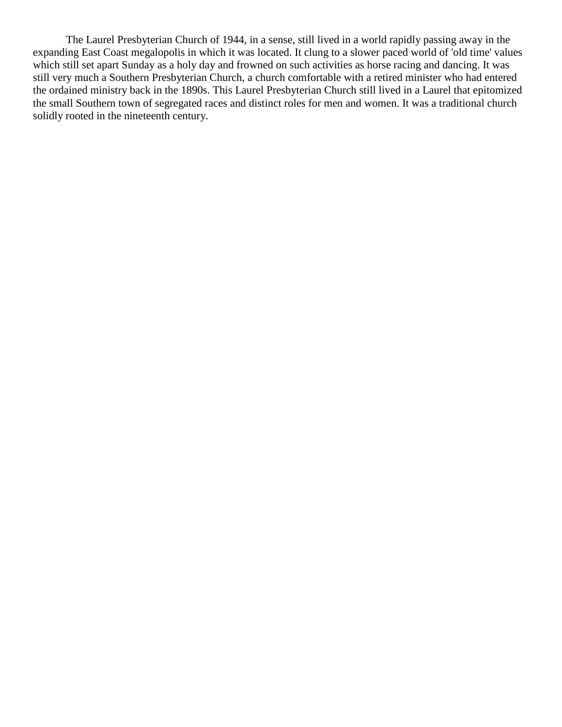The Laurel Presbyterian Church of 1944, in a sense, still lived in a world rapidly passing away in the expanding East Coast megalopolis in which it was located. It clung to a slower paced world of 'old time' values which still set apart Sunday as a holy day and frowned on such activities as horse racing and dancing. It was still very much a Southern Presbyterian Church, a church comfortable with a retired minister who had entered the ordained ministry back in the 1890s. This Laurel Presbyterian Church still lived in a Laurel that epitomized the small Southern town of segregated races and distinct roles for men and women. It was a traditional church solidly rooted in the nineteenth century.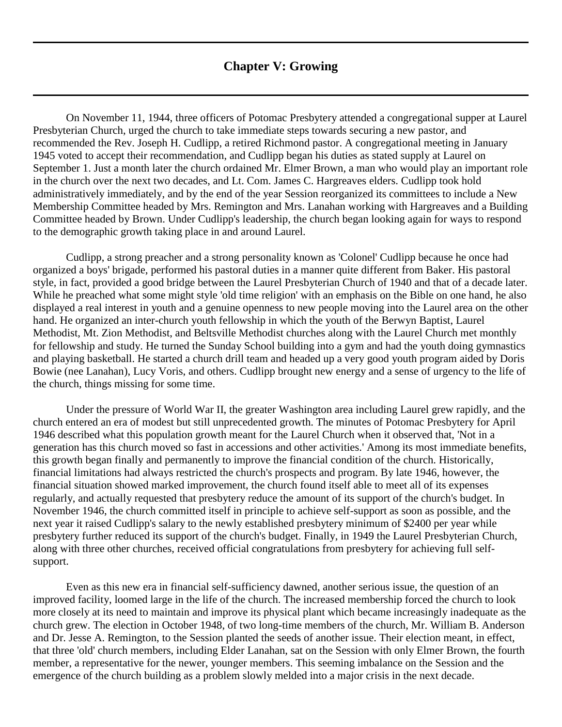### **Chapter V: Growing**

<span id="page-30-0"></span>On November 11, 1944, three officers of Potomac Presbytery attended a congregational supper at Laurel Presbyterian Church, urged the church to take immediate steps towards securing a new pastor, and recommended the Rev. Joseph H. Cudlipp, a retired Richmond pastor. A congregational meeting in January 1945 voted to accept their recommendation, and Cudlipp began his duties as stated supply at Laurel on September 1. Just a month later the church ordained Mr. Elmer Brown, a man who would play an important role in the church over the next two decades, and Lt. Com. James C. Hargreaves elders. Cudlipp took hold administratively immediately, and by the end of the year Session reorganized its committees to include a New Membership Committee headed by Mrs. Remington and Mrs. Lanahan working with Hargreaves and a Building Committee headed by Brown. Under Cudlipp's leadership, the church began looking again for ways to respond to the demographic growth taking place in and around Laurel.

Cudlipp, a strong preacher and a strong personality known as 'Colonel' Cudlipp because he once had organized a boys' brigade, performed his pastoral duties in a manner quite different from Baker. His pastoral style, in fact, provided a good bridge between the Laurel Presbyterian Church of 1940 and that of a decade later. While he preached what some might style 'old time religion' with an emphasis on the Bible on one hand, he also displayed a real interest in youth and a genuine openness to new people moving into the Laurel area on the other hand. He organized an inter-church youth fellowship in which the youth of the Berwyn Baptist, Laurel Methodist, Mt. Zion Methodist, and Beltsville Methodist churches along with the Laurel Church met monthly for fellowship and study. He turned the Sunday School building into a gym and had the youth doing gymnastics and playing basketball. He started a church drill team and headed up a very good youth program aided by Doris Bowie (nee Lanahan), Lucy Voris, and others. Cudlipp brought new energy and a sense of urgency to the life of the church, things missing for some time.

Under the pressure of World War II, the greater Washington area including Laurel grew rapidly, and the church entered an era of modest but still unprecedented growth. The minutes of Potomac Presbytery for April 1946 described what this population growth meant for the Laurel Church when it observed that, 'Not in a generation has this church moved so fast in accessions and other activities.' Among its most immediate benefits, this growth began finally and permanently to improve the financial condition of the church. Historically, financial limitations had always restricted the church's prospects and program. By late 1946, however, the financial situation showed marked improvement, the church found itself able to meet all of its expenses regularly, and actually requested that presbytery reduce the amount of its support of the church's budget. In November 1946, the church committed itself in principle to achieve self-support as soon as possible, and the next year it raised Cudlipp's salary to the newly established presbytery minimum of \$2400 per year while presbytery further reduced its support of the church's budget. Finally, in 1949 the Laurel Presbyterian Church, along with three other churches, received official congratulations from presbytery for achieving full selfsupport.

Even as this new era in financial self-sufficiency dawned, another serious issue, the question of an improved facility, loomed large in the life of the church. The increased membership forced the church to look more closely at its need to maintain and improve its physical plant which became increasingly inadequate as the church grew. The election in October 1948, of two long-time members of the church, Mr. William B. Anderson and Dr. Jesse A. Remington, to the Session planted the seeds of another issue. Their election meant, in effect, that three 'old' church members, including Elder Lanahan, sat on the Session with only Elmer Brown, the fourth member, a representative for the newer, younger members. This seeming imbalance on the Session and the emergence of the church building as a problem slowly melded into a major crisis in the next decade.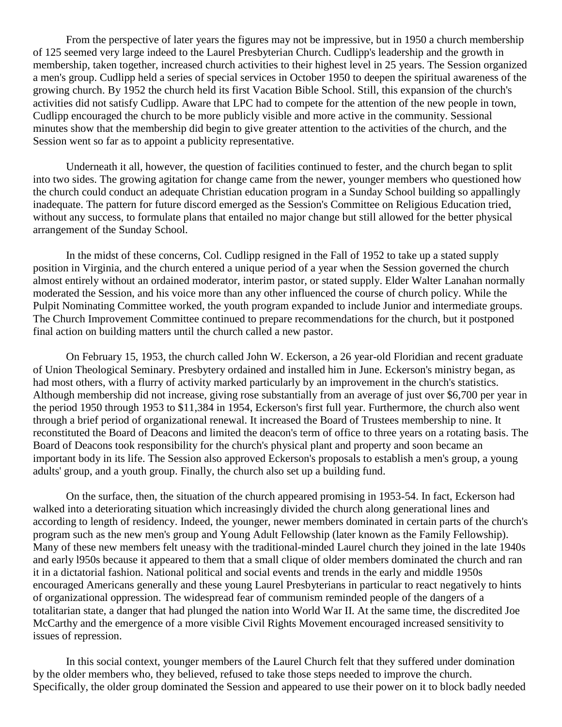From the perspective of later years the figures may not be impressive, but in 1950 a church membership of 125 seemed very large indeed to the Laurel Presbyterian Church. Cudlipp's leadership and the growth in membership, taken together, increased church activities to their highest level in 25 years. The Session organized a men's group. Cudlipp held a series of special services in October 1950 to deepen the spiritual awareness of the growing church. By 1952 the church held its first Vacation Bible School. Still, this expansion of the church's activities did not satisfy Cudlipp. Aware that LPC had to compete for the attention of the new people in town, Cudlipp encouraged the church to be more publicly visible and more active in the community. Sessional minutes show that the membership did begin to give greater attention to the activities of the church, and the Session went so far as to appoint a publicity representative.

Underneath it all, however, the question of facilities continued to fester, and the church began to split into two sides. The growing agitation for change came from the newer, younger members who questioned how the church could conduct an adequate Christian education program in a Sunday School building so appallingly inadequate. The pattern for future discord emerged as the Session's Committee on Religious Education tried, without any success, to formulate plans that entailed no major change but still allowed for the better physical arrangement of the Sunday School.

In the midst of these concerns, Col. Cudlipp resigned in the Fall of 1952 to take up a stated supply position in Virginia, and the church entered a unique period of a year when the Session governed the church almost entirely without an ordained moderator, interim pastor, or stated supply. Elder Walter Lanahan normally moderated the Session, and his voice more than any other influenced the course of church policy. While the Pulpit Nominating Committee worked, the youth program expanded to include Junior and intermediate groups. The Church Improvement Committee continued to prepare recommendations for the church, but it postponed final action on building matters until the church called a new pastor.

On February 15, 1953, the church called John W. Eckerson, a 26 year-old Floridian and recent graduate of Union Theological Seminary. Presbytery ordained and installed him in June. Eckerson's ministry began, as had most others, with a flurry of activity marked particularly by an improvement in the church's statistics. Although membership did not increase, giving rose substantially from an average of just over \$6,700 per year in the period 1950 through 1953 to \$11,384 in 1954, Eckerson's first full year. Furthermore, the church also went through a brief period of organizational renewal. It increased the Board of Trustees membership to nine. It reconstituted the Board of Deacons and limited the deacon's term of office to three years on a rotating basis. The Board of Deacons took responsibility for the church's physical plant and property and soon became an important body in its life. The Session also approved Eckerson's proposals to establish a men's group, a young adults' group, and a youth group. Finally, the church also set up a building fund.

On the surface, then, the situation of the church appeared promising in 1953-54. In fact, Eckerson had walked into a deteriorating situation which increasingly divided the church along generational lines and according to length of residency. Indeed, the younger, newer members dominated in certain parts of the church's program such as the new men's group and Young Adult Fellowship (later known as the Family Fellowship). Many of these new members felt uneasy with the traditional-minded Laurel church they joined in the late 1940s and early l950s because it appeared to them that a small clique of older members dominated the church and ran it in a dictatorial fashion. National political and social events and trends in the early and middle 1950s encouraged Americans generally and these young Laurel Presbyterians in particular to react negatively to hints of organizational oppression. The widespread fear of communism reminded people of the dangers of a totalitarian state, a danger that had plunged the nation into World War II. At the same time, the discredited Joe McCarthy and the emergence of a more visible Civil Rights Movement encouraged increased sensitivity to issues of repression.

In this social context, younger members of the Laurel Church felt that they suffered under domination by the older members who, they believed, refused to take those steps needed to improve the church. Specifically, the older group dominated the Session and appeared to use their power on it to block badly needed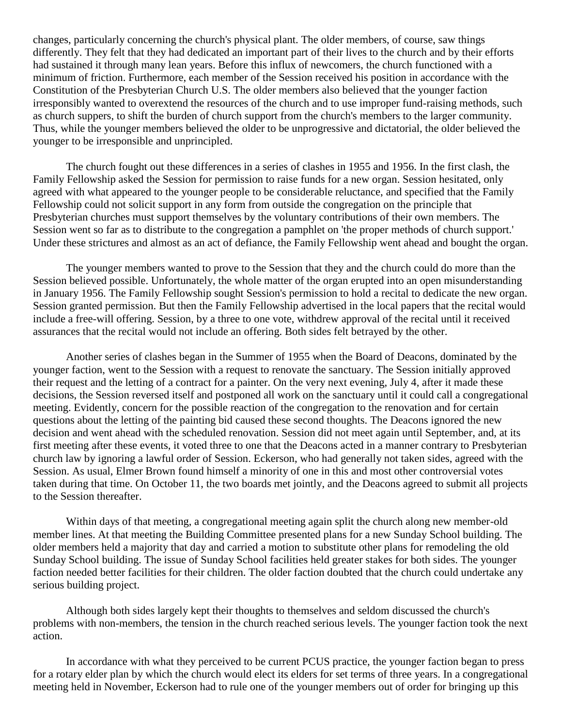changes, particularly concerning the church's physical plant. The older members, of course, saw things differently. They felt that they had dedicated an important part of their lives to the church and by their efforts had sustained it through many lean years. Before this influx of newcomers, the church functioned with a minimum of friction. Furthermore, each member of the Session received his position in accordance with the Constitution of the Presbyterian Church U.S. The older members also believed that the younger faction irresponsibly wanted to overextend the resources of the church and to use improper fund-raising methods, such as church suppers, to shift the burden of church support from the church's members to the larger community. Thus, while the younger members believed the older to be unprogressive and dictatorial, the older believed the younger to be irresponsible and unprincipled.

The church fought out these differences in a series of clashes in 1955 and 1956. In the first clash, the Family Fellowship asked the Session for permission to raise funds for a new organ. Session hesitated, only agreed with what appeared to the younger people to be considerable reluctance, and specified that the Family Fellowship could not solicit support in any form from outside the congregation on the principle that Presbyterian churches must support themselves by the voluntary contributions of their own members. The Session went so far as to distribute to the congregation a pamphlet on 'the proper methods of church support.' Under these strictures and almost as an act of defiance, the Family Fellowship went ahead and bought the organ.

The younger members wanted to prove to the Session that they and the church could do more than the Session believed possible. Unfortunately, the whole matter of the organ erupted into an open misunderstanding in January 1956. The Family Fellowship sought Session's permission to hold a recital to dedicate the new organ. Session granted permission. But then the Family Fellowship advertised in the local papers that the recital would include a free-will offering. Session, by a three to one vote, withdrew approval of the recital until it received assurances that the recital would not include an offering. Both sides felt betrayed by the other.

Another series of clashes began in the Summer of 1955 when the Board of Deacons, dominated by the younger faction, went to the Session with a request to renovate the sanctuary. The Session initially approved their request and the letting of a contract for a painter. On the very next evening, July 4, after it made these decisions, the Session reversed itself and postponed all work on the sanctuary until it could call a congregational meeting. Evidently, concern for the possible reaction of the congregation to the renovation and for certain questions about the letting of the painting bid caused these second thoughts. The Deacons ignored the new decision and went ahead with the scheduled renovation. Session did not meet again until September, and, at its first meeting after these events, it voted three to one that the Deacons acted in a manner contrary to Presbyterian church law by ignoring a lawful order of Session. Eckerson, who had generally not taken sides, agreed with the Session. As usual, Elmer Brown found himself a minority of one in this and most other controversial votes taken during that time. On October 11, the two boards met jointly, and the Deacons agreed to submit all projects to the Session thereafter.

Within days of that meeting, a congregational meeting again split the church along new member-old member lines. At that meeting the Building Committee presented plans for a new Sunday School building. The older members held a majority that day and carried a motion to substitute other plans for remodeling the old Sunday School building. The issue of Sunday School facilities held greater stakes for both sides. The younger faction needed better facilities for their children. The older faction doubted that the church could undertake any serious building project.

Although both sides largely kept their thoughts to themselves and seldom discussed the church's problems with non-members, the tension in the church reached serious levels. The younger faction took the next action.

In accordance with what they perceived to be current PCUS practice, the younger faction began to press for a rotary elder plan by which the church would elect its elders for set terms of three years. In a congregational meeting held in November, Eckerson had to rule one of the younger members out of order for bringing up this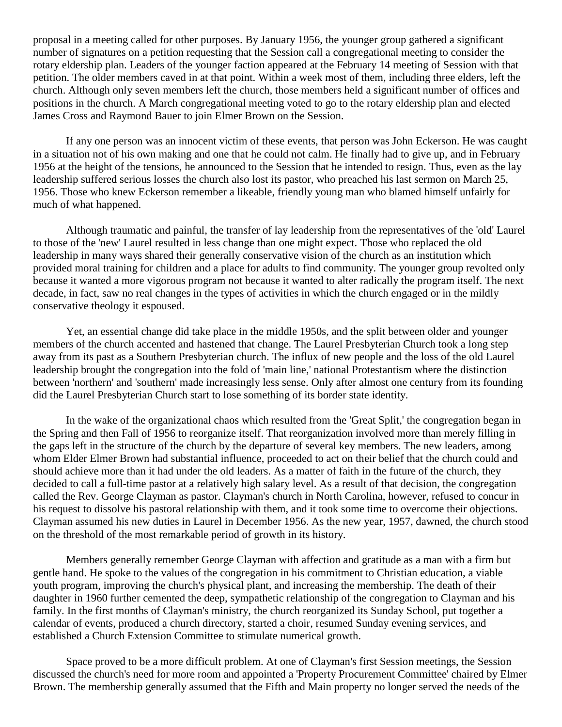proposal in a meeting called for other purposes. By January 1956, the younger group gathered a significant number of signatures on a petition requesting that the Session call a congregational meeting to consider the rotary eldership plan. Leaders of the younger faction appeared at the February 14 meeting of Session with that petition. The older members caved in at that point. Within a week most of them, including three elders, left the church. Although only seven members left the church, those members held a significant number of offices and positions in the church. A March congregational meeting voted to go to the rotary eldership plan and elected James Cross and Raymond Bauer to join Elmer Brown on the Session.

If any one person was an innocent victim of these events, that person was John Eckerson. He was caught in a situation not of his own making and one that he could not calm. He finally had to give up, and in February 1956 at the height of the tensions, he announced to the Session that he intended to resign. Thus, even as the lay leadership suffered serious losses the church also lost its pastor, who preached his last sermon on March 25, 1956. Those who knew Eckerson remember a likeable, friendly young man who blamed himself unfairly for much of what happened.

Although traumatic and painful, the transfer of lay leadership from the representatives of the 'old' Laurel to those of the 'new' Laurel resulted in less change than one might expect. Those who replaced the old leadership in many ways shared their generally conservative vision of the church as an institution which provided moral training for children and a place for adults to find community. The younger group revolted only because it wanted a more vigorous program not because it wanted to alter radically the program itself. The next decade, in fact, saw no real changes in the types of activities in which the church engaged or in the mildly conservative theology it espoused.

Yet, an essential change did take place in the middle 1950s, and the split between older and younger members of the church accented and hastened that change. The Laurel Presbyterian Church took a long step away from its past as a Southern Presbyterian church. The influx of new people and the loss of the old Laurel leadership brought the congregation into the fold of 'main line,' national Protestantism where the distinction between 'northern' and 'southern' made increasingly less sense. Only after almost one century from its founding did the Laurel Presbyterian Church start to lose something of its border state identity.

In the wake of the organizational chaos which resulted from the 'Great Split,' the congregation began in the Spring and then Fall of 1956 to reorganize itself. That reorganization involved more than merely filling in the gaps left in the structure of the church by the departure of several key members. The new leaders, among whom Elder Elmer Brown had substantial influence, proceeded to act on their belief that the church could and should achieve more than it had under the old leaders. As a matter of faith in the future of the church, they decided to call a full-time pastor at a relatively high salary level. As a result of that decision, the congregation called the Rev. George Clayman as pastor. Clayman's church in North Carolina, however, refused to concur in his request to dissolve his pastoral relationship with them, and it took some time to overcome their objections. Clayman assumed his new duties in Laurel in December 1956. As the new year, 1957, dawned, the church stood on the threshold of the most remarkable period of growth in its history.

Members generally remember George Clayman with affection and gratitude as a man with a firm but gentle hand. He spoke to the values of the congregation in his commitment to Christian education, a viable youth program, improving the church's physical plant, and increasing the membership. The death of their daughter in 1960 further cemented the deep, sympathetic relationship of the congregation to Clayman and his family. In the first months of Clayman's ministry, the church reorganized its Sunday School, put together a calendar of events, produced a church directory, started a choir, resumed Sunday evening services, and established a Church Extension Committee to stimulate numerical growth.

Space proved to be a more difficult problem. At one of Clayman's first Session meetings, the Session discussed the church's need for more room and appointed a 'Property Procurement Committee' chaired by Elmer Brown. The membership generally assumed that the Fifth and Main property no longer served the needs of the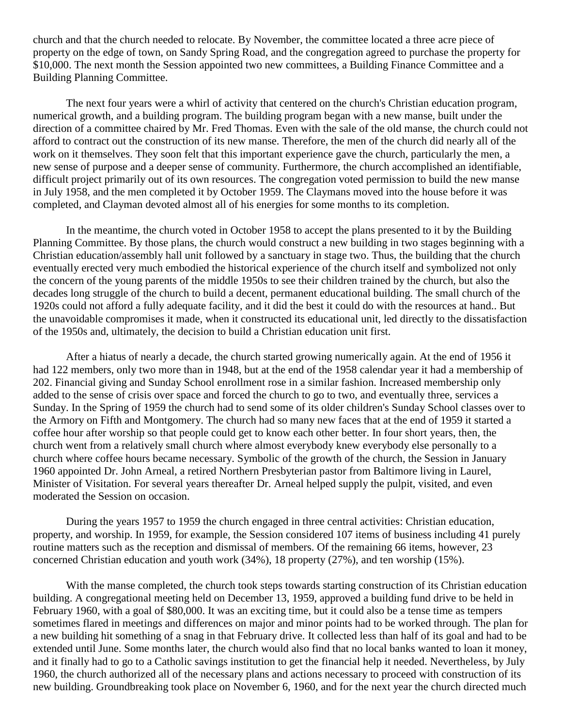church and that the church needed to relocate. By November, the committee located a three acre piece of property on the edge of town, on Sandy Spring Road, and the congregation agreed to purchase the property for \$10,000. The next month the Session appointed two new committees, a Building Finance Committee and a Building Planning Committee.

The next four years were a whirl of activity that centered on the church's Christian education program, numerical growth, and a building program. The building program began with a new manse, built under the direction of a committee chaired by Mr. Fred Thomas. Even with the sale of the old manse, the church could not afford to contract out the construction of its new manse. Therefore, the men of the church did nearly all of the work on it themselves. They soon felt that this important experience gave the church, particularly the men, a new sense of purpose and a deeper sense of community. Furthermore, the church accomplished an identifiable, difficult project primarily out of its own resources. The congregation voted permission to build the new manse in July 1958, and the men completed it by October 1959. The Claymans moved into the house before it was completed, and Clayman devoted almost all of his energies for some months to its completion.

In the meantime, the church voted in October 1958 to accept the plans presented to it by the Building Planning Committee. By those plans, the church would construct a new building in two stages beginning with a Christian education/assembly hall unit followed by a sanctuary in stage two. Thus, the building that the church eventually erected very much embodied the historical experience of the church itself and symbolized not only the concern of the young parents of the middle 1950s to see their children trained by the church, but also the decades long struggle of the church to build a decent, permanent educational building. The small church of the 1920s could not afford a fully adequate facility, and it did the best it could do with the resources at hand.. But the unavoidable compromises it made, when it constructed its educational unit, led directly to the dissatisfaction of the 1950s and, ultimately, the decision to build a Christian education unit first.

After a hiatus of nearly a decade, the church started growing numerically again. At the end of 1956 it had 122 members, only two more than in 1948, but at the end of the 1958 calendar year it had a membership of 202. Financial giving and Sunday School enrollment rose in a similar fashion. Increased membership only added to the sense of crisis over space and forced the church to go to two, and eventually three, services a Sunday. In the Spring of 1959 the church had to send some of its older children's Sunday School classes over to the Armory on Fifth and Montgomery. The church had so many new faces that at the end of 1959 it started a coffee hour after worship so that people could get to know each other better. In four short years, then, the church went from a relatively small church where almost everybody knew everybody else personally to a church where coffee hours became necessary. Symbolic of the growth of the church, the Session in January 1960 appointed Dr. John Arneal, a retired Northern Presbyterian pastor from Baltimore living in Laurel, Minister of Visitation. For several years thereafter Dr. Arneal helped supply the pulpit, visited, and even moderated the Session on occasion.

During the years 1957 to 1959 the church engaged in three central activities: Christian education, property, and worship. In 1959, for example, the Session considered 107 items of business including 41 purely routine matters such as the reception and dismissal of members. Of the remaining 66 items, however, 23 concerned Christian education and youth work (34%), 18 property (27%), and ten worship (15%).

With the manse completed, the church took steps towards starting construction of its Christian education building. A congregational meeting held on December 13, 1959, approved a building fund drive to be held in February 1960, with a goal of \$80,000. It was an exciting time, but it could also be a tense time as tempers sometimes flared in meetings and differences on major and minor points had to be worked through. The plan for a new building hit something of a snag in that February drive. It collected less than half of its goal and had to be extended until June. Some months later, the church would also find that no local banks wanted to loan it money, and it finally had to go to a Catholic savings institution to get the financial help it needed. Nevertheless, by July 1960, the church authorized all of the necessary plans and actions necessary to proceed with construction of its new building. Groundbreaking took place on November 6, 1960, and for the next year the church directed much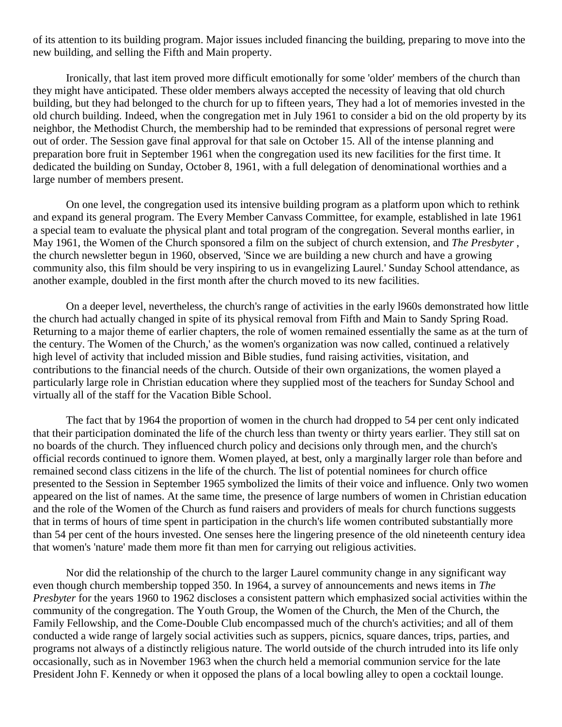of its attention to its building program. Major issues included financing the building, preparing to move into the new building, and selling the Fifth and Main property.

Ironically, that last item proved more difficult emotionally for some 'older' members of the church than they might have anticipated. These older members always accepted the necessity of leaving that old church building, but they had belonged to the church for up to fifteen years, They had a lot of memories invested in the old church building. Indeed, when the congregation met in July 1961 to consider a bid on the old property by its neighbor, the Methodist Church, the membership had to be reminded that expressions of personal regret were out of order. The Session gave final approval for that sale on October 15. All of the intense planning and preparation bore fruit in September 1961 when the congregation used its new facilities for the first time. It dedicated the building on Sunday, October 8, 1961, with a full delegation of denominational worthies and a large number of members present.

On one level, the congregation used its intensive building program as a platform upon which to rethink and expand its general program. The Every Member Canvass Committee, for example, established in late 1961 a special team to evaluate the physical plant and total program of the congregation. Several months earlier, in May 1961, the Women of the Church sponsored a film on the subject of church extension, and *The Presbyter* , the church newsletter begun in 1960, observed, 'Since we are building a new church and have a growing community also, this film should be very inspiring to us in evangelizing Laurel.' Sunday School attendance, as another example, doubled in the first month after the church moved to its new facilities.

On a deeper level, nevertheless, the church's range of activities in the early l960s demonstrated how little the church had actually changed in spite of its physical removal from Fifth and Main to Sandy Spring Road. Returning to a major theme of earlier chapters, the role of women remained essentially the same as at the turn of the century. The Women of the Church,' as the women's organization was now called, continued a relatively high level of activity that included mission and Bible studies, fund raising activities, visitation, and contributions to the financial needs of the church. Outside of their own organizations, the women played a particularly large role in Christian education where they supplied most of the teachers for Sunday School and virtually all of the staff for the Vacation Bible School.

The fact that by 1964 the proportion of women in the church had dropped to 54 per cent only indicated that their participation dominated the life of the church less than twenty or thirty years earlier. They still sat on no boards of the church. They influenced church policy and decisions only through men, and the church's official records continued to ignore them. Women played, at best, only a marginally larger role than before and remained second class citizens in the life of the church. The list of potential nominees for church office presented to the Session in September 1965 symbolized the limits of their voice and influence. Only two women appeared on the list of names. At the same time, the presence of large numbers of women in Christian education and the role of the Women of the Church as fund raisers and providers of meals for church functions suggests that in terms of hours of time spent in participation in the church's life women contributed substantially more than 54 per cent of the hours invested. One senses here the lingering presence of the old nineteenth century idea that women's 'nature' made them more fit than men for carrying out religious activities.

Nor did the relationship of the church to the larger Laurel community change in any significant way even though church membership topped 350. In 1964, a survey of announcements and news items in *The Presbyter* for the years 1960 to 1962 discloses a consistent pattern which emphasized social activities within the community of the congregation. The Youth Group, the Women of the Church, the Men of the Church, the Family Fellowship, and the Come-Double Club encompassed much of the church's activities; and all of them conducted a wide range of largely social activities such as suppers, picnics, square dances, trips, parties, and programs not always of a distinctly religious nature. The world outside of the church intruded into its life only occasionally, such as in November 1963 when the church held a memorial communion service for the late President John F. Kennedy or when it opposed the plans of a local bowling alley to open a cocktail lounge.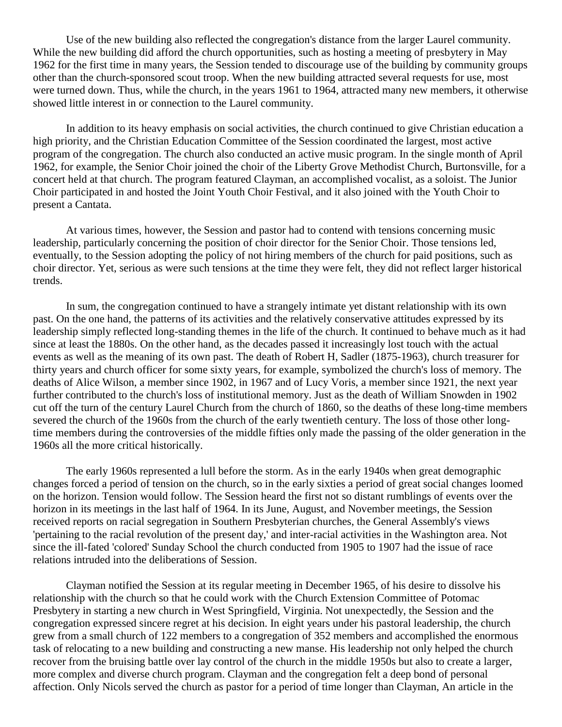Use of the new building also reflected the congregation's distance from the larger Laurel community. While the new building did afford the church opportunities, such as hosting a meeting of presbytery in May 1962 for the first time in many years, the Session tended to discourage use of the building by community groups other than the church-sponsored scout troop. When the new building attracted several requests for use, most were turned down. Thus, while the church, in the years 1961 to 1964, attracted many new members, it otherwise showed little interest in or connection to the Laurel community.

In addition to its heavy emphasis on social activities, the church continued to give Christian education a high priority, and the Christian Education Committee of the Session coordinated the largest, most active program of the congregation. The church also conducted an active music program. In the single month of April 1962, for example, the Senior Choir joined the choir of the Liberty Grove Methodist Church, Burtonsville, for a concert held at that church. The program featured Clayman, an accomplished vocalist, as a soloist. The Junior Choir participated in and hosted the Joint Youth Choir Festival, and it also joined with the Youth Choir to present a Cantata.

At various times, however, the Session and pastor had to contend with tensions concerning music leadership, particularly concerning the position of choir director for the Senior Choir. Those tensions led, eventually, to the Session adopting the policy of not hiring members of the church for paid positions, such as choir director. Yet, serious as were such tensions at the time they were felt, they did not reflect larger historical trends.

In sum, the congregation continued to have a strangely intimate yet distant relationship with its own past. On the one hand, the patterns of its activities and the relatively conservative attitudes expressed by its leadership simply reflected long-standing themes in the life of the church. It continued to behave much as it had since at least the 1880s. On the other hand, as the decades passed it increasingly lost touch with the actual events as well as the meaning of its own past. The death of Robert H, Sadler (1875-1963), church treasurer for thirty years and church officer for some sixty years, for example, symbolized the church's loss of memory. The deaths of Alice Wilson, a member since 1902, in 1967 and of Lucy Voris, a member since 1921, the next year further contributed to the church's loss of institutional memory. Just as the death of William Snowden in 1902 cut off the turn of the century Laurel Church from the church of 1860, so the deaths of these long-time members severed the church of the 1960s from the church of the early twentieth century. The loss of those other longtime members during the controversies of the middle fifties only made the passing of the older generation in the 1960s all the more critical historically.

The early 1960s represented a lull before the storm. As in the early 1940s when great demographic changes forced a period of tension on the church, so in the early sixties a period of great social changes loomed on the horizon. Tension would follow. The Session heard the first not so distant rumblings of events over the horizon in its meetings in the last half of 1964. In its June, August, and November meetings, the Session received reports on racial segregation in Southern Presbyterian churches, the General Assembly's views 'pertaining to the racial revolution of the present day,' and inter-racial activities in the Washington area. Not since the ill-fated 'colored' Sunday School the church conducted from 1905 to 1907 had the issue of race relations intruded into the deliberations of Session.

Clayman notified the Session at its regular meeting in December 1965, of his desire to dissolve his relationship with the church so that he could work with the Church Extension Committee of Potomac Presbytery in starting a new church in West Springfield, Virginia. Not unexpectedly, the Session and the congregation expressed sincere regret at his decision. In eight years under his pastoral leadership, the church grew from a small church of 122 members to a congregation of 352 members and accomplished the enormous task of relocating to a new building and constructing a new manse. His leadership not only helped the church recover from the bruising battle over lay control of the church in the middle 1950s but also to create a larger, more complex and diverse church program. Clayman and the congregation felt a deep bond of personal affection. Only Nicols served the church as pastor for a period of time longer than Clayman, An article in the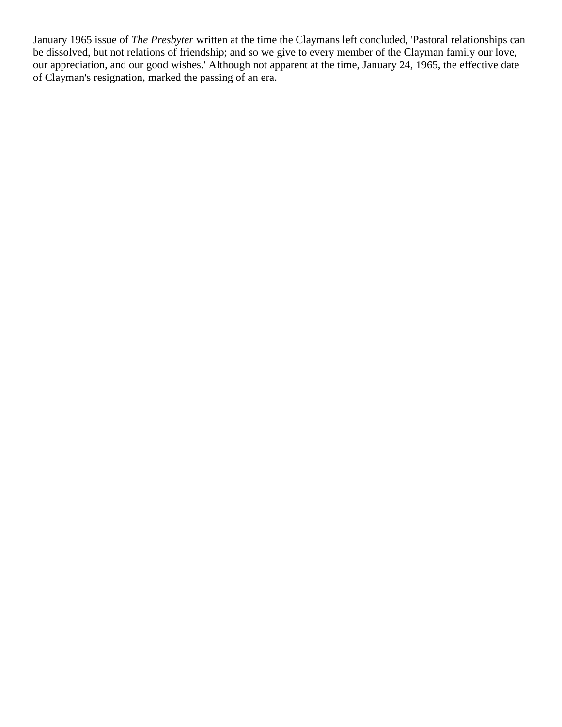January 1965 issue of *The Presbyter* written at the time the Claymans left concluded, 'Pastoral relationships can be dissolved, but not relations of friendship; and so we give to every member of the Clayman family our love, our appreciation, and our good wishes.' Although not apparent at the time, January 24, 1965, the effective date of Clayman's resignation, marked the passing of an era.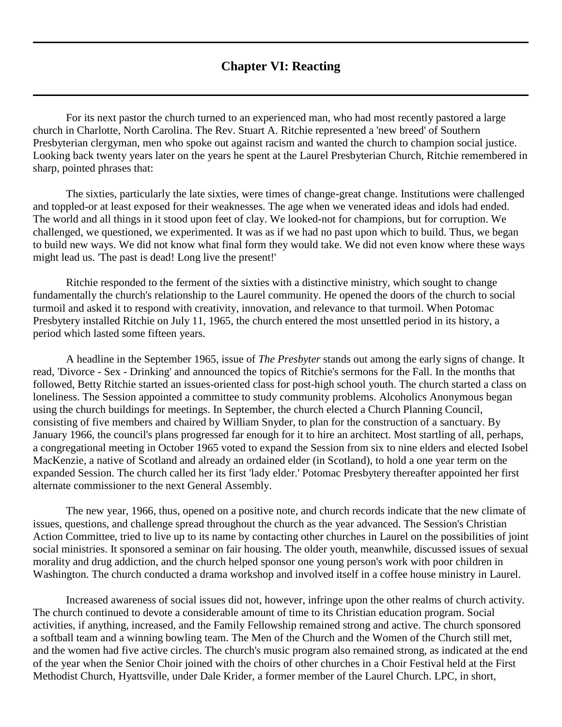## **Chapter VI: Reacting**

<span id="page-38-0"></span>For its next pastor the church turned to an experienced man, who had most recently pastored a large church in Charlotte, North Carolina. The Rev. Stuart A. Ritchie represented a 'new breed' of Southern Presbyterian clergyman, men who spoke out against racism and wanted the church to champion social justice. Looking back twenty years later on the years he spent at the Laurel Presbyterian Church, Ritchie remembered in sharp, pointed phrases that:

The sixties, particularly the late sixties, were times of change-great change. Institutions were challenged and toppled-or at least exposed for their weaknesses. The age when we venerated ideas and idols had ended. The world and all things in it stood upon feet of clay. We looked-not for champions, but for corruption. We challenged, we questioned, we experimented. It was as if we had no past upon which to build. Thus, we began to build new ways. We did not know what final form they would take. We did not even know where these ways might lead us. 'The past is dead! Long live the present!'

Ritchie responded to the ferment of the sixties with a distinctive ministry, which sought to change fundamentally the church's relationship to the Laurel community. He opened the doors of the church to social turmoil and asked it to respond with creativity, innovation, and relevance to that turmoil. When Potomac Presbytery installed Ritchie on July 11, 1965, the church entered the most unsettled period in its history, a period which lasted some fifteen years.

A headline in the September 1965, issue of *The Presbyter* stands out among the early signs of change. It read, 'Divorce - Sex - Drinking' and announced the topics of Ritchie's sermons for the Fall. In the months that followed, Betty Ritchie started an issues-oriented class for post-high school youth. The church started a class on loneliness. The Session appointed a committee to study community problems. Alcoholics Anonymous began using the church buildings for meetings. In September, the church elected a Church Planning Council, consisting of five members and chaired by William Snyder, to plan for the construction of a sanctuary. By January 1966, the council's plans progressed far enough for it to hire an architect. Most startling of all, perhaps, a congregational meeting in October 1965 voted to expand the Session from six to nine elders and elected Isobel MacKenzie, a native of Scotland and already an ordained elder (in Scotland), to hold a one year term on the expanded Session. The church called her its first 'lady elder.' Potomac Presbytery thereafter appointed her first alternate commissioner to the next General Assembly.

The new year, 1966, thus, opened on a positive note, and church records indicate that the new climate of issues, questions, and challenge spread throughout the church as the year advanced. The Session's Christian Action Committee, tried to live up to its name by contacting other churches in Laurel on the possibilities of joint social ministries. It sponsored a seminar on fair housing. The older youth, meanwhile, discussed issues of sexual morality and drug addiction, and the church helped sponsor one young person's work with poor children in Washington. The church conducted a drama workshop and involved itself in a coffee house ministry in Laurel.

Increased awareness of social issues did not, however, infringe upon the other realms of church activity. The church continued to devote a considerable amount of time to its Christian education program. Social activities, if anything, increased, and the Family Fellowship remained strong and active. The church sponsored a softball team and a winning bowling team. The Men of the Church and the Women of the Church still met, and the women had five active circles. The church's music program also remained strong, as indicated at the end of the year when the Senior Choir joined with the choirs of other churches in a Choir Festival held at the First Methodist Church, Hyattsville, under Dale Krider, a former member of the Laurel Church. LPC, in short,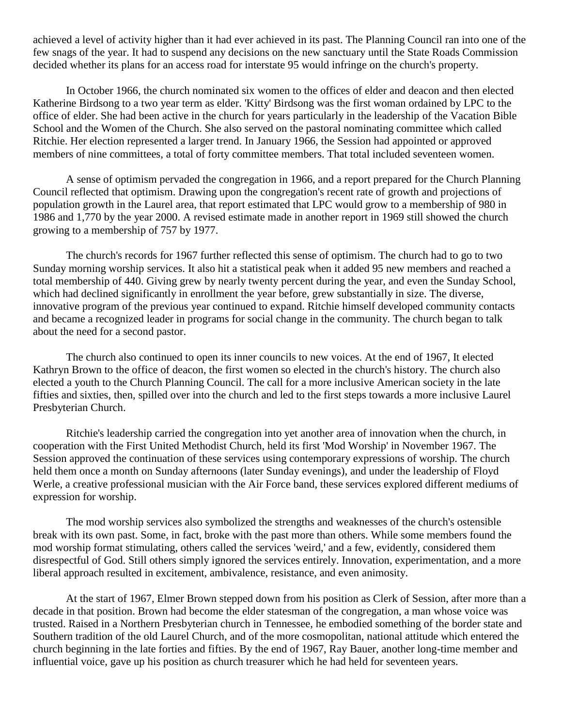achieved a level of activity higher than it had ever achieved in its past. The Planning Council ran into one of the few snags of the year. It had to suspend any decisions on the new sanctuary until the State Roads Commission decided whether its plans for an access road for interstate 95 would infringe on the church's property.

In October 1966, the church nominated six women to the offices of elder and deacon and then elected Katherine Birdsong to a two year term as elder. 'Kitty' Birdsong was the first woman ordained by LPC to the office of elder. She had been active in the church for years particularly in the leadership of the Vacation Bible School and the Women of the Church. She also served on the pastoral nominating committee which called Ritchie. Her election represented a larger trend. In January 1966, the Session had appointed or approved members of nine committees, a total of forty committee members. That total included seventeen women.

A sense of optimism pervaded the congregation in 1966, and a report prepared for the Church Planning Council reflected that optimism. Drawing upon the congregation's recent rate of growth and projections of population growth in the Laurel area, that report estimated that LPC would grow to a membership of 980 in 1986 and 1,770 by the year 2000. A revised estimate made in another report in 1969 still showed the church growing to a membership of 757 by 1977.

The church's records for 1967 further reflected this sense of optimism. The church had to go to two Sunday morning worship services. It also hit a statistical peak when it added 95 new members and reached a total membership of 440. Giving grew by nearly twenty percent during the year, and even the Sunday School, which had declined significantly in enrollment the year before, grew substantially in size. The diverse, innovative program of the previous year continued to expand. Ritchie himself developed community contacts and became a recognized leader in programs for social change in the community. The church began to talk about the need for a second pastor.

The church also continued to open its inner councils to new voices. At the end of 1967, It elected Kathryn Brown to the office of deacon, the first women so elected in the church's history. The church also elected a youth to the Church Planning Council. The call for a more inclusive American society in the late fifties and sixties, then, spilled over into the church and led to the first steps towards a more inclusive Laurel Presbyterian Church.

Ritchie's leadership carried the congregation into yet another area of innovation when the church, in cooperation with the First United Methodist Church, held its first 'Mod Worship' in November 1967. The Session approved the continuation of these services using contemporary expressions of worship. The church held them once a month on Sunday afternoons (later Sunday evenings), and under the leadership of Floyd Werle, a creative professional musician with the Air Force band, these services explored different mediums of expression for worship.

The mod worship services also symbolized the strengths and weaknesses of the church's ostensible break with its own past. Some, in fact, broke with the past more than others. While some members found the mod worship format stimulating, others called the services 'weird,' and a few, evidently, considered them disrespectful of God. Still others simply ignored the services entirely. Innovation, experimentation, and a more liberal approach resulted in excitement, ambivalence, resistance, and even animosity.

At the start of 1967, Elmer Brown stepped down from his position as Clerk of Session, after more than a decade in that position. Brown had become the elder statesman of the congregation, a man whose voice was trusted. Raised in a Northern Presbyterian church in Tennessee, he embodied something of the border state and Southern tradition of the old Laurel Church, and of the more cosmopolitan, national attitude which entered the church beginning in the late forties and fifties. By the end of 1967, Ray Bauer, another long-time member and influential voice, gave up his position as church treasurer which he had held for seventeen years.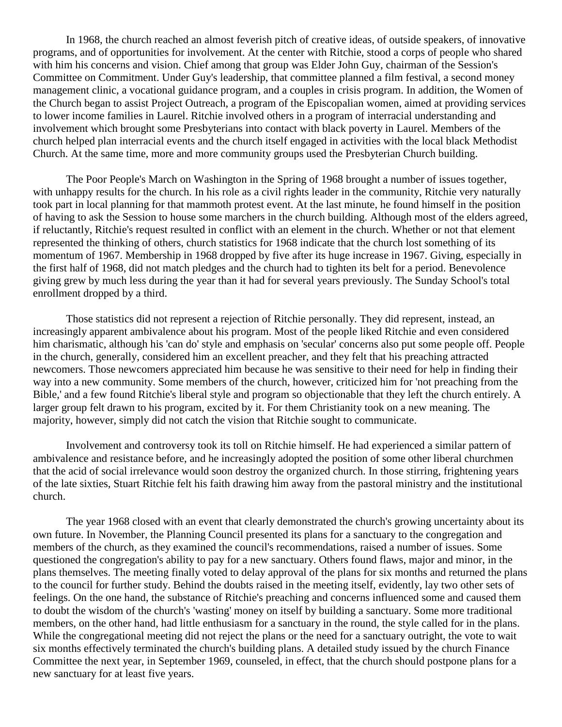In 1968, the church reached an almost feverish pitch of creative ideas, of outside speakers, of innovative programs, and of opportunities for involvement. At the center with Ritchie, stood a corps of people who shared with him his concerns and vision. Chief among that group was Elder John Guy, chairman of the Session's Committee on Commitment. Under Guy's leadership, that committee planned a film festival, a second money management clinic, a vocational guidance program, and a couples in crisis program. In addition, the Women of the Church began to assist Project Outreach, a program of the Episcopalian women, aimed at providing services to lower income families in Laurel. Ritchie involved others in a program of interracial understanding and involvement which brought some Presbyterians into contact with black poverty in Laurel. Members of the church helped plan interracial events and the church itself engaged in activities with the local black Methodist Church. At the same time, more and more community groups used the Presbyterian Church building.

The Poor People's March on Washington in the Spring of 1968 brought a number of issues together, with unhappy results for the church. In his role as a civil rights leader in the community, Ritchie very naturally took part in local planning for that mammoth protest event. At the last minute, he found himself in the position of having to ask the Session to house some marchers in the church building. Although most of the elders agreed, if reluctantly, Ritchie's request resulted in conflict with an element in the church. Whether or not that element represented the thinking of others, church statistics for 1968 indicate that the church lost something of its momentum of 1967. Membership in 1968 dropped by five after its huge increase in 1967. Giving, especially in the first half of 1968, did not match pledges and the church had to tighten its belt for a period. Benevolence giving grew by much less during the year than it had for several years previously. The Sunday School's total enrollment dropped by a third.

Those statistics did not represent a rejection of Ritchie personally. They did represent, instead, an increasingly apparent ambivalence about his program. Most of the people liked Ritchie and even considered him charismatic, although his 'can do' style and emphasis on 'secular' concerns also put some people off. People in the church, generally, considered him an excellent preacher, and they felt that his preaching attracted newcomers. Those newcomers appreciated him because he was sensitive to their need for help in finding their way into a new community. Some members of the church, however, criticized him for 'not preaching from the Bible,' and a few found Ritchie's liberal style and program so objectionable that they left the church entirely. A larger group felt drawn to his program, excited by it. For them Christianity took on a new meaning. The majority, however, simply did not catch the vision that Ritchie sought to communicate.

Involvement and controversy took its toll on Ritchie himself. He had experienced a similar pattern of ambivalence and resistance before, and he increasingly adopted the position of some other liberal churchmen that the acid of social irrelevance would soon destroy the organized church. In those stirring, frightening years of the late sixties, Stuart Ritchie felt his faith drawing him away from the pastoral ministry and the institutional church.

The year 1968 closed with an event that clearly demonstrated the church's growing uncertainty about its own future. In November, the Planning Council presented its plans for a sanctuary to the congregation and members of the church, as they examined the council's recommendations, raised a number of issues. Some questioned the congregation's ability to pay for a new sanctuary. Others found flaws, major and minor, in the plans themselves. The meeting finally voted to delay approval of the plans for six months and returned the plans to the council for further study. Behind the doubts raised in the meeting itself, evidently, lay two other sets of feelings. On the one hand, the substance of Ritchie's preaching and concerns influenced some and caused them to doubt the wisdom of the church's 'wasting' money on itself by building a sanctuary. Some more traditional members, on the other hand, had little enthusiasm for a sanctuary in the round, the style called for in the plans. While the congregational meeting did not reject the plans or the need for a sanctuary outright, the vote to wait six months effectively terminated the church's building plans. A detailed study issued by the church Finance Committee the next year, in September 1969, counseled, in effect, that the church should postpone plans for a new sanctuary for at least five years.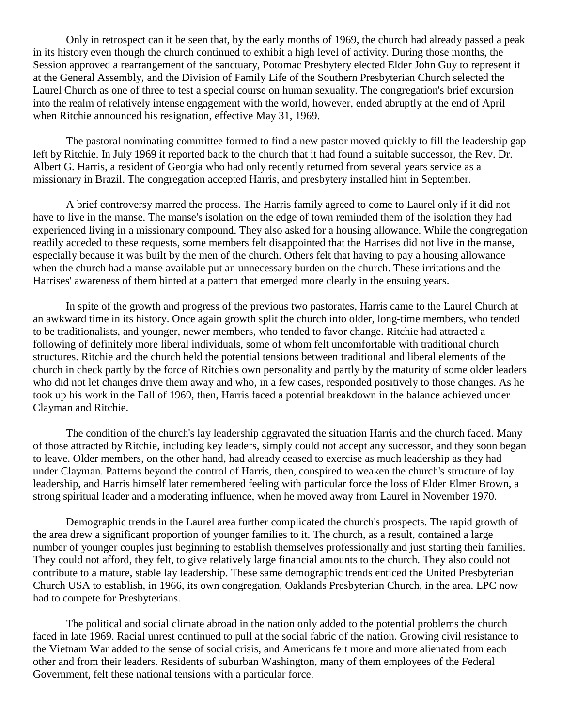Only in retrospect can it be seen that, by the early months of 1969, the church had already passed a peak in its history even though the church continued to exhibit a high level of activity. During those months, the Session approved a rearrangement of the sanctuary, Potomac Presbytery elected Elder John Guy to represent it at the General Assembly, and the Division of Family Life of the Southern Presbyterian Church selected the Laurel Church as one of three to test a special course on human sexuality. The congregation's brief excursion into the realm of relatively intense engagement with the world, however, ended abruptly at the end of April when Ritchie announced his resignation, effective May 31, 1969.

The pastoral nominating committee formed to find a new pastor moved quickly to fill the leadership gap left by Ritchie. In July 1969 it reported back to the church that it had found a suitable successor, the Rev. Dr. Albert G. Harris, a resident of Georgia who had only recently returned from several years service as a missionary in Brazil. The congregation accepted Harris, and presbytery installed him in September.

A brief controversy marred the process. The Harris family agreed to come to Laurel only if it did not have to live in the manse. The manse's isolation on the edge of town reminded them of the isolation they had experienced living in a missionary compound. They also asked for a housing allowance. While the congregation readily acceded to these requests, some members felt disappointed that the Harrises did not live in the manse, especially because it was built by the men of the church. Others felt that having to pay a housing allowance when the church had a manse available put an unnecessary burden on the church. These irritations and the Harrises' awareness of them hinted at a pattern that emerged more clearly in the ensuing years.

In spite of the growth and progress of the previous two pastorates, Harris came to the Laurel Church at an awkward time in its history. Once again growth split the church into older, long-time members, who tended to be traditionalists, and younger, newer members, who tended to favor change. Ritchie had attracted a following of definitely more liberal individuals, some of whom felt uncomfortable with traditional church structures. Ritchie and the church held the potential tensions between traditional and liberal elements of the church in check partly by the force of Ritchie's own personality and partly by the maturity of some older leaders who did not let changes drive them away and who, in a few cases, responded positively to those changes. As he took up his work in the Fall of 1969, then, Harris faced a potential breakdown in the balance achieved under Clayman and Ritchie.

The condition of the church's lay leadership aggravated the situation Harris and the church faced. Many of those attracted by Ritchie, including key leaders, simply could not accept any successor, and they soon began to leave. Older members, on the other hand, had already ceased to exercise as much leadership as they had under Clayman. Patterns beyond the control of Harris, then, conspired to weaken the church's structure of lay leadership, and Harris himself later remembered feeling with particular force the loss of Elder Elmer Brown, a strong spiritual leader and a moderating influence, when he moved away from Laurel in November 1970.

Demographic trends in the Laurel area further complicated the church's prospects. The rapid growth of the area drew a significant proportion of younger families to it. The church, as a result, contained a large number of younger couples just beginning to establish themselves professionally and just starting their families. They could not afford, they felt, to give relatively large financial amounts to the church. They also could not contribute to a mature, stable lay leadership. These same demographic trends enticed the United Presbyterian Church USA to establish, in 1966, its own congregation, Oaklands Presbyterian Church, in the area. LPC now had to compete for Presbyterians.

The political and social climate abroad in the nation only added to the potential problems the church faced in late 1969. Racial unrest continued to pull at the social fabric of the nation. Growing civil resistance to the Vietnam War added to the sense of social crisis, and Americans felt more and more alienated from each other and from their leaders. Residents of suburban Washington, many of them employees of the Federal Government, felt these national tensions with a particular force.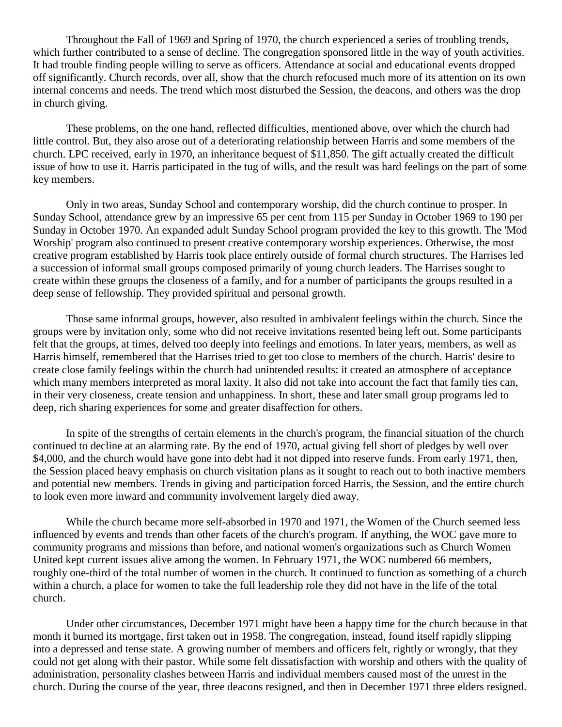Throughout the Fall of 1969 and Spring of 1970, the church experienced a series of troubling trends, which further contributed to a sense of decline. The congregation sponsored little in the way of youth activities. It had trouble finding people willing to serve as officers. Attendance at social and educational events dropped off significantly. Church records, over all, show that the church refocused much more of its attention on its own internal concerns and needs. The trend which most disturbed the Session, the deacons, and others was the drop in church giving.

These problems, on the one hand, reflected difficulties, mentioned above, over which the church had little control. But, they also arose out of a deteriorating relationship between Harris and some members of the church. LPC received, early in 1970, an inheritance bequest of \$11,850. The gift actually created the difficult issue of how to use it. Harris participated in the tug of wills, and the result was hard feelings on the part of some key members.

Only in two areas, Sunday School and contemporary worship, did the church continue to prosper. In Sunday School, attendance grew by an impressive 65 per cent from 115 per Sunday in October 1969 to 190 per Sunday in October 1970. An expanded adult Sunday School program provided the key to this growth. The 'Mod Worship' program also continued to present creative contemporary worship experiences. Otherwise, the most creative program established by Harris took place entirely outside of formal church structures. The Harrises led a succession of informal small groups composed primarily of young church leaders. The Harrises sought to create within these groups the closeness of a family, and for a number of participants the groups resulted in a deep sense of fellowship. They provided spiritual and personal growth.

Those same informal groups, however, also resulted in ambivalent feelings within the church. Since the groups were by invitation only, some who did not receive invitations resented being left out. Some participants felt that the groups, at times, delved too deeply into feelings and emotions. In later years, members, as well as Harris himself, remembered that the Harrises tried to get too close to members of the church. Harris' desire to create close family feelings within the church had unintended results: it created an atmosphere of acceptance which many members interpreted as moral laxity. It also did not take into account the fact that family ties can, in their very closeness, create tension and unhappiness. In short, these and later small group programs led to deep, rich sharing experiences for some and greater disaffection for others.

In spite of the strengths of certain elements in the church's program, the financial situation of the church continued to decline at an alarming rate. By the end of 1970, actual giving fell short of pledges by well over \$4,000, and the church would have gone into debt had it not dipped into reserve funds. From early 1971, then, the Session placed heavy emphasis on church visitation plans as it sought to reach out to both inactive members and potential new members. Trends in giving and participation forced Harris, the Session, and the entire church to look even more inward and community involvement largely died away.

While the church became more self-absorbed in 1970 and 1971, the Women of the Church seemed less influenced by events and trends than other facets of the church's program. If anything, the WOC gave more to community programs and missions than before, and national women's organizations such as Church Women United kept current issues alive among the women. In February 1971, the WOC numbered 66 members, roughly one-third of the total number of women in the church. It continued to function as something of a church within a church, a place for women to take the full leadership role they did not have in the life of the total church.

Under other circumstances, December 1971 might have been a happy time for the church because in that month it burned its mortgage, first taken out in 1958. The congregation, instead, found itself rapidly slipping into a depressed and tense state. A growing number of members and officers felt, rightly or wrongly, that they could not get along with their pastor. While some felt dissatisfaction with worship and others with the quality of administration, personality clashes between Harris and individual members caused most of the unrest in the church. During the course of the year, three deacons resigned, and then in December 1971 three elders resigned.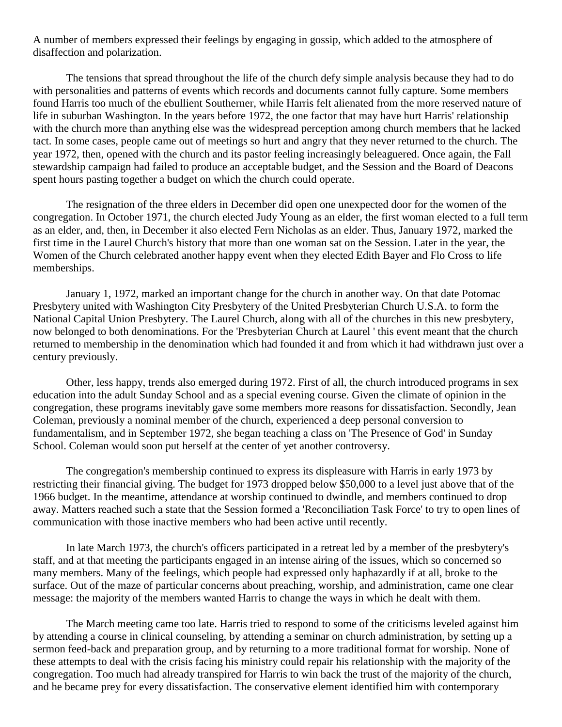A number of members expressed their feelings by engaging in gossip, which added to the atmosphere of disaffection and polarization.

The tensions that spread throughout the life of the church defy simple analysis because they had to do with personalities and patterns of events which records and documents cannot fully capture. Some members found Harris too much of the ebullient Southerner, while Harris felt alienated from the more reserved nature of life in suburban Washington. In the years before 1972, the one factor that may have hurt Harris' relationship with the church more than anything else was the widespread perception among church members that he lacked tact. In some cases, people came out of meetings so hurt and angry that they never returned to the church. The year 1972, then, opened with the church and its pastor feeling increasingly beleaguered. Once again, the Fall stewardship campaign had failed to produce an acceptable budget, and the Session and the Board of Deacons spent hours pasting together a budget on which the church could operate.

The resignation of the three elders in December did open one unexpected door for the women of the congregation. In October 1971, the church elected Judy Young as an elder, the first woman elected to a full term as an elder, and, then, in December it also elected Fern Nicholas as an elder. Thus, January 1972, marked the first time in the Laurel Church's history that more than one woman sat on the Session. Later in the year, the Women of the Church celebrated another happy event when they elected Edith Bayer and Flo Cross to life memberships.

January 1, 1972, marked an important change for the church in another way. On that date Potomac Presbytery united with Washington City Presbytery of the United Presbyterian Church U.S.A. to form the National Capital Union Presbytery. The Laurel Church, along with all of the churches in this new presbytery, now belonged to both denominations. For the 'Presbyterian Church at Laurel ' this event meant that the church returned to membership in the denomination which had founded it and from which it had withdrawn just over a century previously.

Other, less happy, trends also emerged during 1972. First of all, the church introduced programs in sex education into the adult Sunday School and as a special evening course. Given the climate of opinion in the congregation, these programs inevitably gave some members more reasons for dissatisfaction. Secondly, Jean Coleman, previously a nominal member of the church, experienced a deep personal conversion to fundamentalism, and in September 1972, she began teaching a class on 'The Presence of God' in Sunday School. Coleman would soon put herself at the center of yet another controversy.

The congregation's membership continued to express its displeasure with Harris in early 1973 by restricting their financial giving. The budget for 1973 dropped below \$50,000 to a level just above that of the 1966 budget. In the meantime, attendance at worship continued to dwindle, and members continued to drop away. Matters reached such a state that the Session formed a 'Reconciliation Task Force' to try to open lines of communication with those inactive members who had been active until recently.

In late March 1973, the church's officers participated in a retreat led by a member of the presbytery's staff, and at that meeting the participants engaged in an intense airing of the issues, which so concerned so many members. Many of the feelings, which people had expressed only haphazardly if at all, broke to the surface. Out of the maze of particular concerns about preaching, worship, and administration, came one clear message: the majority of the members wanted Harris to change the ways in which he dealt with them.

The March meeting came too late. Harris tried to respond to some of the criticisms leveled against him by attending a course in clinical counseling, by attending a seminar on church administration, by setting up a sermon feed-back and preparation group, and by returning to a more traditional format for worship. None of these attempts to deal with the crisis facing his ministry could repair his relationship with the majority of the congregation. Too much had already transpired for Harris to win back the trust of the majority of the church, and he became prey for every dissatisfaction. The conservative element identified him with contemporary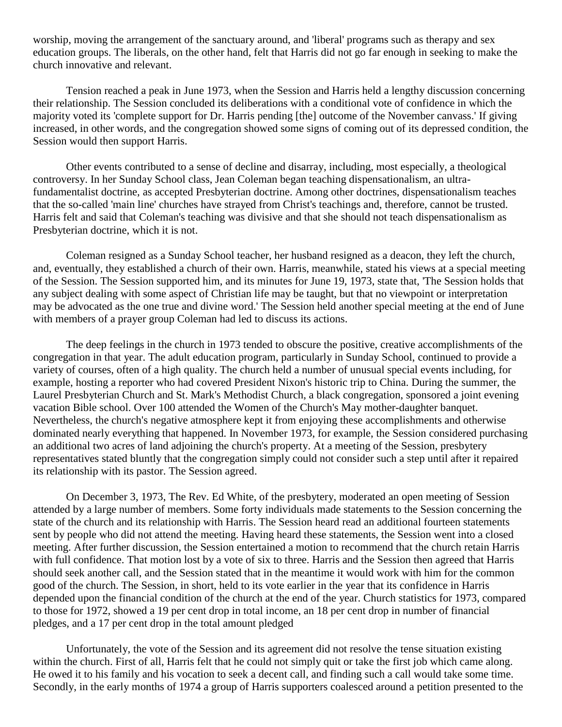worship, moving the arrangement of the sanctuary around, and 'liberal' programs such as therapy and sex education groups. The liberals, on the other hand, felt that Harris did not go far enough in seeking to make the church innovative and relevant.

Tension reached a peak in June 1973, when the Session and Harris held a lengthy discussion concerning their relationship. The Session concluded its deliberations with a conditional vote of confidence in which the majority voted its 'complete support for Dr. Harris pending [the] outcome of the November canvass.' If giving increased, in other words, and the congregation showed some signs of coming out of its depressed condition, the Session would then support Harris.

Other events contributed to a sense of decline and disarray, including, most especially, a theological controversy. In her Sunday School class, Jean Coleman began teaching dispensationalism, an ultrafundamentalist doctrine, as accepted Presbyterian doctrine. Among other doctrines, dispensationalism teaches that the so-called 'main line' churches have strayed from Christ's teachings and, therefore, cannot be trusted. Harris felt and said that Coleman's teaching was divisive and that she should not teach dispensationalism as Presbyterian doctrine, which it is not.

Coleman resigned as a Sunday School teacher, her husband resigned as a deacon, they left the church, and, eventually, they established a church of their own. Harris, meanwhile, stated his views at a special meeting of the Session. The Session supported him, and its minutes for June 19, 1973, state that, 'The Session holds that any subject dealing with some aspect of Christian life may be taught, but that no viewpoint or interpretation may be advocated as the one true and divine word.' The Session held another special meeting at the end of June with members of a prayer group Coleman had led to discuss its actions.

The deep feelings in the church in 1973 tended to obscure the positive, creative accomplishments of the congregation in that year. The adult education program, particularly in Sunday School, continued to provide a variety of courses, often of a high quality. The church held a number of unusual special events including, for example, hosting a reporter who had covered President Nixon's historic trip to China. During the summer, the Laurel Presbyterian Church and St. Mark's Methodist Church, a black congregation, sponsored a joint evening vacation Bible school. Over 100 attended the Women of the Church's May mother-daughter banquet. Nevertheless, the church's negative atmosphere kept it from enjoying these accomplishments and otherwise dominated nearly everything that happened. In November 1973, for example, the Session considered purchasing an additional two acres of land adjoining the church's property. At a meeting of the Session, presbytery representatives stated bluntly that the congregation simply could not consider such a step until after it repaired its relationship with its pastor. The Session agreed.

On December 3, 1973, The Rev. Ed White, of the presbytery, moderated an open meeting of Session attended by a large number of members. Some forty individuals made statements to the Session concerning the state of the church and its relationship with Harris. The Session heard read an additional fourteen statements sent by people who did not attend the meeting. Having heard these statements, the Session went into a closed meeting. After further discussion, the Session entertained a motion to recommend that the church retain Harris with full confidence. That motion lost by a vote of six to three. Harris and the Session then agreed that Harris should seek another call, and the Session stated that in the meantime it would work with him for the common good of the church. The Session, in short, held to its vote earlier in the year that its confidence in Harris depended upon the financial condition of the church at the end of the year. Church statistics for 1973, compared to those for 1972, showed a 19 per cent drop in total income, an 18 per cent drop in number of financial pledges, and a 17 per cent drop in the total amount pledged

Unfortunately, the vote of the Session and its agreement did not resolve the tense situation existing within the church. First of all, Harris felt that he could not simply quit or take the first job which came along. He owed it to his family and his vocation to seek a decent call, and finding such a call would take some time. Secondly, in the early months of 1974 a group of Harris supporters coalesced around a petition presented to the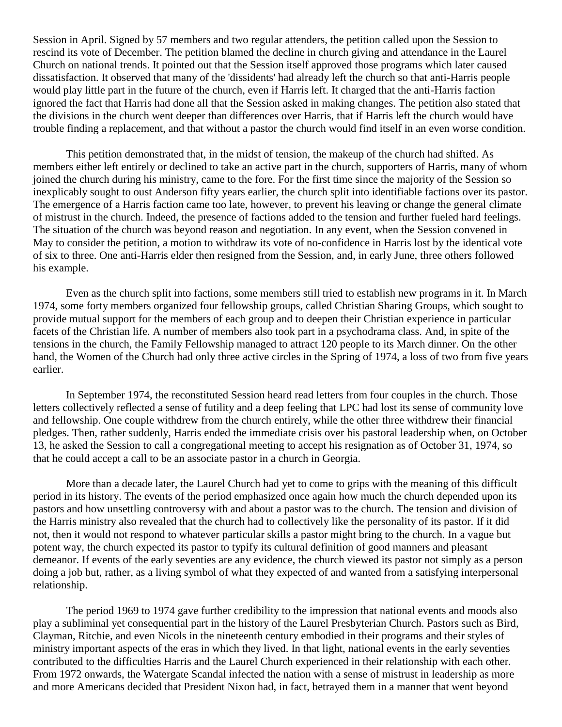Session in April. Signed by 57 members and two regular attenders, the petition called upon the Session to rescind its vote of December. The petition blamed the decline in church giving and attendance in the Laurel Church on national trends. It pointed out that the Session itself approved those programs which later caused dissatisfaction. It observed that many of the 'dissidents' had already left the church so that anti-Harris people would play little part in the future of the church, even if Harris left. It charged that the anti-Harris faction ignored the fact that Harris had done all that the Session asked in making changes. The petition also stated that the divisions in the church went deeper than differences over Harris, that if Harris left the church would have trouble finding a replacement, and that without a pastor the church would find itself in an even worse condition.

This petition demonstrated that, in the midst of tension, the makeup of the church had shifted. As members either left entirely or declined to take an active part in the church, supporters of Harris, many of whom joined the church during his ministry, came to the fore. For the first time since the majority of the Session so inexplicably sought to oust Anderson fifty years earlier, the church split into identifiable factions over its pastor. The emergence of a Harris faction came too late, however, to prevent his leaving or change the general climate of mistrust in the church. Indeed, the presence of factions added to the tension and further fueled hard feelings. The situation of the church was beyond reason and negotiation. In any event, when the Session convened in May to consider the petition, a motion to withdraw its vote of no-confidence in Harris lost by the identical vote of six to three. One anti-Harris elder then resigned from the Session, and, in early June, three others followed his example.

Even as the church split into factions, some members still tried to establish new programs in it. In March 1974, some forty members organized four fellowship groups, called Christian Sharing Groups, which sought to provide mutual support for the members of each group and to deepen their Christian experience in particular facets of the Christian life. A number of members also took part in a psychodrama class. And, in spite of the tensions in the church, the Family Fellowship managed to attract 120 people to its March dinner. On the other hand, the Women of the Church had only three active circles in the Spring of 1974, a loss of two from five years earlier.

In September 1974, the reconstituted Session heard read letters from four couples in the church. Those letters collectively reflected a sense of futility and a deep feeling that LPC had lost its sense of community love and fellowship. One couple withdrew from the church entirely, while the other three withdrew their financial pledges. Then, rather suddenly, Harris ended the immediate crisis over his pastoral leadership when, on October 13, he asked the Session to call a congregational meeting to accept his resignation as of October 31, 1974, so that he could accept a call to be an associate pastor in a church in Georgia.

More than a decade later, the Laurel Church had yet to come to grips with the meaning of this difficult period in its history. The events of the period emphasized once again how much the church depended upon its pastors and how unsettling controversy with and about a pastor was to the church. The tension and division of the Harris ministry also revealed that the church had to collectively like the personality of its pastor. If it did not, then it would not respond to whatever particular skills a pastor might bring to the church. In a vague but potent way, the church expected its pastor to typify its cultural definition of good manners and pleasant demeanor. If events of the early seventies are any evidence, the church viewed its pastor not simply as a person doing a job but, rather, as a living symbol of what they expected of and wanted from a satisfying interpersonal relationship.

The period 1969 to 1974 gave further credibility to the impression that national events and moods also play a subliminal yet consequential part in the history of the Laurel Presbyterian Church. Pastors such as Bird, Clayman, Ritchie, and even Nicols in the nineteenth century embodied in their programs and their styles of ministry important aspects of the eras in which they lived. In that light, national events in the early seventies contributed to the difficulties Harris and the Laurel Church experienced in their relationship with each other. From 1972 onwards, the Watergate Scandal infected the nation with a sense of mistrust in leadership as more and more Americans decided that President Nixon had, in fact, betrayed them in a manner that went beyond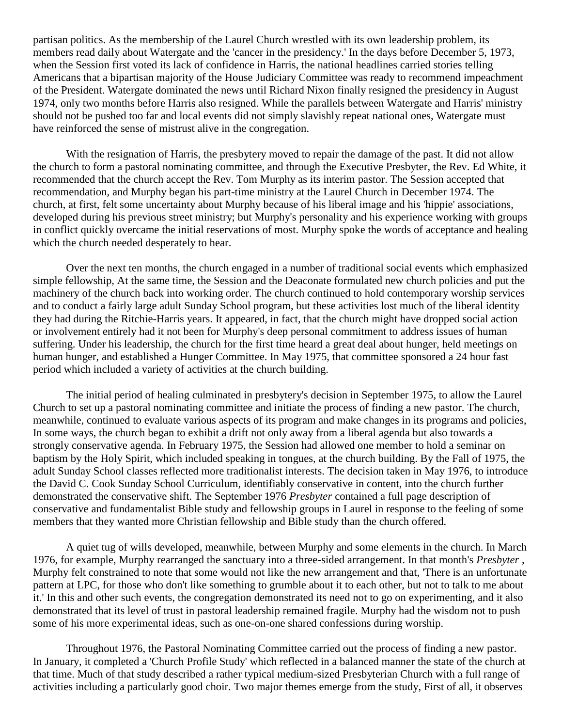partisan politics. As the membership of the Laurel Church wrestled with its own leadership problem, its members read daily about Watergate and the 'cancer in the presidency.' In the days before December 5, 1973, when the Session first voted its lack of confidence in Harris, the national headlines carried stories telling Americans that a bipartisan majority of the House Judiciary Committee was ready to recommend impeachment of the President. Watergate dominated the news until Richard Nixon finally resigned the presidency in August 1974, only two months before Harris also resigned. While the parallels between Watergate and Harris' ministry should not be pushed too far and local events did not simply slavishly repeat national ones, Watergate must have reinforced the sense of mistrust alive in the congregation.

With the resignation of Harris, the presbytery moved to repair the damage of the past. It did not allow the church to form a pastoral nominating committee, and through the Executive Presbyter, the Rev. Ed White, it recommended that the church accept the Rev. Tom Murphy as its interim pastor. The Session accepted that recommendation, and Murphy began his part-time ministry at the Laurel Church in December 1974. The church, at first, felt some uncertainty about Murphy because of his liberal image and his 'hippie' associations, developed during his previous street ministry; but Murphy's personality and his experience working with groups in conflict quickly overcame the initial reservations of most. Murphy spoke the words of acceptance and healing which the church needed desperately to hear.

Over the next ten months, the church engaged in a number of traditional social events which emphasized simple fellowship, At the same time, the Session and the Deaconate formulated new church policies and put the machinery of the church back into working order. The church continued to hold contemporary worship services and to conduct a fairly large adult Sunday School program, but these activities lost much of the liberal identity they had during the Ritchie-Harris years. It appeared, in fact, that the church might have dropped social action or involvement entirely had it not been for Murphy's deep personal commitment to address issues of human suffering. Under his leadership, the church for the first time heard a great deal about hunger, held meetings on human hunger, and established a Hunger Committee. In May 1975, that committee sponsored a 24 hour fast period which included a variety of activities at the church building.

The initial period of healing culminated in presbytery's decision in September 1975, to allow the Laurel Church to set up a pastoral nominating committee and initiate the process of finding a new pastor. The church, meanwhile, continued to evaluate various aspects of its program and make changes in its programs and policies, In some ways, the church began to exhibit a drift not only away from a liberal agenda but also towards a strongly conservative agenda. In February 1975, the Session had allowed one member to hold a seminar on baptism by the Holy Spirit, which included speaking in tongues, at the church building. By the Fall of 1975, the adult Sunday School classes reflected more traditionalist interests. The decision taken in May 1976, to introduce the David C. Cook Sunday School Curriculum, identifiably conservative in content, into the church further demonstrated the conservative shift. The September 1976 *Presbyter* contained a full page description of conservative and fundamentalist Bible study and fellowship groups in Laurel in response to the feeling of some members that they wanted more Christian fellowship and Bible study than the church offered.

A quiet tug of wills developed, meanwhile, between Murphy and some elements in the church. In March 1976, for example, Murphy rearranged the sanctuary into a three-sided arrangement. In that month's *Presbyter* , Murphy felt constrained to note that some would not like the new arrangement and that, 'There is an unfortunate pattern at LPC, for those who don't like something to grumble about it to each other, but not to talk to me about it.' In this and other such events, the congregation demonstrated its need not to go on experimenting, and it also demonstrated that its level of trust in pastoral leadership remained fragile. Murphy had the wisdom not to push some of his more experimental ideas, such as one-on-one shared confessions during worship.

Throughout 1976, the Pastoral Nominating Committee carried out the process of finding a new pastor. In January, it completed a 'Church Profile Study' which reflected in a balanced manner the state of the church at that time. Much of that study described a rather typical medium-sized Presbyterian Church with a full range of activities including a particularly good choir. Two major themes emerge from the study, First of all, it observes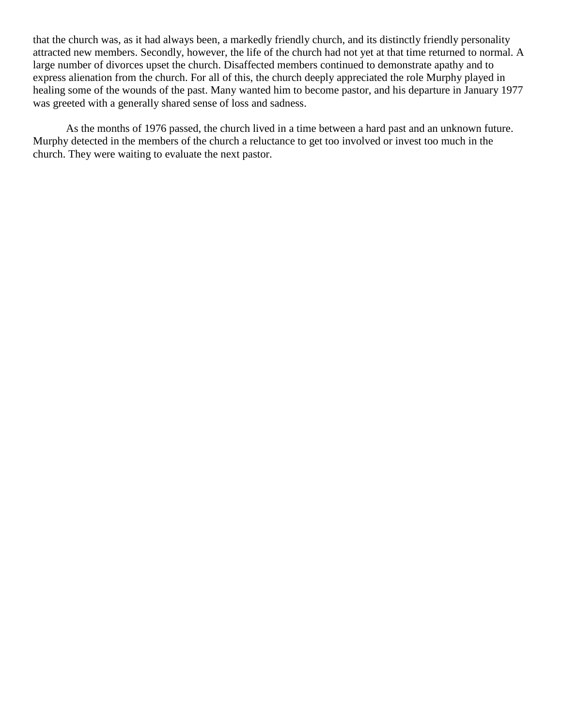that the church was, as it had always been, a markedly friendly church, and its distinctly friendly personality attracted new members. Secondly, however, the life of the church had not yet at that time returned to normal. A large number of divorces upset the church. Disaffected members continued to demonstrate apathy and to express alienation from the church. For all of this, the church deeply appreciated the role Murphy played in healing some of the wounds of the past. Many wanted him to become pastor, and his departure in January 1977 was greeted with a generally shared sense of loss and sadness.

As the months of 1976 passed, the church lived in a time between a hard past and an unknown future. Murphy detected in the members of the church a reluctance to get too involved or invest too much in the church. They were waiting to evaluate the next pastor.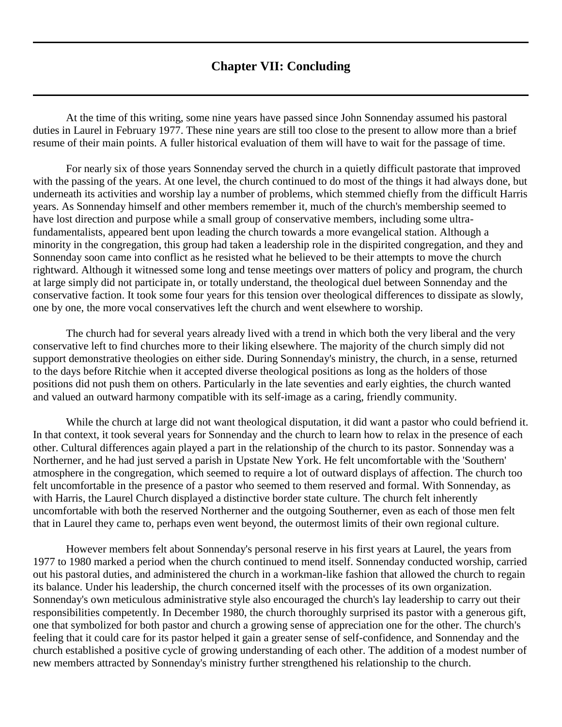## **Chapter VII: Concluding**

<span id="page-48-0"></span>At the time of this writing, some nine years have passed since John Sonnenday assumed his pastoral duties in Laurel in February 1977. These nine years are still too close to the present to allow more than a brief resume of their main points. A fuller historical evaluation of them will have to wait for the passage of time.

For nearly six of those years Sonnenday served the church in a quietly difficult pastorate that improved with the passing of the years. At one level, the church continued to do most of the things it had always done, but underneath its activities and worship lay a number of problems, which stemmed chiefly from the difficult Harris years. As Sonnenday himself and other members remember it, much of the church's membership seemed to have lost direction and purpose while a small group of conservative members, including some ultrafundamentalists, appeared bent upon leading the church towards a more evangelical station. Although a minority in the congregation, this group had taken a leadership role in the dispirited congregation, and they and Sonnenday soon came into conflict as he resisted what he believed to be their attempts to move the church rightward. Although it witnessed some long and tense meetings over matters of policy and program, the church at large simply did not participate in, or totally understand, the theological duel between Sonnenday and the conservative faction. It took some four years for this tension over theological differences to dissipate as slowly, one by one, the more vocal conservatives left the church and went elsewhere to worship.

The church had for several years already lived with a trend in which both the very liberal and the very conservative left to find churches more to their liking elsewhere. The majority of the church simply did not support demonstrative theologies on either side. During Sonnenday's ministry, the church, in a sense, returned to the days before Ritchie when it accepted diverse theological positions as long as the holders of those positions did not push them on others. Particularly in the late seventies and early eighties, the church wanted and valued an outward harmony compatible with its self-image as a caring, friendly community.

While the church at large did not want theological disputation, it did want a pastor who could befriend it. In that context, it took several years for Sonnenday and the church to learn how to relax in the presence of each other. Cultural differences again played a part in the relationship of the church to its pastor. Sonnenday was a Northerner, and he had just served a parish in Upstate New York. He felt uncomfortable with the 'Southern' atmosphere in the congregation, which seemed to require a lot of outward displays of affection. The church too felt uncomfortable in the presence of a pastor who seemed to them reserved and formal. With Sonnenday, as with Harris, the Laurel Church displayed a distinctive border state culture. The church felt inherently uncomfortable with both the reserved Northerner and the outgoing Southerner, even as each of those men felt that in Laurel they came to, perhaps even went beyond, the outermost limits of their own regional culture.

However members felt about Sonnenday's personal reserve in his first years at Laurel, the years from 1977 to 1980 marked a period when the church continued to mend itself. Sonnenday conducted worship, carried out his pastoral duties, and administered the church in a workman-like fashion that allowed the church to regain its balance. Under his leadership, the church concerned itself with the processes of its own organization. Sonnenday's own meticulous administrative style also encouraged the church's lay leadership to carry out their responsibilities competently. In December 1980, the church thoroughly surprised its pastor with a generous gift, one that symbolized for both pastor and church a growing sense of appreciation one for the other. The church's feeling that it could care for its pastor helped it gain a greater sense of self-confidence, and Sonnenday and the church established a positive cycle of growing understanding of each other. The addition of a modest number of new members attracted by Sonnenday's ministry further strengthened his relationship to the church.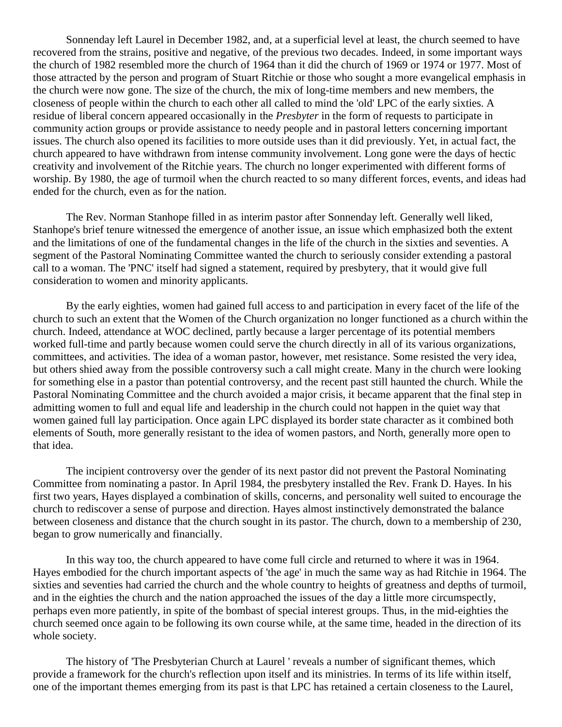Sonnenday left Laurel in December 1982, and, at a superficial level at least, the church seemed to have recovered from the strains, positive and negative, of the previous two decades. Indeed, in some important ways the church of 1982 resembled more the church of 1964 than it did the church of 1969 or 1974 or 1977. Most of those attracted by the person and program of Stuart Ritchie or those who sought a more evangelical emphasis in the church were now gone. The size of the church, the mix of long-time members and new members, the closeness of people within the church to each other all called to mind the 'old' LPC of the early sixties. A residue of liberal concern appeared occasionally in the *Presbyter* in the form of requests to participate in community action groups or provide assistance to needy people and in pastoral letters concerning important issues. The church also opened its facilities to more outside uses than it did previously. Yet, in actual fact, the church appeared to have withdrawn from intense community involvement. Long gone were the days of hectic creativity and involvement of the Ritchie years. The church no longer experimented with different forms of worship. By 1980, the age of turmoil when the church reacted to so many different forces, events, and ideas had ended for the church, even as for the nation.

The Rev. Norman Stanhope filled in as interim pastor after Sonnenday left. Generally well liked, Stanhope's brief tenure witnessed the emergence of another issue, an issue which emphasized both the extent and the limitations of one of the fundamental changes in the life of the church in the sixties and seventies. A segment of the Pastoral Nominating Committee wanted the church to seriously consider extending a pastoral call to a woman. The 'PNC' itself had signed a statement, required by presbytery, that it would give full consideration to women and minority applicants.

By the early eighties, women had gained full access to and participation in every facet of the life of the church to such an extent that the Women of the Church organization no longer functioned as a church within the church. Indeed, attendance at WOC declined, partly because a larger percentage of its potential members worked full-time and partly because women could serve the church directly in all of its various organizations, committees, and activities. The idea of a woman pastor, however, met resistance. Some resisted the very idea, but others shied away from the possible controversy such a call might create. Many in the church were looking for something else in a pastor than potential controversy, and the recent past still haunted the church. While the Pastoral Nominating Committee and the church avoided a major crisis, it became apparent that the final step in admitting women to full and equal life and leadership in the church could not happen in the quiet way that women gained full lay participation. Once again LPC displayed its border state character as it combined both elements of South, more generally resistant to the idea of women pastors, and North, generally more open to that idea.

The incipient controversy over the gender of its next pastor did not prevent the Pastoral Nominating Committee from nominating a pastor. In April 1984, the presbytery installed the Rev. Frank D. Hayes. In his first two years, Hayes displayed a combination of skills, concerns, and personality well suited to encourage the church to rediscover a sense of purpose and direction. Hayes almost instinctively demonstrated the balance between closeness and distance that the church sought in its pastor. The church, down to a membership of 230, began to grow numerically and financially.

In this way too, the church appeared to have come full circle and returned to where it was in 1964. Hayes embodied for the church important aspects of 'the age' in much the same way as had Ritchie in 1964. The sixties and seventies had carried the church and the whole country to heights of greatness and depths of turmoil, and in the eighties the church and the nation approached the issues of the day a little more circumspectly, perhaps even more patiently, in spite of the bombast of special interest groups. Thus, in the mid-eighties the church seemed once again to be following its own course while, at the same time, headed in the direction of its whole society.

The history of 'The Presbyterian Church at Laurel ' reveals a number of significant themes, which provide a framework for the church's reflection upon itself and its ministries. In terms of its life within itself, one of the important themes emerging from its past is that LPC has retained a certain closeness to the Laurel,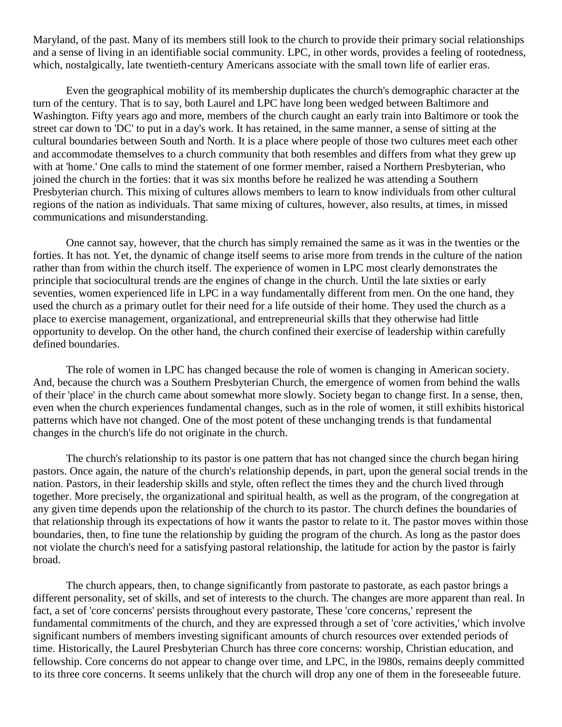Maryland, of the past. Many of its members still look to the church to provide their primary social relationships and a sense of living in an identifiable social community. LPC, in other words, provides a feeling of rootedness, which, nostalgically, late twentieth-century Americans associate with the small town life of earlier eras.

Even the geographical mobility of its membership duplicates the church's demographic character at the turn of the century. That is to say, both Laurel and LPC have long been wedged between Baltimore and Washington. Fifty years ago and more, members of the church caught an early train into Baltimore or took the street car down to 'DC' to put in a day's work. It has retained, in the same manner, a sense of sitting at the cultural boundaries between South and North. It is a place where people of those two cultures meet each other and accommodate themselves to a church community that both resembles and differs from what they grew up with at 'home.' One calls to mind the statement of one former member, raised a Northern Presbyterian, who joined the church in the forties: that it was six months before he realized he was attending a Southern Presbyterian church. This mixing of cultures allows members to learn to know individuals from other cultural regions of the nation as individuals. That same mixing of cultures, however, also results, at times, in missed communications and misunderstanding.

One cannot say, however, that the church has simply remained the same as it was in the twenties or the forties. It has not. Yet, the dynamic of change itself seems to arise more from trends in the culture of the nation rather than from within the church itself. The experience of women in LPC most clearly demonstrates the principle that sociocultural trends are the engines of change in the church. Until the late sixties or early seventies, women experienced life in LPC in a way fundamentally different from men. On the one hand, they used the church as a primary outlet for their need for a life outside of their home. They used the church as a place to exercise management, organizational, and entrepreneurial skills that they otherwise had little opportunity to develop. On the other hand, the church confined their exercise of leadership within carefully defined boundaries.

The role of women in LPC has changed because the role of women is changing in American society. And, because the church was a Southern Presbyterian Church, the emergence of women from behind the walls of their 'place' in the church came about somewhat more slowly. Society began to change first. In a sense, then, even when the church experiences fundamental changes, such as in the role of women, it still exhibits historical patterns which have not changed. One of the most potent of these unchanging trends is that fundamental changes in the church's life do not originate in the church.

The church's relationship to its pastor is one pattern that has not changed since the church began hiring pastors. Once again, the nature of the church's relationship depends, in part, upon the general social trends in the nation. Pastors, in their leadership skills and style, often reflect the times they and the church lived through together. More precisely, the organizational and spiritual health, as well as the program, of the congregation at any given time depends upon the relationship of the church to its pastor. The church defines the boundaries of that relationship through its expectations of how it wants the pastor to relate to it. The pastor moves within those boundaries, then, to fine tune the relationship by guiding the program of the church. As long as the pastor does not violate the church's need for a satisfying pastoral relationship, the latitude for action by the pastor is fairly broad.

The church appears, then, to change significantly from pastorate to pastorate, as each pastor brings a different personality, set of skills, and set of interests to the church. The changes are more apparent than real. In fact, a set of 'core concerns' persists throughout every pastorate, These 'core concerns,' represent the fundamental commitments of the church, and they are expressed through a set of 'core activities,' which involve significant numbers of members investing significant amounts of church resources over extended periods of time. Historically, the Laurel Presbyterian Church has three core concerns: worship, Christian education, and fellowship. Core concerns do not appear to change over time, and LPC, in the l980s, remains deeply committed to its three core concerns. It seems unlikely that the church will drop any one of them in the foreseeable future.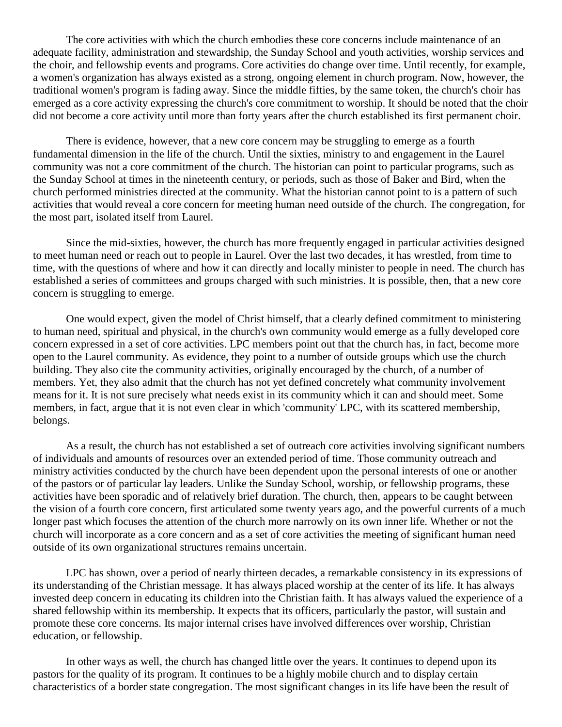The core activities with which the church embodies these core concerns include maintenance of an adequate facility, administration and stewardship, the Sunday School and youth activities, worship services and the choir, and fellowship events and programs. Core activities do change over time. Until recently, for example, a women's organization has always existed as a strong, ongoing element in church program. Now, however, the traditional women's program is fading away. Since the middle fifties, by the same token, the church's choir has emerged as a core activity expressing the church's core commitment to worship. It should be noted that the choir did not become a core activity until more than forty years after the church established its first permanent choir.

There is evidence, however, that a new core concern may be struggling to emerge as a fourth fundamental dimension in the life of the church. Until the sixties, ministry to and engagement in the Laurel community was not a core commitment of the church. The historian can point to particular programs, such as the Sunday School at times in the nineteenth century, or periods, such as those of Baker and Bird, when the church performed ministries directed at the community. What the historian cannot point to is a pattern of such activities that would reveal a core concern for meeting human need outside of the church. The congregation, for the most part, isolated itself from Laurel.

Since the mid-sixties, however, the church has more frequently engaged in particular activities designed to meet human need or reach out to people in Laurel. Over the last two decades, it has wrestled, from time to time, with the questions of where and how it can directly and locally minister to people in need. The church has established a series of committees and groups charged with such ministries. It is possible, then, that a new core concern is struggling to emerge.

One would expect, given the model of Christ himself, that a clearly defined commitment to ministering to human need, spiritual and physical, in the church's own community would emerge as a fully developed core concern expressed in a set of core activities. LPC members point out that the church has, in fact, become more open to the Laurel community. As evidence, they point to a number of outside groups which use the church building. They also cite the community activities, originally encouraged by the church, of a number of members. Yet, they also admit that the church has not yet defined concretely what community involvement means for it. It is not sure precisely what needs exist in its community which it can and should meet. Some members, in fact, argue that it is not even clear in which 'community' LPC, with its scattered membership, belongs.

As a result, the church has not established a set of outreach core activities involving significant numbers of individuals and amounts of resources over an extended period of time. Those community outreach and ministry activities conducted by the church have been dependent upon the personal interests of one or another of the pastors or of particular lay leaders. Unlike the Sunday School, worship, or fellowship programs, these activities have been sporadic and of relatively brief duration. The church, then, appears to be caught between the vision of a fourth core concern, first articulated some twenty years ago, and the powerful currents of a much longer past which focuses the attention of the church more narrowly on its own inner life. Whether or not the church will incorporate as a core concern and as a set of core activities the meeting of significant human need outside of its own organizational structures remains uncertain.

LPC has shown, over a period of nearly thirteen decades, a remarkable consistency in its expressions of its understanding of the Christian message. It has always placed worship at the center of its life. It has always invested deep concern in educating its children into the Christian faith. It has always valued the experience of a shared fellowship within its membership. It expects that its officers, particularly the pastor, will sustain and promote these core concerns. Its major internal crises have involved differences over worship, Christian education, or fellowship.

In other ways as well, the church has changed little over the years. It continues to depend upon its pastors for the quality of its program. It continues to be a highly mobile church and to display certain characteristics of a border state congregation. The most significant changes in its life have been the result of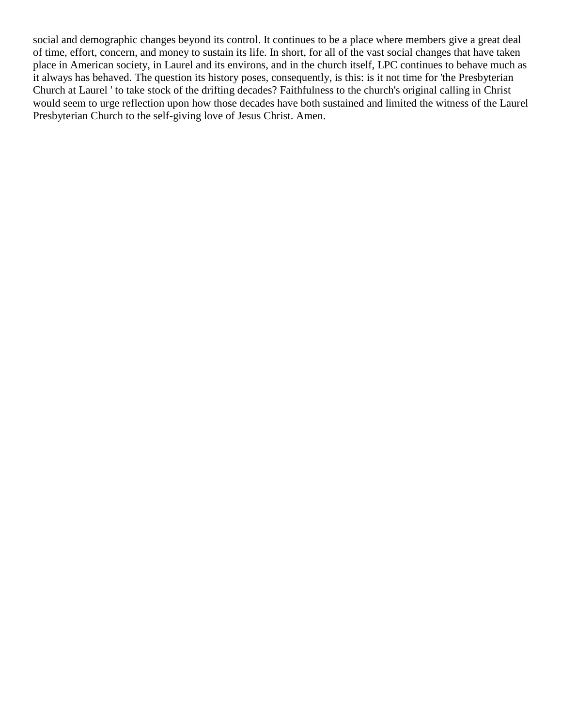social and demographic changes beyond its control. It continues to be a place where members give a great deal of time, effort, concern, and money to sustain its life. In short, for all of the vast social changes that have taken place in American society, in Laurel and its environs, and in the church itself, LPC continues to behave much as it always has behaved. The question its history poses, consequently, is this: is it not time for 'the Presbyterian Church at Laurel ' to take stock of the drifting decades? Faithfulness to the church's original calling in Christ would seem to urge reflection upon how those decades have both sustained and limited the witness of the Laurel Presbyterian Church to the self-giving love of Jesus Christ. Amen.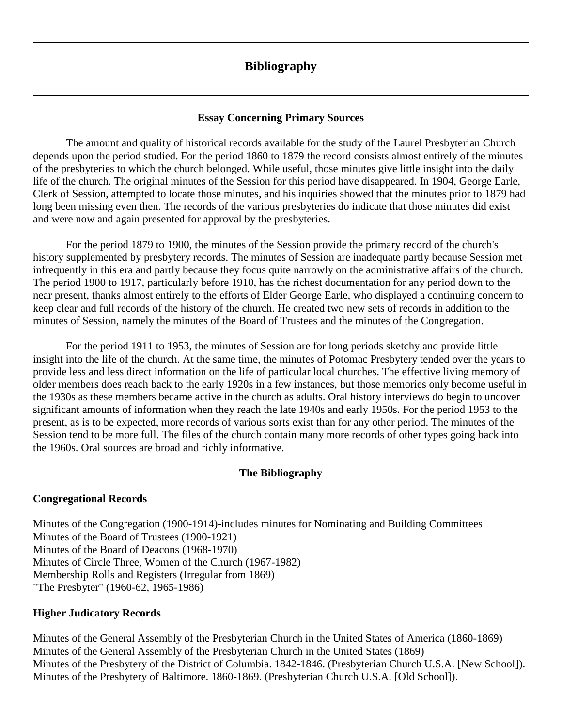# **Bibliography**

#### **Essay Concerning Primary Sources**

<span id="page-53-0"></span>The amount and quality of historical records available for the study of the Laurel Presbyterian Church depends upon the period studied. For the period 1860 to 1879 the record consists almost entirely of the minutes of the presbyteries to which the church belonged. While useful, those minutes give little insight into the daily life of the church. The original minutes of the Session for this period have disappeared. In 1904, George Earle, Clerk of Session, attempted to locate those minutes, and his inquiries showed that the minutes prior to 1879 had long been missing even then. The records of the various presbyteries do indicate that those minutes did exist and were now and again presented for approval by the presbyteries.

For the period 1879 to 1900, the minutes of the Session provide the primary record of the church's history supplemented by presbytery records. The minutes of Session are inadequate partly because Session met infrequently in this era and partly because they focus quite narrowly on the administrative affairs of the church. The period 1900 to 1917, particularly before 1910, has the richest documentation for any period down to the near present, thanks almost entirely to the efforts of Elder George Earle, who displayed a continuing concern to keep clear and full records of the history of the church. He created two new sets of records in addition to the minutes of Session, namely the minutes of the Board of Trustees and the minutes of the Congregation.

For the period 1911 to 1953, the minutes of Session are for long periods sketchy and provide little insight into the life of the church. At the same time, the minutes of Potomac Presbytery tended over the years to provide less and less direct information on the life of particular local churches. The effective living memory of older members does reach back to the early 1920s in a few instances, but those memories only become useful in the 1930s as these members became active in the church as adults. Oral history interviews do begin to uncover significant amounts of information when they reach the late 1940s and early 1950s. For the period 1953 to the present, as is to be expected, more records of various sorts exist than for any other period. The minutes of the Session tend to be more full. The files of the church contain many more records of other types going back into the 1960s. Oral sources are broad and richly informative.

#### **The Bibliography**

#### **Congregational Records**

Minutes of the Congregation (1900-1914)-includes minutes for Nominating and Building Committees Minutes of the Board of Trustees (1900-1921) Minutes of the Board of Deacons (1968-1970) Minutes of Circle Three, Women of the Church (1967-1982) Membership Rolls and Registers (Irregular from 1869) "The Presbyter" (1960-62, 1965-1986)

#### **Higher Judicatory Records**

Minutes of the General Assembly of the Presbyterian Church in the United States of America (1860-1869) Minutes of the General Assembly of the Presbyterian Church in the United States (1869) Minutes of the Presbytery of the District of Columbia. 1842-1846. (Presbyterian Church U.S.A. [New School]). Minutes of the Presbytery of Baltimore. 1860-1869. (Presbyterian Church U.S.A. [Old School]).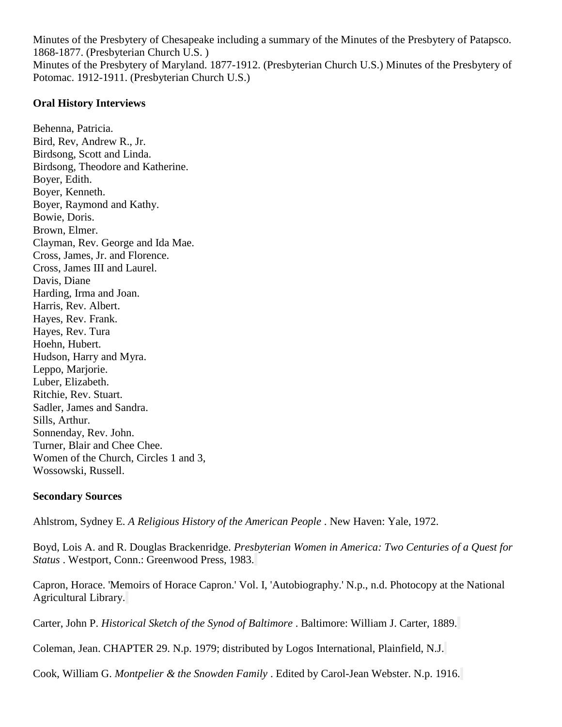Minutes of the Presbytery of Chesapeake including a summary of the Minutes of the Presbytery of Patapsco. 1868-1877. (Presbyterian Church U.S. ) Minutes of the Presbytery of Maryland. 1877-1912. (Presbyterian Church U.S.) Minutes of the Presbytery of Potomac. 1912-1911. (Presbyterian Church U.S.)

#### **Oral History Interviews**

Behenna, Patricia. Bird, Rev, Andrew R., Jr. Birdsong, Scott and Linda. Birdsong, Theodore and Katherine. Boyer, Edith. Boyer, Kenneth. Boyer, Raymond and Kathy. Bowie, Doris. Brown, Elmer. Clayman, Rev. George and Ida Mae. Cross, James, Jr. and Florence. Cross, James III and Laurel. Davis, Diane Harding, Irma and Joan. Harris, Rev. Albert. Hayes, Rev. Frank. Hayes, Rev. Tura Hoehn, Hubert. Hudson, Harry and Myra. Leppo, Marjorie. Luber, Elizabeth. Ritchie, Rev. Stuart. Sadler, James and Sandra. Sills, Arthur. Sonnenday, Rev. John. Turner, Blair and Chee Chee. Women of the Church, Circles 1 and 3, Wossowski, Russell.

#### **Secondary Sources**

Ahlstrom, Sydney E. *A Religious History of the American People* . New Haven: Yale, 1972.

Boyd, Lois A. and R. Douglas Brackenridge. *Presbyterian Women in America: Two Centuries of a Quest for Status* . Westport, Conn.: Greenwood Press, 1983.

Capron, Horace. 'Memoirs of Horace Capron.' Vol. I, 'Autobiography.' N.p., n.d. Photocopy at the National Agricultural Library.

Carter, John P. *Historical Sketch of the Synod of Baltimore* . Baltimore: William J. Carter, 1889.

Coleman, Jean. CHAPTER 29. N.p. 1979; distributed by Logos International, Plainfield, N.J.

Cook, William G. *Montpelier & the Snowden Family* . Edited by Carol-Jean Webster. N.p. 1916.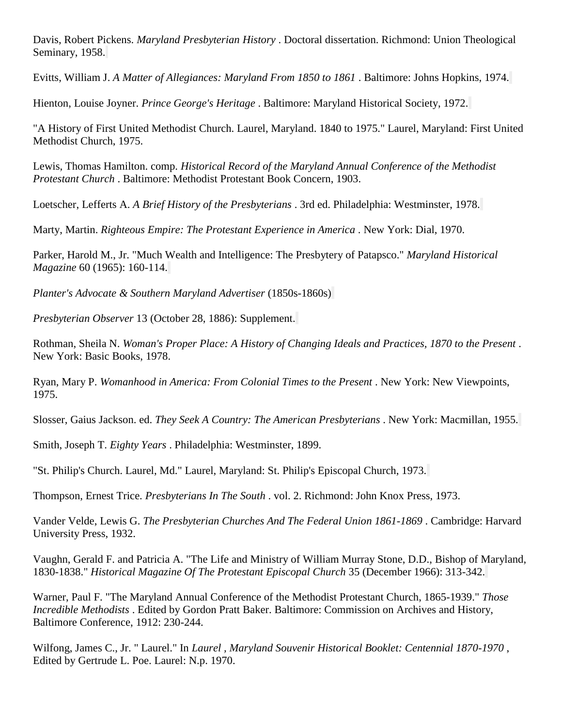Davis, Robert Pickens. *Maryland Presbyterian History* . Doctoral dissertation. Richmond: Union Theological Seminary, 1958.

Evitts, William J. *A Matter of Allegiances: Maryland From 1850 to 1861* . Baltimore: Johns Hopkins, 1974.

Hienton, Louise Joyner. *Prince George's Heritage* . Baltimore: Maryland Historical Society, 1972.

"A History of First United Methodist Church. Laurel, Maryland. 1840 to 1975." Laurel, Maryland: First United Methodist Church, 1975.

Lewis, Thomas Hamilton. comp. *Historical Record of the Maryland Annual Conference of the Methodist Protestant Church* . Baltimore: Methodist Protestant Book Concern, 1903.

Loetscher, Lefferts A. *A Brief History of the Presbyterians* . 3rd ed. Philadelphia: Westminster, 1978.

Marty, Martin. *Righteous Empire: The Protestant Experience in America* . New York: Dial, 1970.

Parker, Harold M., Jr. "Much Wealth and Intelligence: The Presbytery of Patapsco." *Maryland Historical Magazine* 60 (1965): 160-114.

*Planter's Advocate & Southern Maryland Advertiser* (1850s-1860s)

*Presbyterian Observer* 13 (October 28, 1886): Supplement.

Rothman, Sheila N. *Woman's Proper Place: A History of Changing Ideals and Practices, 1870 to the Present* . New York: Basic Books, 1978.

Ryan, Mary P. *Womanhood in America: From Colonial Times to the Present* . New York: New Viewpoints, 1975.

Slosser, Gaius Jackson. ed. *They Seek A Country: The American Presbyterians* . New York: Macmillan, 1955.

Smith, Joseph T. *Eighty Years* . Philadelphia: Westminster, 1899.

"St. Philip's Church. Laurel, Md." Laurel, Maryland: St. Philip's Episcopal Church, 1973.

Thompson, Ernest Trice. *Presbyterians In The South* . vol. 2. Richmond: John Knox Press, 1973.

Vander Velde, Lewis G. *The Presbyterian Churches And The Federal Union 1861-1869* . Cambridge: Harvard University Press, 1932.

Vaughn, Gerald F. and Patricia A. "The Life and Ministry of William Murray Stone, D.D., Bishop of Maryland, 1830-1838." *Historical Magazine Of The Protestant Episcopal Church* 35 (December 1966): 313-342.

Warner, Paul F. "The Maryland Annual Conference of the Methodist Protestant Church, 1865-1939." *Those Incredible Methodists* . Edited by Gordon Pratt Baker. Baltimore: Commission on Archives and History, Baltimore Conference, 1912: 230-244.

Wilfong, James C., Jr. " Laurel." In *Laurel , Maryland Souvenir Historical Booklet: Centennial 1870-1970* , Edited by Gertrude L. Poe. Laurel: N.p. 1970.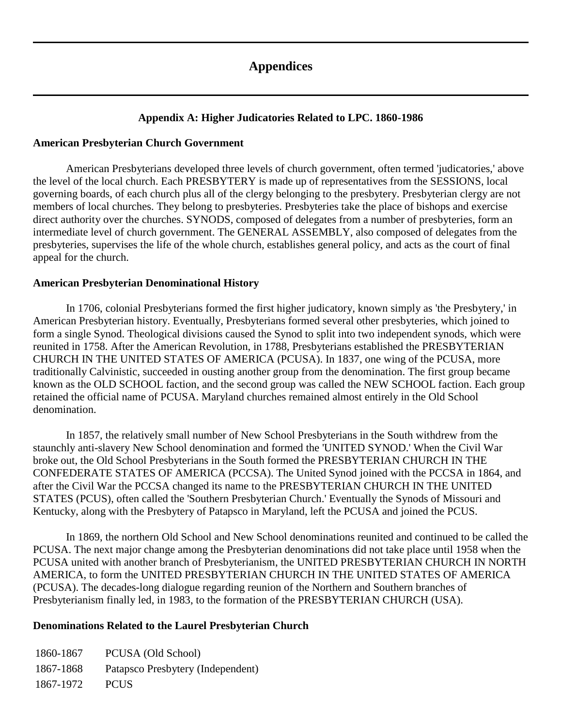# **Appendices**

#### **Appendix A: Higher Judicatories Related to LPC. 1860-1986**

#### <span id="page-56-1"></span><span id="page-56-0"></span>**American Presbyterian Church Government**

American Presbyterians developed three levels of church government, often termed 'judicatories,' above the level of the local church. Each PRESBYTERY is made up of representatives from the SESSIONS, local governing boards, of each church plus all of the clergy belonging to the presbytery. Presbyterian clergy are not members of local churches. They belong to presbyteries. Presbyteries take the place of bishops and exercise direct authority over the churches. SYNODS, composed of delegates from a number of presbyteries, form an intermediate level of church government. The GENERAL ASSEMBLY, also composed of delegates from the presbyteries, supervises the life of the whole church, establishes general policy, and acts as the court of final appeal for the church.

#### **American Presbyterian Denominational History**

In 1706, colonial Presbyterians formed the first higher judicatory, known simply as 'the Presbytery,' in American Presbyterian history. Eventually, Presbyterians formed several other presbyteries, which joined to form a single Synod. Theological divisions caused the Synod to split into two independent synods, which were reunited in 1758. After the American Revolution, in 1788, Presbyterians established the PRESBYTERIAN CHURCH IN THE UNITED STATES OF AMERICA (PCUSA). In 1837, one wing of the PCUSA, more traditionally Calvinistic, succeeded in ousting another group from the denomination. The first group became known as the OLD SCHOOL faction, and the second group was called the NEW SCHOOL faction. Each group retained the official name of PCUSA. Maryland churches remained almost entirely in the Old School denomination.

In 1857, the relatively small number of New School Presbyterians in the South withdrew from the staunchly anti-slavery New School denomination and formed the 'UNITED SYNOD.' When the Civil War broke out, the Old School Presbyterians in the South formed the PRESBYTERIAN CHURCH IN THE CONFEDERATE STATES OF AMERICA (PCCSA). The United Synod joined with the PCCSA in 1864, and after the Civil War the PCCSA changed its name to the PRESBYTERIAN CHURCH IN THE UNITED STATES (PCUS), often called the 'Southern Presbyterian Church.' Eventually the Synods of Missouri and Kentucky, along with the Presbytery of Patapsco in Maryland, left the PCUSA and joined the PCUS.

In 1869, the northern Old School and New School denominations reunited and continued to be called the PCUSA. The next major change among the Presbyterian denominations did not take place until 1958 when the PCUSA united with another branch of Presbyterianism, the UNITED PRESBYTERIAN CHURCH IN NORTH AMERICA, to form the UNITED PRESBYTERIAN CHURCH IN THE UNITED STATES OF AMERICA (PCUSA). The decades-long dialogue regarding reunion of the Northern and Southern branches of Presbyterianism finally led, in 1983, to the formation of the PRESBYTERIAN CHURCH (USA).

#### **Denominations Related to the Laurel Presbyterian Church**

1860-1867 PCUSA (Old School) 1867-1868 Patapsco Presbytery (Independent) 1867-1972 PCUS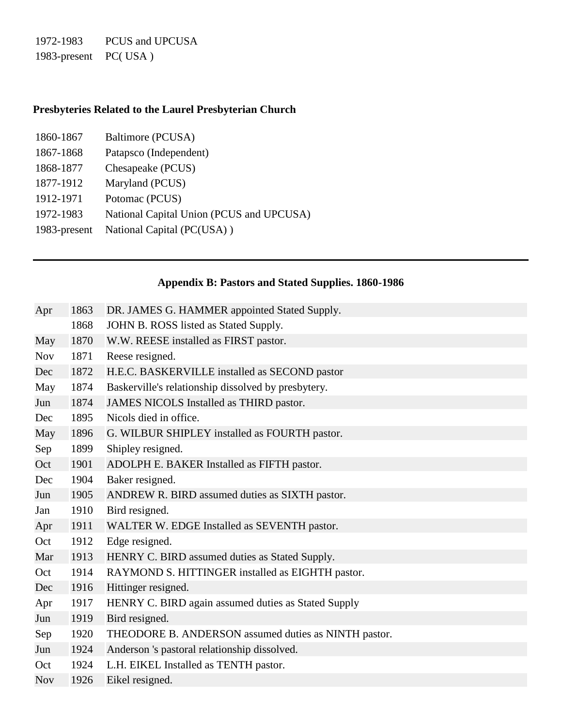1972-1983 PCUS and UPCUSA 1983-present PC( USA )

# **Presbyteries Related to the Laurel Presbyterian Church**

| 1860-1867    | Baltimore (PCUSA)                        |
|--------------|------------------------------------------|
| 1867-1868    | Patapsco (Independent)                   |
| 1868-1877    | Chesapeake (PCUS)                        |
| 1877-1912    | Maryland (PCUS)                          |
| 1912-1971    | Potomac (PCUS)                           |
| 1972-1983    | National Capital Union (PCUS and UPCUSA) |
| 1983-present | National Capital (PC(USA))               |

# **Appendix B: Pastors and Stated Supplies. 1860-1986**

<span id="page-57-0"></span>

| Apr        | 1863 | DR. JAMES G. HAMMER appointed Stated Supply.         |  |  |  |  |  |
|------------|------|------------------------------------------------------|--|--|--|--|--|
|            | 1868 | JOHN B. ROSS listed as Stated Supply.                |  |  |  |  |  |
| May        | 1870 | W.W. REESE installed as FIRST pastor.                |  |  |  |  |  |
| <b>Nov</b> | 1871 | Reese resigned.                                      |  |  |  |  |  |
| Dec        | 1872 | H.E.C. BASKERVILLE installed as SECOND pastor        |  |  |  |  |  |
| May        | 1874 | Baskerville's relationship dissolved by presbytery.  |  |  |  |  |  |
| Jun        | 1874 | JAMES NICOLS Installed as THIRD pastor.              |  |  |  |  |  |
| Dec        | 1895 | Nicols died in office.                               |  |  |  |  |  |
| May        | 1896 | G. WILBUR SHIPLEY installed as FOURTH pastor.        |  |  |  |  |  |
| Sep        | 1899 | Shipley resigned.                                    |  |  |  |  |  |
| Oct        | 1901 | ADOLPH E. BAKER Installed as FIFTH pastor.           |  |  |  |  |  |
| Dec        | 1904 | Baker resigned.                                      |  |  |  |  |  |
| Jun        | 1905 | ANDREW R. BIRD assumed duties as SIXTH pastor.       |  |  |  |  |  |
| Jan        | 1910 | Bird resigned.                                       |  |  |  |  |  |
| Apr        | 1911 | WALTER W. EDGE Installed as SEVENTH pastor.          |  |  |  |  |  |
| Oct        | 1912 | Edge resigned.                                       |  |  |  |  |  |
| Mar        | 1913 | HENRY C. BIRD assumed duties as Stated Supply.       |  |  |  |  |  |
| Oct        | 1914 | RAYMOND S. HITTINGER installed as EIGHTH pastor.     |  |  |  |  |  |
| Dec        | 1916 | Hittinger resigned.                                  |  |  |  |  |  |
| Apr        | 1917 | HENRY C. BIRD again assumed duties as Stated Supply  |  |  |  |  |  |
| Jun        | 1919 | Bird resigned.                                       |  |  |  |  |  |
| Sep        | 1920 | THEODORE B. ANDERSON assumed duties as NINTH pastor. |  |  |  |  |  |
| Jun        | 1924 | Anderson 's pastoral relationship dissolved.         |  |  |  |  |  |
| Oct        | 1924 | L.H. EIKEL Installed as TENTH pastor.                |  |  |  |  |  |
| <b>Nov</b> | 1926 | Eikel resigned.                                      |  |  |  |  |  |